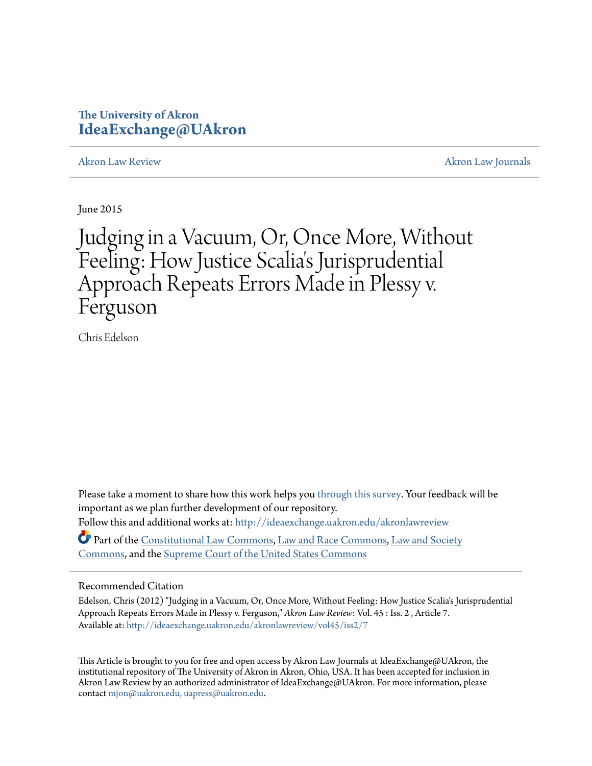# **The University of Akron [IdeaExchange@UAkron](http://ideaexchange.uakron.edu?utm_source=ideaexchange.uakron.edu%2Fakronlawreview%2Fvol45%2Fiss2%2F7&utm_medium=PDF&utm_campaign=PDFCoverPages)**

[Akron Law Review](http://ideaexchange.uakron.edu/akronlawreview?utm_source=ideaexchange.uakron.edu%2Fakronlawreview%2Fvol45%2Fiss2%2F7&utm_medium=PDF&utm_campaign=PDFCoverPages) [Akron Law Journals](http://ideaexchange.uakron.edu/akronlawjournals?utm_source=ideaexchange.uakron.edu%2Fakronlawreview%2Fvol45%2Fiss2%2F7&utm_medium=PDF&utm_campaign=PDFCoverPages)

June 2015

# Judging in a Vacuum, Or, Once More, Without Feeling: How Justice Scalia 's Jurisprudential Approach Repeats Errors Made in Plessy v. Ferguson

Chris Edelson

Please take a moment to share how this work helps you [through this survey.](http://survey.az1.qualtrics.com/SE/?SID=SV_eEVH54oiCbOw05f&URL=http://ideaexchange.uakron.edu/akronlawreview/vol45/iss2/7) Your feedback will be important as we plan further development of our repository. Follow this and additional works at: [http://ideaexchange.uakron.edu/akronlawreview](http://ideaexchange.uakron.edu/akronlawreview?utm_source=ideaexchange.uakron.edu%2Fakronlawreview%2Fvol45%2Fiss2%2F7&utm_medium=PDF&utm_campaign=PDFCoverPages)

Part of the [Constitutional Law Commons,](http://network.bepress.com/hgg/discipline/589?utm_source=ideaexchange.uakron.edu%2Fakronlawreview%2Fvol45%2Fiss2%2F7&utm_medium=PDF&utm_campaign=PDFCoverPages) [Law and Race Commons](http://network.bepress.com/hgg/discipline/1300?utm_source=ideaexchange.uakron.edu%2Fakronlawreview%2Fvol45%2Fiss2%2F7&utm_medium=PDF&utm_campaign=PDFCoverPages), [Law and Society](http://network.bepress.com/hgg/discipline/853?utm_source=ideaexchange.uakron.edu%2Fakronlawreview%2Fvol45%2Fiss2%2F7&utm_medium=PDF&utm_campaign=PDFCoverPages) [Commons,](http://network.bepress.com/hgg/discipline/853?utm_source=ideaexchange.uakron.edu%2Fakronlawreview%2Fvol45%2Fiss2%2F7&utm_medium=PDF&utm_campaign=PDFCoverPages) and the [Supreme Court of the United States Commons](http://network.bepress.com/hgg/discipline/1350?utm_source=ideaexchange.uakron.edu%2Fakronlawreview%2Fvol45%2Fiss2%2F7&utm_medium=PDF&utm_campaign=PDFCoverPages)

# Recommended Citation

Edelson, Chris (2012) "Judging in a Vacuum, Or, Once More, Without Feeling: How Justice Scalia's Jurisprudential Approach Repeats Errors Made in Plessy v. Ferguson," *Akron Law Review*: Vol. 45 : Iss. 2 , Article 7. Available at: [http://ideaexchange.uakron.edu/akronlawreview/vol45/iss2/7](http://ideaexchange.uakron.edu/akronlawreview/vol45/iss2/7?utm_source=ideaexchange.uakron.edu%2Fakronlawreview%2Fvol45%2Fiss2%2F7&utm_medium=PDF&utm_campaign=PDFCoverPages)

This Article is brought to you for free and open access by Akron Law Journals at IdeaExchange@UAkron, the institutional repository of The University of Akron in Akron, Ohio, USA. It has been accepted for inclusion in Akron Law Review by an authorized administrator of IdeaExchange@UAkron. For more information, please contact [mjon@uakron.edu, uapress@uakron.edu.](mailto:mjon@uakron.edu,%20uapress@uakron.edu)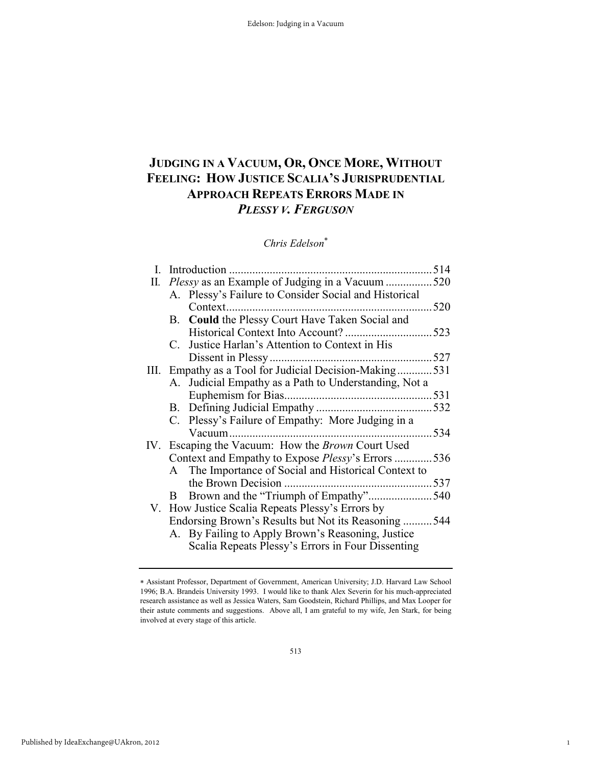# **JUDGING IN A VACUUM, OR, ONCE MORE, WITHOUT FEELING: HOW JUSTICE SCALIA'S JURISPRUDENTIAL APPROACH REPEATS ERRORS MADE IN**  *PLESSY V. FERGUSON*

# *Chris Edelson*<sup>∗</sup>

| I. | Introduction.                                             | 514  |
|----|-----------------------------------------------------------|------|
| П. | Plessy as an Example of Judging in a Vacuum 520           |      |
|    | A. Plessy's Failure to Consider Social and Historical     |      |
|    | Context.                                                  | 520  |
|    | B. Could the Plessy Court Have Taken Social and           |      |
|    |                                                           |      |
|    | C. Justice Harlan's Attention to Context in His           |      |
|    |                                                           | 527  |
|    | III. Empathy as a Tool for Judicial Decision-Making531    |      |
|    | A. Judicial Empathy as a Path to Understanding, Not a     |      |
|    |                                                           |      |
|    |                                                           | .532 |
|    | C. Plessy's Failure of Empathy: More Judging in a         |      |
|    |                                                           | 534  |
|    | IV. Escaping the Vacuum: How the <i>Brown</i> Court Used  |      |
|    | Context and Empathy to Expose <i>Plessy</i> 's Errors 536 |      |
|    | A The Importance of Social and Historical Context to      |      |
|    | the Brown Decision.                                       | 537  |
|    | Brown and the "Triumph of Empathy"540<br>B.               |      |
|    | V. How Justice Scalia Repeats Plessy's Errors by          |      |
|    | Endorsing Brown's Results but Not its Reasoning           | 544  |
|    | A. By Failing to Apply Brown's Reasoning, Justice         |      |
|    | Scalia Repeats Plessy's Errors in Four Dissenting         |      |

1

<sup>∗</sup> Assistant Professor, Department of Government, American University; J.D. Harvard Law School 1996; B.A. Brandeis University 1993. I would like to thank Alex Severin for his much-appreciated research assistance as well as Jessica Waters, Sam Goodstein, Richard Phillips, and Max Looper for their astute comments and suggestions. Above all, I am grateful to my wife, Jen Stark, for being involved at every stage of this article.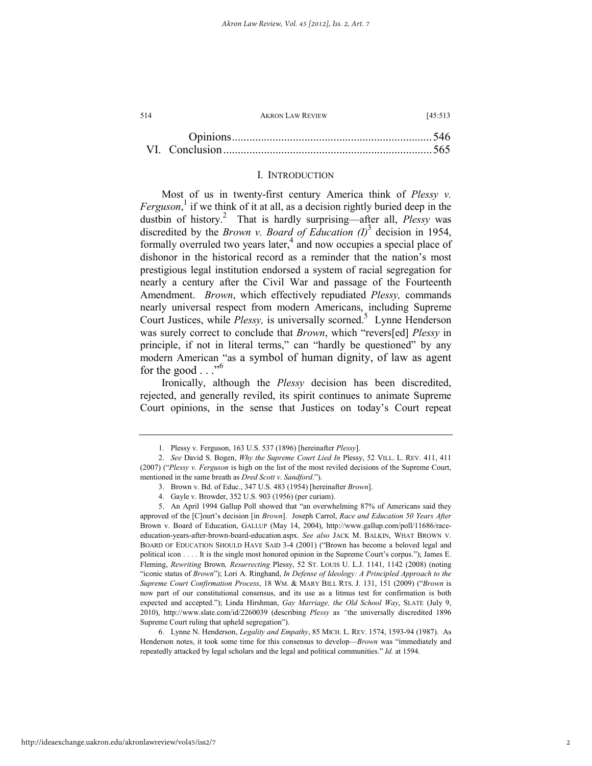| 514    | <b>AKRON LAW REVIEW</b> |  |  | [45:513] |  |
|--------|-------------------------|--|--|----------|--|
|        |                         |  |  |          |  |
| $\sim$ |                         |  |  | $-1$     |  |

#### I. INTRODUCTION

Most of us in twenty-first century America think of *Plessy v.*  Ferguson,<sup>1</sup> if we think of it at all, as a decision rightly buried deep in the dustbin of history.<sup>2</sup> That is hardly surprising—after all, *Plessy* was discredited by the *Brown v. Board of Education (I)*<sup>3</sup> decision in 1954, formally overruled two years later,<sup>4</sup> and now occupies a special place of dishonor in the historical record as a reminder that the nation's most prestigious legal institution endorsed a system of racial segregation for nearly a century after the Civil War and passage of the Fourteenth Amendment. *Brown*, which effectively repudiated *Plessy,* commands nearly universal respect from modern Americans, including Supreme Court Justices, while *Plessy*, is universally scorned.<sup>5</sup> Lynne Henderson was surely correct to conclude that *Brown*, which "revers[ed] *Plessy* in principle, if not in literal terms," can "hardly be questioned" by any modern American "as a symbol of human dignity, of law as agent for the good  $\ldots$ ."<sup>6</sup>

Ironically, although the *Plessy* decision has been discredited, rejected, and generally reviled, its spirit continues to animate Supreme Court opinions, in the sense that Justices on today's Court repeat

 <sup>1.</sup> Plessy v. Ferguson, 163 U.S. 537 (1896) [hereinafter *Plessy*].

 <sup>2.</sup> *See* David S. Bogen, *Why the Supreme Court Lied In* Plessy, 52 VILL. L. REV. 411, 411 (2007) ("*Plessy v. Ferguson* is high on the list of the most reviled decisions of the Supreme Court, mentioned in the same breath as *Dred Scott v. Sandford*.").

 <sup>3.</sup> Brown v. Bd. of Educ., 347 U.S. 483 (1954) [hereinafter *Brown*].

 <sup>4.</sup> Gayle v. Browder, 352 U.S. 903 (1956) (per curiam).

 <sup>5.</sup> An April 1994 Gallup Poll showed that "an overwhelming 87% of Americans said they approved of the [C]ourt's decision [in *Brown*]. Joseph Carrol, *Race and Education 50 Years After*  Brown v. Board of Education, GALLUP (May 14, 2004), http://www.gallup.com/poll/11686/raceeducation-years-after-brown-board-education.aspx. *See also* JACK M. BALKIN, WHAT BROWN V. BOARD OF EDUCATION SHOULD HAVE SAID 3-4 (2001) ("Brown has become a beloved legal and political icon . . . . It is the single most honored opinion in the Supreme Court's corpus."); James E. Fleming, *Rewriting* Brown*, Resurrecting* Plessy, 52 ST. LOUIS U. L.J. 1141, 1142 (2008) (noting "iconic status of *Brown*"); Lori A. Ringhand, *In Defense of Ideology: A Principled Approach to the Supreme Court Confirmation Process*, 18 WM. & MARY BILL RTS. J. 131, 151 (2009) ("*Brown* is now part of our constitutional consensus, and its use as a litmus test for confirmation is both expected and accepted."); Linda Hirshman, *Gay Marriage, the Old School Way*, SLATE (July 9, 2010), http://www.slate.com/id/2260039 (describing *Plessy* as *"*the universally discredited 1896 Supreme Court ruling that upheld segregation").

 <sup>6.</sup> Lynne N. Henderson, *Legality and Empathy*, 85 MICH. L. REV. 1574, 1593-94 (1987). As Henderson notes, it took some time for this consensus to develop—*Brown* was "immediately and repeatedly attacked by legal scholars and the legal and political communities." *Id.* at 1594.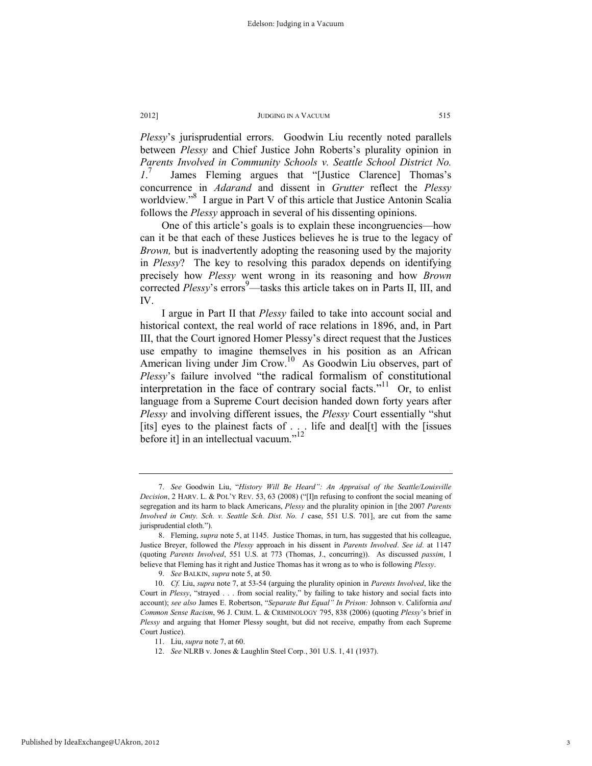*Plessy*'s jurisprudential errors. Goodwin Liu recently noted parallels between *Plessy* and Chief Justice John Roberts's plurality opinion in *Parents Involved in Community Schools v. Seattle School District No. 1*. 7 James Fleming argues that "[Justice Clarence] Thomas's concurrence in *Adarand* and dissent in *Grutter* reflect the *Plessy* worldview."<sup>8</sup> I argue in Part V of this article that Justice Antonin Scalia follows the *Plessy* approach in several of his dissenting opinions.

One of this article's goals is to explain these incongruencies—how can it be that each of these Justices believes he is true to the legacy of *Brown,* but is inadvertently adopting the reasoning used by the majority in *Plessy*? The key to resolving this paradox depends on identifying precisely how *Plessy* went wrong in its reasoning and how *Brown* corrected *Plessy*'s errors<sup>9</sup>—tasks this article takes on in Parts II, III, and IV.

I argue in Part II that *Plessy* failed to take into account social and historical context, the real world of race relations in 1896, and, in Part III, that the Court ignored Homer Plessy's direct request that the Justices use empathy to imagine themselves in his position as an African American living under Jim Crow.<sup>10</sup> As Goodwin Liu observes, part of *Plessy*'s failure involved "the radical formalism of constitutional interpretation in the face of contrary social facts."<sup>11</sup> Or, to enlist language from a Supreme Court decision handed down forty years after *Plessy* and involving different issues, the *Plessy* Court essentially "shut [its] eyes to the plainest facts of . . . life and deal[t] with the [issues before it] in an intellectual vacuum."<sup>12</sup>

 <sup>7.</sup> *See* Goodwin Liu, "*History Will Be Heard": An Appraisal of the Seattle/Louisville Decision*, 2 HARV. L. & POL'Y REV. 53, 63 (2008) ("[I]n refusing to confront the social meaning of segregation and its harm to black Americans, *Plessy* and the plurality opinion in [the 2007 *Parents Involved in Cmty. Sch. v. Seattle Sch. Dist. No. 1* case, 551 U.S. 701], are cut from the same jurisprudential cloth.")

 <sup>8.</sup> Fleming, *supra* note 5, at 1145. Justice Thomas, in turn, has suggested that his colleague, Justice Breyer, followed the *Plessy* approach in his dissent in *Parents Involved*. *See id*. at 1147 (quoting *Parents Involved*, 551 U.S. at 773 (Thomas, J., concurring)). As discussed *passim*, I believe that Fleming has it right and Justice Thomas has it wrong as to who is following *Plessy*.

 <sup>9.</sup> *See* BALKIN, *supra* note 5, at 50.

 <sup>10.</sup> *Cf.* Liu, *supra* note 7, at 53-54 (arguing the plurality opinion in *Parents Involved*, like the Court in *Plessy*, "strayed . . . from social reality," by failing to take history and social facts into account); *see also* James E. Robertson, "*Separate But Equal" In Prison:* Johnson v. California *and Common Sense Racism*, 96 J. CRIM. L. & CRIMINOLOGY 795, 838 (2006) (quoting *Plessy*'s brief in *Plessy* and arguing that Homer Plessy sought, but did not receive, empathy from each Supreme Court Justice).

 <sup>11.</sup> Liu, *supra* note 7, at 60.

 <sup>12.</sup> *See* NLRB v. Jones & Laughlin Steel Corp*.*, 301 U.S. 1, 41 (1937).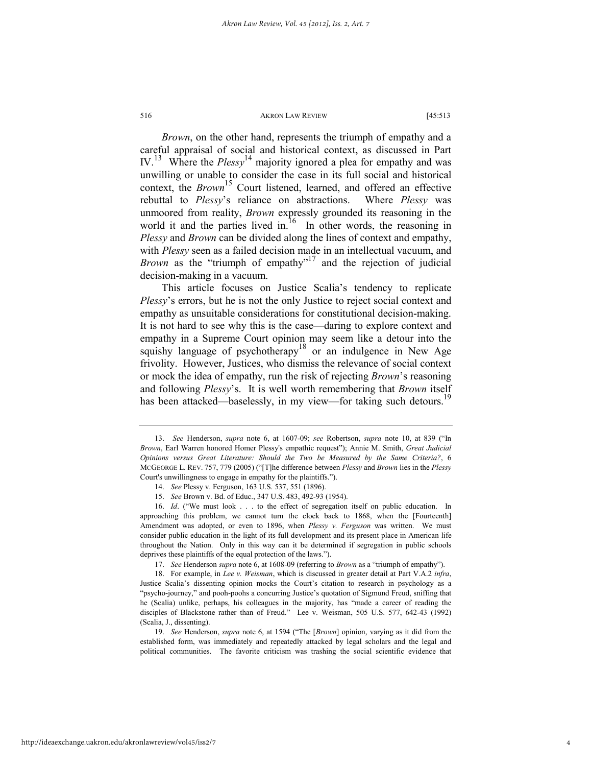*Brown*, on the other hand, represents the triumph of empathy and a careful appraisal of social and historical context, as discussed in Part IV.13 Where the *Plessy*14 majority ignored a plea for empathy and was unwilling or unable to consider the case in its full social and historical context, the *Brown*<sup>15</sup> Court listened, learned, and offered an effective rebuttal to *Plessy*'s reliance on abstractions. Where *Plessy* was unmoored from reality, *Brown* expressly grounded its reasoning in the world it and the parties lived in.<sup>16</sup> In other words, the reasoning in *Plessy* and *Brown* can be divided along the lines of context and empathy, with *Plessy* seen as a failed decision made in an intellectual vacuum, and *Brown* as the "triumph of empathy"<sup>17</sup> and the rejection of judicial decision-making in a vacuum.

This article focuses on Justice Scalia's tendency to replicate *Plessy*'s errors, but he is not the only Justice to reject social context and empathy as unsuitable considerations for constitutional decision-making. It is not hard to see why this is the case—daring to explore context and empathy in a Supreme Court opinion may seem like a detour into the squishy language of psychotherapy<sup>18</sup> or an indulgence in New Age frivolity. However, Justices, who dismiss the relevance of social context or mock the idea of empathy, run the risk of rejecting *Brown*'s reasoning and following *Plessy*'s. It is well worth remembering that *Brown* itself has been attacked—baselessly, in my view—for taking such detours.<sup>19</sup>

 <sup>13.</sup> *See* Henderson, *supra* note 6, at 1607-09; *see* Robertson, *supra* note 10, at 839 ("In *Brown*, Earl Warren honored Homer Plessy's empathic request"); Annie M. Smith, *Great Judicial Opinions versus Great Literature: Should the Two be Measured by the Same Criteria?*, 6 MCGEORGE L. REV. 757, 779 (2005) ("[T]he difference between *Plessy* and *Brown* lies in the *Plessy* Court's unwillingness to engage in empathy for the plaintiffs.").

 <sup>14.</sup> *See* Plessy v. Ferguson, 163 U.S. 537, 551 (1896).

 <sup>15.</sup> *See* Brown v. Bd. of Educ., 347 U.S. 483, 492-93 (1954).

 <sup>16.</sup> *Id*. ("We must look . . . to the effect of segregation itself on public education. In approaching this problem, we cannot turn the clock back to 1868, when the [Fourteenth] Amendment was adopted, or even to 1896, when *Plessy v. Ferguson* was written. We must consider public education in the light of its full development and its present place in American life throughout the Nation. Only in this way can it be determined if segregation in public schools deprives these plaintiffs of the equal protection of the laws.").

 <sup>17.</sup> *See* Henderson *supra* note 6, at 1608-09 (referring to *Brown* as a "triumph of empathy").

 <sup>18.</sup> For example, in *Lee v. Weisman*, which is discussed in greater detail at Part V.A.2 *infra*, Justice Scalia's dissenting opinion mocks the Court's citation to research in psychology as a "psycho-journey," and pooh-poohs a concurring Justice's quotation of Sigmund Freud, sniffing that he (Scalia) unlike, perhaps, his colleagues in the majority, has "made a career of reading the disciples of Blackstone rather than of Freud." Lee v. Weisman, 505 U.S. 577, 642-43 (1992) (Scalia, J., dissenting).

 <sup>19.</sup> *See* Henderson, *supra* note 6, at 1594 ("The [*Brown*] opinion, varying as it did from the established form, was immediately and repeatedly attacked by legal scholars and the legal and political communities. The favorite criticism was trashing the social scientific evidence that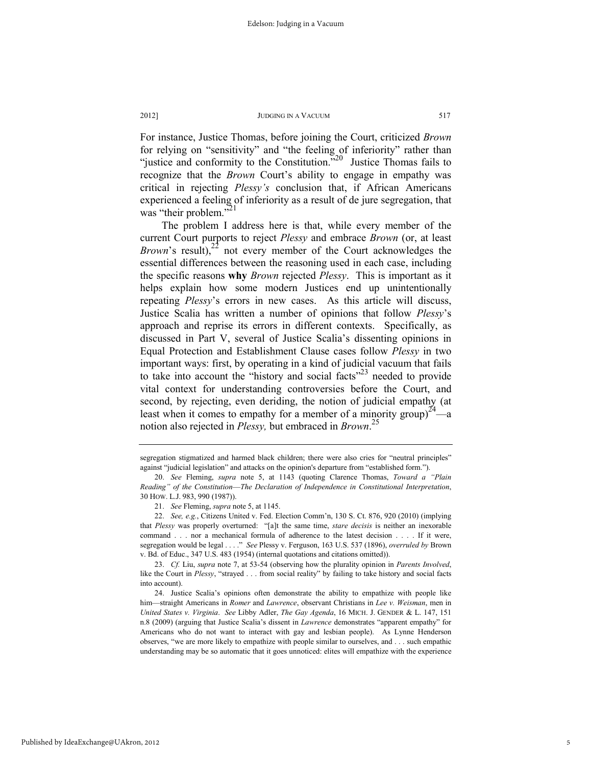For instance, Justice Thomas, before joining the Court, criticized *Brown* for relying on "sensitivity" and "the feeling of inferiority" rather than "justice and conformity to the Constitution."<sup>20</sup> Justice Thomas fails to recognize that the *Brown* Court's ability to engage in empathy was critical in rejecting *Plessy's* conclusion that, if African Americans experienced a feeling of inferiority as a result of de jure segregation, that was "their problem."<sup>21</sup>

The problem I address here is that, while every member of the current Court purports to reject *Plessy* and embrace *Brown* (or, at least *Brown*'s result),<sup>22</sup> not every member of the Court acknowledges the essential differences between the reasoning used in each case, including the specific reasons **why** *Brown* rejected *Plessy*. This is important as it helps explain how some modern Justices end up unintentionally repeating *Plessy*'s errors in new cases. As this article will discuss, Justice Scalia has written a number of opinions that follow *Plessy*'s approach and reprise its errors in different contexts. Specifically, as discussed in Part V, several of Justice Scalia's dissenting opinions in Equal Protection and Establishment Clause cases follow *Plessy* in two important ways: first, by operating in a kind of judicial vacuum that fails to take into account the "history and social facts"<sup>23</sup> needed to provide vital context for understanding controversies before the Court, and second, by rejecting, even deriding, the notion of judicial empathy (at least when it comes to empathy for a member of a minority group)<sup>24</sup>—a notion also rejected in *Plessy,* but embraced in *Brown*. 25

segregation stigmatized and harmed black children; there were also cries for "neutral principles" against "judicial legislation" and attacks on the opinion's departure from "established form.").

 <sup>20.</sup> *See* Fleming, *supra* note 5, at 1143 (quoting Clarence Thomas, *Toward a "Plain Reading" of the Constitution*—*The Declaration of Independence in Constitutional Interpretation*, 30 HOW. L.J. 983, 990 (1987)).

 <sup>21.</sup> *See* Fleming, *supra* note 5, at 1145.

 <sup>22.</sup> *See, e.g.*, Citizens United v. Fed. Election Comm'n, 130 S. Ct. 876, 920 (2010) (implying that *Plessy* was properly overturned: "[a]t the same time, *stare decisis* is neither an inexorable command . . . nor a mechanical formula of adherence to the latest decision . . . . If it were, segregation would be legal . . . ." *See* Plessy v. Ferguson, 163 U.S. 537 (1896), *overruled by* Brown v. Bd. of Educ., 347 U.S. 483 (1954) (internal quotations and citations omitted)).

 <sup>23.</sup> *Cf.* Liu, *supra* note 7, at 53-54 (observing how the plurality opinion in *Parents Involved*, like the Court in *Plessy*, "strayed . . . from social reality" by failing to take history and social facts into account).

 <sup>24.</sup> Justice Scalia's opinions often demonstrate the ability to empathize with people like him—straight Americans in *Romer* and *Lawrence*, observant Christians in *Lee v. Weisman*, men in *United States v. Virginia*. *See* Libby Adler, *The Gay Agenda*, 16 MICH. J. GENDER & L. 147, 151 n.8 (2009) (arguing that Justice Scalia's dissent in *Lawrence* demonstrates "apparent empathy" for Americans who do not want to interact with gay and lesbian people). As Lynne Henderson observes, "we are more likely to empathize with people similar to ourselves, and . . . such empathic understanding may be so automatic that it goes unnoticed: elites will empathize with the experience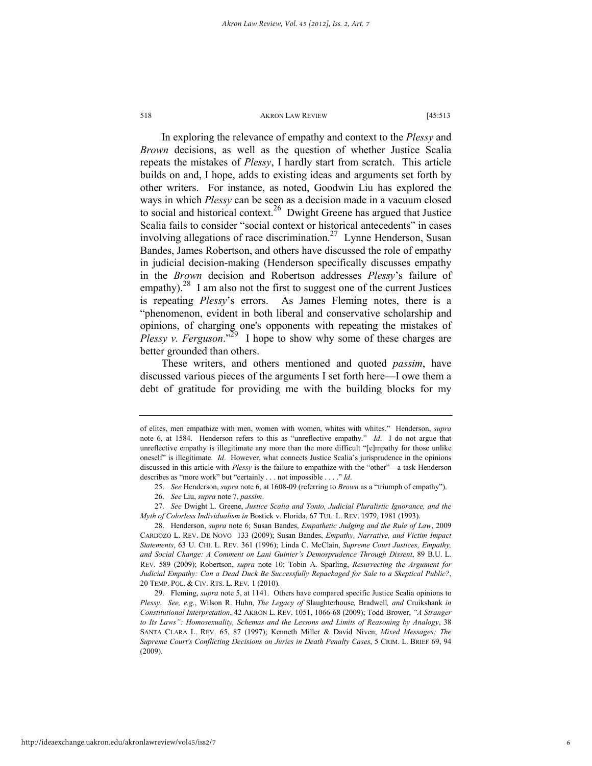In exploring the relevance of empathy and context to the *Plessy* and *Brown* decisions, as well as the question of whether Justice Scalia repeats the mistakes of *Plessy*, I hardly start from scratch. This article builds on and, I hope, adds to existing ideas and arguments set forth by other writers. For instance, as noted, Goodwin Liu has explored the ways in which *Plessy* can be seen as a decision made in a vacuum closed to social and historical context.<sup>26</sup> Dwight Greene has argued that Justice Scalia fails to consider "social context or historical antecedents" in cases involving allegations of race discrimination.<sup>27</sup> Lynne Henderson, Susan Bandes, James Robertson, and others have discussed the role of empathy in judicial decision-making (Henderson specifically discusses empathy in the *Brown* decision and Robertson addresses *Plessy*'s failure of empathy).<sup>28</sup> I am also not the first to suggest one of the current Justices is repeating *Plessy*'s errors. As James Fleming notes, there is a "phenomenon, evident in both liberal and conservative scholarship and opinions, of charging one's opponents with repeating the mistakes of *Plessy v. Ferguson*."<sup>29</sup> I hope to show why some of these charges are better grounded than others.

These writers, and others mentioned and quoted *passim*, have discussed various pieces of the arguments I set forth here—I owe them a debt of gratitude for providing me with the building blocks for my

of elites, men empathize with men, women with women, whites with whites." Henderson, *supra* note 6, at 1584. Henderson refers to this as "unreflective empathy." *Id*. I do not argue that unreflective empathy is illegitimate any more than the more difficult "[e]mpathy for those unlike oneself" is illegitimate. *Id*. However, what connects Justice Scalia's jurisprudence in the opinions discussed in this article with *Plessy* is the failure to empathize with the "other"—a task Henderson describes as "more work" but "certainly . . . not impossible . . . ." *Id*.

 <sup>25.</sup> *See* Henderson, *supra* note 6, at 1608-09 (referring to *Brown* as a "triumph of empathy").

 <sup>26.</sup> *See* Liu, *supra* note 7, *passim*.

 <sup>27.</sup> *See* Dwight L. Greene, *Justice Scalia and Tonto, Judicial Pluralistic Ignorance, and the Myth of Colorless Individualism in* Bostick v. Florida, 67 TUL. L. REV. 1979, 1981 (1993).

 <sup>28.</sup> Henderson, *supra* note 6; Susan Bandes, *Empathetic Judging and the Rule of Law*, 2009 CARDOZO L. REV. DE NOVO 133 (2009); Susan Bandes, *Empathy, Narrative, and Victim Impact Statements*, 63 U. CHI. L. REV. 361 (1996); Linda C. McClain, *Supreme Court Justices, Empathy, and Social Change: A Comment on Lani Guinier's Demosprudence Through Dissent*, 89 B.U. L. REV. 589 (2009); Robertson, *supra* note 10; Tobin A. Sparling, *Resurrecting the Argument for Judicial Empathy: Can a Dead Duck Be Successfully Repackaged for Sale to a Skeptical Public?*, 20 TEMP. POL. & CIV. RTS. L. REV. 1 (2010).

 <sup>29.</sup> Fleming, *supra* note 5, at 1141. Others have compared specific Justice Scalia opinions to *Plessy*. *See, e.g*., Wilson R. Huhn, *The Legacy of* Slaughterhouse*,* Bradwell*, and* Cruikshank *in Constitutional Interpretation*, 42 AKRON L. REV. 1051, 1066-68 (2009); Todd Brower, *"A Stranger to Its Laws": Homosexuality, Schemas and the Lessons and Limits of Reasoning by Analogy*, 38 SANTA CLARA L. REV. 65, 87 (1997); Kenneth Miller & David Niven, *Mixed Messages: The Supreme Court's Conflicting Decisions on Juries in Death Penalty Cases*, 5 CRIM. L. BRIEF 69, 94 (2009).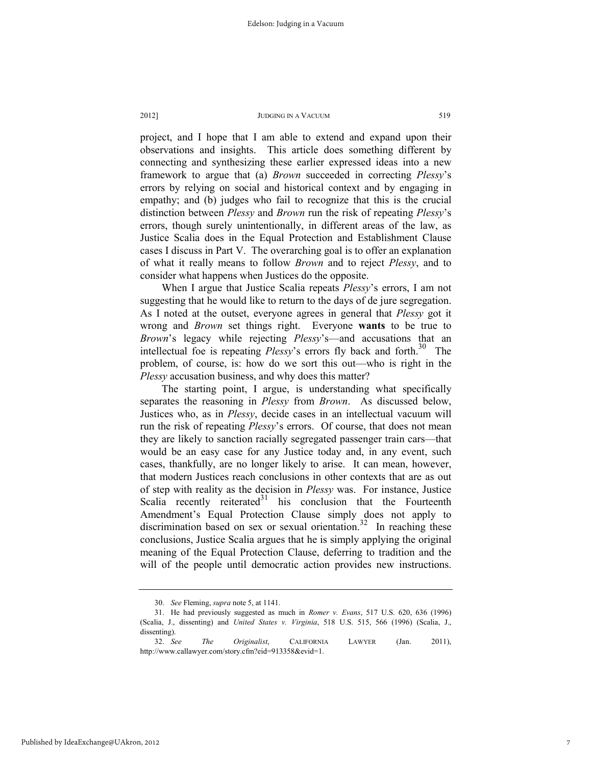project, and I hope that I am able to extend and expand upon their observations and insights. This article does something different by connecting and synthesizing these earlier expressed ideas into a new framework to argue that (a) *Brown* succeeded in correcting *Plessy*'s errors by relying on social and historical context and by engaging in empathy; and (b) judges who fail to recognize that this is the crucial distinction between *Plessy* and *Brown* run the risk of repeating *Plessy*'s errors, though surely unintentionally, in different areas of the law, as Justice Scalia does in the Equal Protection and Establishment Clause cases I discuss in Part V. The overarching goal is to offer an explanation of what it really means to follow *Brown* and to reject *Plessy*, and to consider what happens when Justices do the opposite.

When I argue that Justice Scalia repeats *Plessy*'s errors, I am not suggesting that he would like to return to the days of de jure segregation. As I noted at the outset, everyone agrees in general that *Plessy* got it wrong and *Brown* set things right. Everyone **wants** to be true to *Brown*'s legacy while rejecting *Plessy*'s—and accusations that an intellectual foe is repeating *Plessy*'s errors fly back and forth.<sup>30</sup> The problem, of course, is: how do we sort this out—who is right in the *Plessy* accusation business, and why does this matter?

The starting point, I argue, is understanding what specifically separates the reasoning in *Plessy* from *Brown*. As discussed below, Justices who, as in *Plessy*, decide cases in an intellectual vacuum will run the risk of repeating *Plessy*'s errors. Of course, that does not mean they are likely to sanction racially segregated passenger train cars—that would be an easy case for any Justice today and, in any event, such cases, thankfully, are no longer likely to arise. It can mean, however, that modern Justices reach conclusions in other contexts that are as out of step with reality as the decision in *Plessy* was. For instance, Justice Scalia recently reiterated $31$  his conclusion that the Fourteenth Amendment's Equal Protection Clause simply does not apply to discrimination based on sex or sexual orientation.<sup>32</sup> In reaching these conclusions, Justice Scalia argues that he is simply applying the original meaning of the Equal Protection Clause, deferring to tradition and the will of the people until democratic action provides new instructions.

 <sup>30.</sup> *See* Fleming, *supra* note 5, at 1141.

 <sup>31.</sup> He had previously suggested as much in *Romer v. Evans*, 517 U.S. 620, 636 (1996) (Scalia, J., dissenting) and *United States v. Virginia*, 518 U.S. 515, 566 (1996) (Scalia, J., dissenting).

 <sup>32.</sup> *See The Originalist*, CALIFORNIA LAWYER (Jan. 2011), http://www.callawyer.com/story.cfm?eid=913358&evid=1.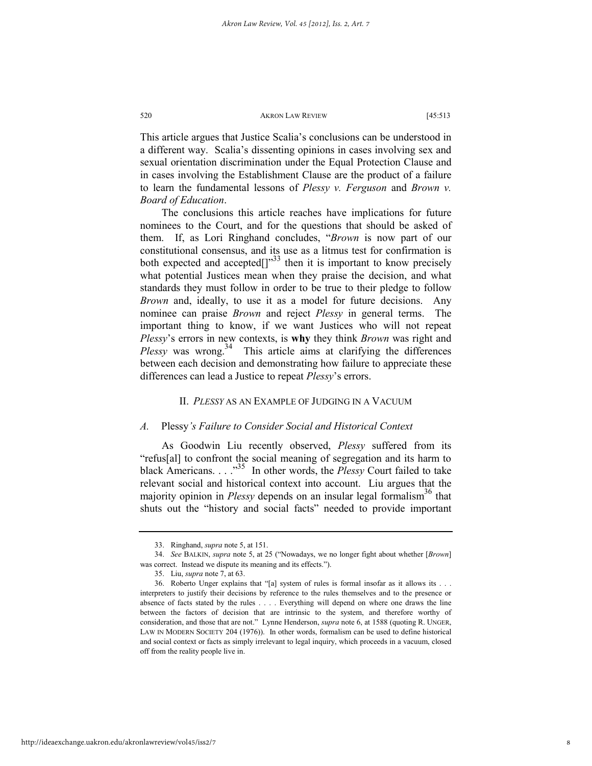This article argues that Justice Scalia's conclusions can be understood in a different way. Scalia's dissenting opinions in cases involving sex and sexual orientation discrimination under the Equal Protection Clause and in cases involving the Establishment Clause are the product of a failure to learn the fundamental lessons of *Plessy v. Ferguson* and *Brown v. Board of Education*.

The conclusions this article reaches have implications for future nominees to the Court, and for the questions that should be asked of them. If, as Lori Ringhand concludes, "*Brown* is now part of our constitutional consensus, and its use as a litmus test for confirmation is both expected and accepted $\left[\right]^{33}$  then it is important to know precisely what potential Justices mean when they praise the decision, and what standards they must follow in order to be true to their pledge to follow *Brown* and, ideally, to use it as a model for future decisions. Any nominee can praise *Brown* and reject *Plessy* in general terms. The important thing to know, if we want Justices who will not repeat *Plessy*'s errors in new contexts, is **why** they think *Brown* was right and Plessy was wrong.<sup>34</sup> This article aims at clarifying the differences between each decision and demonstrating how failure to appreciate these differences can lead a Justice to repeat *Plessy*'s errors.

### II. *PLESSY* AS AN EXAMPLE OF JUDGING IN A VACUUM

#### *A.* Plessy*'s Failure to Consider Social and Historical Context*

As Goodwin Liu recently observed, *Plessy* suffered from its "refus[al] to confront the social meaning of segregation and its harm to black Americans. . . .<sup>35</sup> In other words, the *Plessy* Court failed to take relevant social and historical context into account. Liu argues that the majority opinion in *Plessy* depends on an insular legal formalism<sup>36</sup> that shuts out the "history and social facts" needed to provide important

 <sup>33.</sup> Ringhand, *supra* note 5, at 151.

 <sup>34.</sup> *See* BALKIN, *supra* note 5, at 25 ("Nowadays, we no longer fight about whether [*Brown*] was correct. Instead we dispute its meaning and its effects.").

 <sup>35.</sup> Liu, *supra* note 7, at 63.

 <sup>36.</sup> Roberto Unger explains that "[a] system of rules is formal insofar as it allows its . . . interpreters to justify their decisions by reference to the rules themselves and to the presence or absence of facts stated by the rules . . . . Everything will depend on where one draws the line between the factors of decision that are intrinsic to the system, and therefore worthy of consideration, and those that are not." Lynne Henderson, *supra* note 6, at 1588 (quoting R. UNGER, LAW IN MODERN SOCIETY 204 (1976)). In other words, formalism can be used to define historical and social context or facts as simply irrelevant to legal inquiry, which proceeds in a vacuum, closed off from the reality people live in.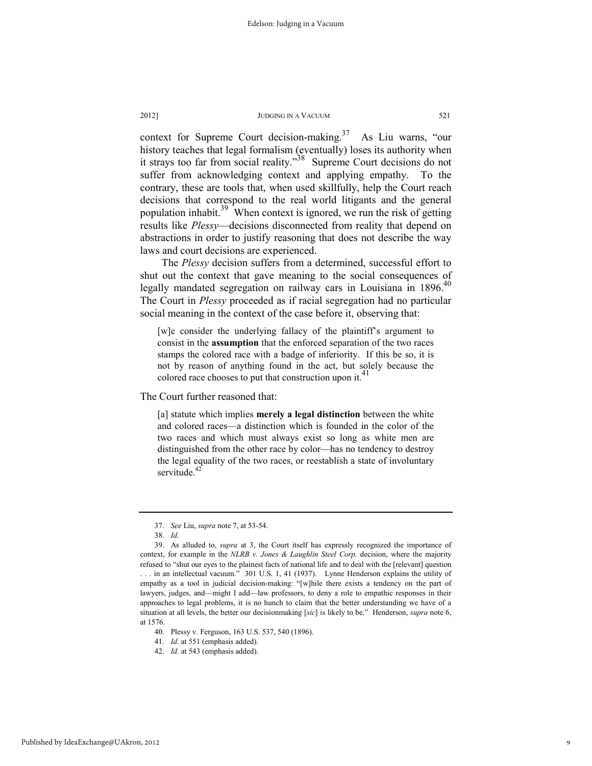context for Supreme Court decision-making.<sup>37</sup> As Liu warns, "our history teaches that legal formalism (eventually) loses its authority when it strays too far from social reality."<sup>38</sup> Supreme Court decisions do not suffer from acknowledging context and applying empathy. To the contrary, these are tools that, when used skillfully, help the Court reach decisions that correspond to the real world litigants and the general population inhabit.<sup>39</sup> When context is ignored, we run the risk of getting results like *Plessy*—decisions disconnected from reality that depend on abstractions in order to justify reasoning that does not describe the way laws and court decisions are experienced.

The *Plessy* decision suffers from a determined, successful effort to shut out the context that gave meaning to the social consequences of legally mandated segregation on railway cars in Louisiana in  $1896$ <sup>40</sup> The Court in *Plessy* proceeded as if racial segregation had no particular social meaning in the context of the case before it, observing that:

[w]e consider the underlying fallacy of the plaintiff's argument to consist in the **assumption** that the enforced separation of the two races stamps the colored race with a badge of inferiority. If this be so, it is not by reason of anything found in the act, but solely because the colored race chooses to put that construction upon it.

The Court further reasoned that:

[a] statute which implies **merely a legal distinction** between the white and colored races—a distinction which is founded in the color of the two races and which must always exist so long as white men are distinguished from the other race by color—has no tendency to destroy the legal equality of the two races, or reestablish a state of involuntary servitude. $4$ 

 <sup>37.</sup> *See* Liu, *supra* note 7, at 53-54.

 <sup>38.</sup> *Id*.

 <sup>39.</sup> As alluded to, *supra* at 3, the Court itself has expressly recognized the importance of context, for example in the *NLRB v. Jones & Laughlin Steel Corp.* decision, where the majority refused to "shut our eyes to the plainest facts of national life and to deal with the [relevant] question . . . in an intellectual vacuum." 301 U.S. 1, 41 (1937). Lynne Henderson explains the utility of empathy as a tool in judicial decision-making: "[w]hile there exists a tendency on the part of lawyers, judges, and—might I add—law professors, to deny a role to empathic responses in their approaches to legal problems, it is no hunch to claim that the better understanding we have of a situation at all levels, the better our decisionmaking [*sic*] is likely to be." Henderson, *supra* note 6,

at 1576.

 <sup>40.</sup> Plessy v. Ferguson, 163 U.S. 537, 540 (1896).

 <sup>41.</sup> *Id.* at 551 (emphasis added).

 <sup>42.</sup> *Id.* at 543 (emphasis added).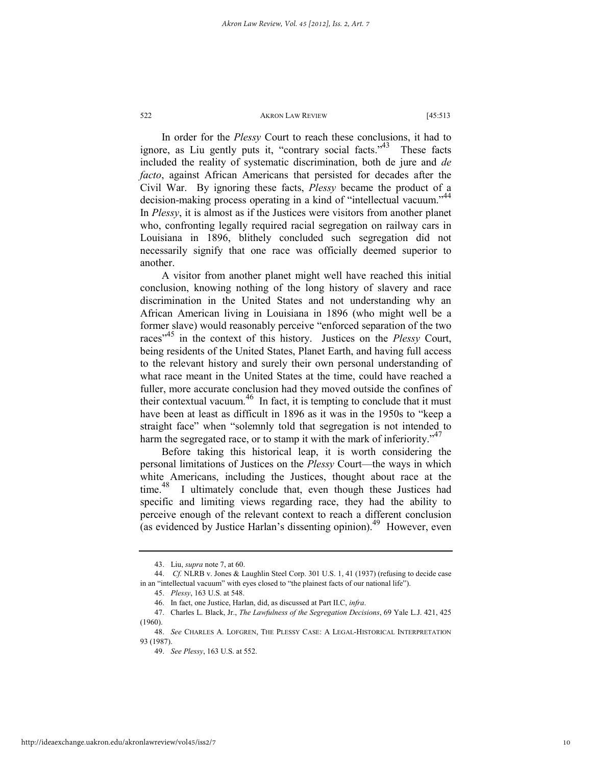In order for the *Plessy* Court to reach these conclusions, it had to ignore, as Liu gently puts it, "contrary social facts."<sup>43</sup> These facts included the reality of systematic discrimination, both de jure and *de facto*, against African Americans that persisted for decades after the Civil War. By ignoring these facts, *Plessy* became the product of a decision-making process operating in a kind of "intellectual vacuum."<sup>44</sup> In *Plessy*, it is almost as if the Justices were visitors from another planet who, confronting legally required racial segregation on railway cars in Louisiana in 1896, blithely concluded such segregation did not necessarily signify that one race was officially deemed superior to another.

A visitor from another planet might well have reached this initial conclusion, knowing nothing of the long history of slavery and race discrimination in the United States and not understanding why an African American living in Louisiana in 1896 (who might well be a former slave) would reasonably perceive "enforced separation of the two races<sup>"45</sup> in the context of this history. Justices on the *Plessy* Court, being residents of the United States, Planet Earth, and having full access to the relevant history and surely their own personal understanding of what race meant in the United States at the time, could have reached a fuller, more accurate conclusion had they moved outside the confines of their contextual vacuum.<sup>46</sup> In fact, it is tempting to conclude that it must have been at least as difficult in 1896 as it was in the 1950s to "keep a straight face" when "solemnly told that segregation is not intended to harm the segregated race, or to stamp it with the mark of inferiority. $147$ 

Before taking this historical leap, it is worth considering the personal limitations of Justices on the *Plessy* Court—the ways in which white Americans, including the Justices, thought about race at the time.<sup>48</sup> I ultimately conclude that, even though these Justices had specific and limiting views regarding race, they had the ability to perceive enough of the relevant context to reach a different conclusion (as evidenced by Justice Harlan's dissenting opinion).<sup>49</sup> However, even

 <sup>43.</sup> Liu, *supra* note 7, at 60.

 <sup>44.</sup> *Cf.* NLRB v. Jones & Laughlin Steel Corp. 301 U.S. 1, 41 (1937) (refusing to decide case in an "intellectual vacuum" with eyes closed to "the plainest facts of our national life").

 <sup>45.</sup> *Plessy*, 163 U.S. at 548.

 <sup>46.</sup> In fact, one Justice, Harlan, did, as discussed at Part II.C, *infra*.

 <sup>47.</sup> Charles L. Black, Jr., *The Lawfulness of the Segregation Decisions*, 69 Yale L.J. 421, 425 (1960).

 <sup>48.</sup> *See* CHARLES A. LOFGREN, THE PLESSY CASE: A LEGAL-HISTORICAL INTERPRETATION 93 (1987).

 <sup>49.</sup> *See Plessy*, 163 U.S. at 552.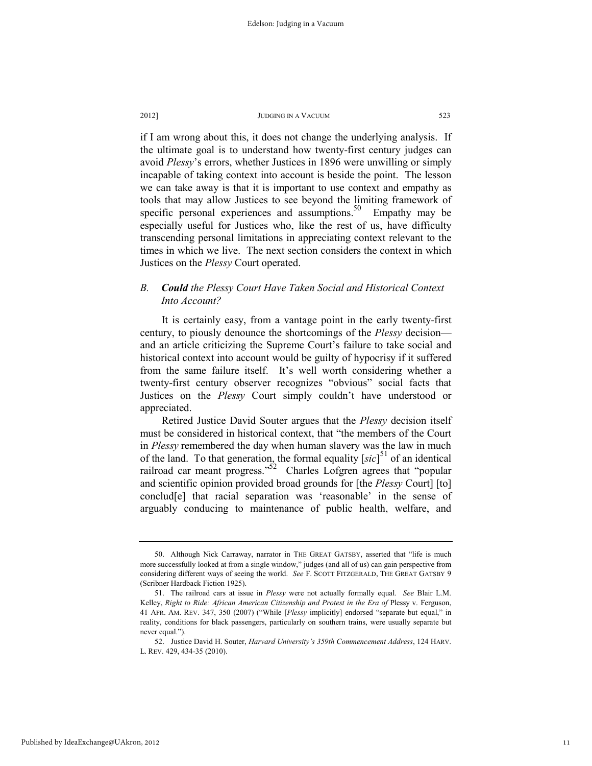if I am wrong about this, it does not change the underlying analysis. If the ultimate goal is to understand how twenty-first century judges can avoid *Plessy*'s errors, whether Justices in 1896 were unwilling or simply incapable of taking context into account is beside the point. The lesson we can take away is that it is important to use context and empathy as tools that may allow Justices to see beyond the limiting framework of specific personal experiences and assumptions. $50$  Empathy may be especially useful for Justices who, like the rest of us, have difficulty transcending personal limitations in appreciating context relevant to the times in which we live. The next section considers the context in which Justices on the *Plessy* Court operated.

# *B. Could the Plessy Court Have Taken Social and Historical Context Into Account?*

It is certainly easy, from a vantage point in the early twenty-first century, to piously denounce the shortcomings of the *Plessy* decision and an article criticizing the Supreme Court's failure to take social and historical context into account would be guilty of hypocrisy if it suffered from the same failure itself. It's well worth considering whether a twenty-first century observer recognizes "obvious" social facts that Justices on the *Plessy* Court simply couldn't have understood or appreciated.

Retired Justice David Souter argues that the *Plessy* decision itself must be considered in historical context, that "the members of the Court in *Plessy* remembered the day when human slavery was the law in much of the land. To that generation, the formal equality  $[sic]$ <sup>51</sup> of an identical railroad car meant progress."<sup>52</sup> Charles Lofgren agrees that "popular and scientific opinion provided broad grounds for [the *Plessy* Court] [to] conclud[e] that racial separation was 'reasonable' in the sense of arguably conducing to maintenance of public health, welfare, and

 <sup>50.</sup> Although Nick Carraway, narrator in THE GREAT GATSBY, asserted that "life is much more successfully looked at from a single window," judges (and all of us) can gain perspective from considering different ways of seeing the world. *See* F. SCOTT FITZGERALD, THE GREAT GATSBY 9 (Scribner Hardback Fiction 1925).

 <sup>51.</sup> The railroad cars at issue in *Plessy* were not actually formally equal. *See* Blair L.M. Kelley, *Right to Ride: African American Citizenship and Protest in the Era of Plessy v. Ferguson,* 41 AFR. AM. REV. 347, 350 (2007) ("While [*Plessy* implicitly] endorsed "separate but equal," in reality, conditions for black passengers, particularly on southern trains, were usually separate but never equal.").

 <sup>52.</sup> Justice David H. Souter, *Harvard University's 359th Commencement Address*, 124 HARV. L. REV. 429, 434-35 (2010).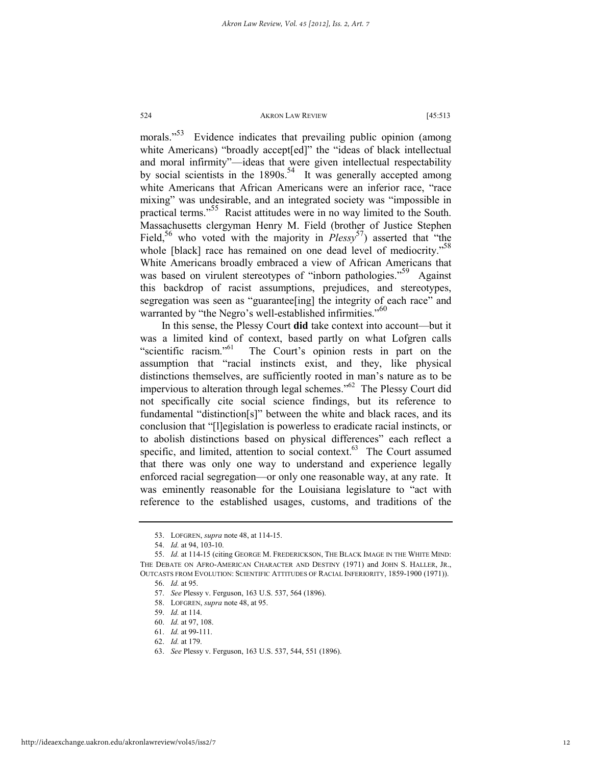morals."<sup>53</sup> Evidence indicates that prevailing public opinion (among white Americans) "broadly accept[ed]" the "ideas of black intellectual and moral infirmity"—ideas that were given intellectual respectability by social scientists in the  $1890s$ .<sup>54</sup> It was generally accepted among white Americans that African Americans were an inferior race, "race mixing" was undesirable, and an integrated society was "impossible in practical terms."<sup>55</sup> Racist attitudes were in no way limited to the South. Massachusetts clergyman Henry M. Field (brother of Justice Stephen Field,<sup>56</sup> who voted with the majority in *Plessy*<sup>57</sup>) asserted that "the whole [black] race has remained on one dead level of mediocrity."<sup>58</sup> White Americans broadly embraced a view of African Americans that was based on virulent stereotypes of "inborn pathologies."<sup>59</sup> Against this backdrop of racist assumptions, prejudices, and stereotypes, segregation was seen as "guarantee[ing] the integrity of each race" and warranted by "the Negro's well-established infirmities."<sup>60</sup>

In this sense, the Plessy Court **did** take context into account—but it was a limited kind of context, based partly on what Lofgren calls "scientific racism."<sup>61</sup> The Court's opinion rests in part on the assumption that "racial instincts exist, and they, like physical distinctions themselves, are sufficiently rooted in man's nature as to be impervious to alteration through legal schemes."62 The Plessy Court did not specifically cite social science findings, but its reference to fundamental "distinction[s]" between the white and black races, and its conclusion that "[l]egislation is powerless to eradicate racial instincts, or to abolish distinctions based on physical differences" each reflect a specific, and limited, attention to social context.<sup>63</sup> The Court assumed that there was only one way to understand and experience legally enforced racial segregation—or only one reasonable way, at any rate. It was eminently reasonable for the Louisiana legislature to "act with reference to the established usages, customs, and traditions of the

 <sup>53.</sup> LOFGREN, *supra* note 48, at 114-15.

 <sup>54.</sup> *Id.* at 94, 103-10.

 <sup>55.</sup> *Id.* at 114-15 (citing GEORGE M. FREDERICKSON, THE BLACK IMAGE IN THE WHITE MIND: THE DEBATE ON AFRO-AMERICAN CHARACTER AND DESTINY (1971) and JOHN S. HALLER, JR., OUTCASTS FROM EVOLUTION: SCIENTIFIC ATTITUDES OF RACIAL INFERIORITY, 1859-1900 (1971)). 56. *Id.* at 95.

 <sup>57.</sup> *See* Plessy v. Ferguson, 163 U.S. 537, 564 (1896).

 <sup>58.</sup> LOFGREN, *supra* note 48, at 95.

 <sup>59.</sup> *Id.* at 114.

 <sup>60.</sup> *Id.* at 97, 108.

 <sup>61.</sup> *Id.* at 99-111.

 <sup>62.</sup> *Id.* at 179.

 <sup>63.</sup> *See* Plessy v. Ferguson, 163 U.S. 537, 544, 551 (1896).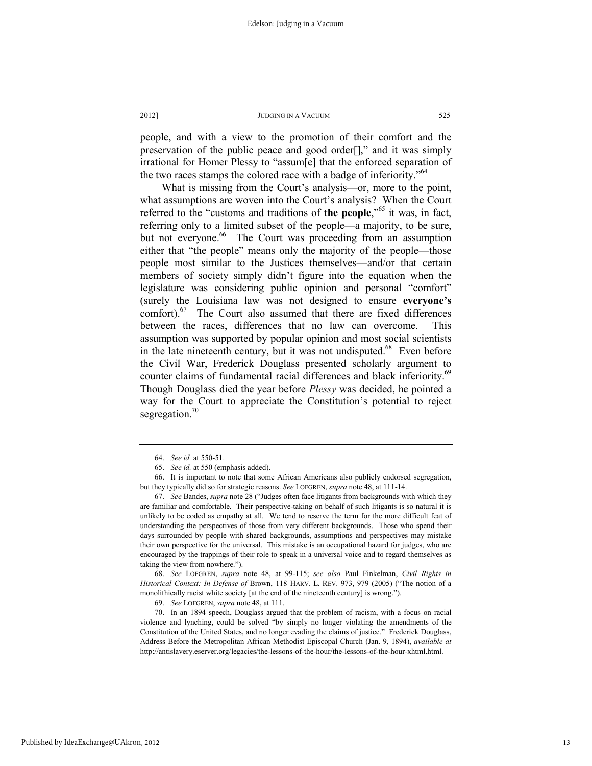people, and with a view to the promotion of their comfort and the preservation of the public peace and good order[]," and it was simply irrational for Homer Plessy to "assum[e] that the enforced separation of the two races stamps the colored race with a badge of inferiority."<sup>64</sup>

What is missing from the Court's analysis—or, more to the point, what assumptions are woven into the Court's analysis? When the Court referred to the "customs and traditions of **the people**,"<sup>65</sup> it was, in fact, referring only to a limited subset of the people—a majority, to be sure, but not everyone.<sup>66</sup> The Court was proceeding from an assumption either that "the people" means only the majority of the people—those people most similar to the Justices themselves—and/or that certain members of society simply didn't figure into the equation when the legislature was considering public opinion and personal "comfort" (surely the Louisiana law was not designed to ensure **everyone's** comfort). $67$  The Court also assumed that there are fixed differences between the races, differences that no law can overcome. This assumption was supported by popular opinion and most social scientists in the late nineteenth century, but it was not undisputed. $68$  Even before the Civil War, Frederick Douglass presented scholarly argument to counter claims of fundamental racial differences and black inferiority.<sup>69</sup> Though Douglass died the year before *Plessy* was decided, he pointed a way for the Court to appreciate the Constitution's potential to reject segregation. $\frac{70}{2}$ 

 68. *See* LOFGREN, *supra* note 48, at 99-115; *see also* Paul Finkelman, *Civil Rights in Historical Context: In Defense of* Brown, 118 HARV. L. REV. 973, 979 (2005) ("The notion of a monolithically racist white society [at the end of the nineteenth century] is wrong.").

 <sup>64.</sup> *See id.* at 550-51.

 <sup>65.</sup> *See id.* at 550 (emphasis added).

 <sup>66.</sup> It is important to note that some African Americans also publicly endorsed segregation, but they typically did so for strategic reasons. *See* LOFGREN, *supra* note 48, at 111-14.

 <sup>67.</sup> *See* Bandes, *supra* note 28 ("Judges often face litigants from backgrounds with which they are familiar and comfortable. Their perspective-taking on behalf of such litigants is so natural it is unlikely to be coded as empathy at all. We tend to reserve the term for the more difficult feat of understanding the perspectives of those from very different backgrounds. Those who spend their days surrounded by people with shared backgrounds, assumptions and perspectives may mistake their own perspective for the universal. This mistake is an occupational hazard for judges, who are encouraged by the trappings of their role to speak in a universal voice and to regard themselves as taking the view from nowhere.").

 <sup>69.</sup> *See* LOFGREN, *supra* note 48, at 111.

 <sup>70.</sup> In an 1894 speech, Douglass argued that the problem of racism, with a focus on racial violence and lynching, could be solved "by simply no longer violating the amendments of the Constitution of the United States, and no longer evading the claims of justice." Frederick Douglass, Address Before the Metropolitan African Methodist Episcopal Church (Jan. 9, 1894), *available at*  http://antislavery.eserver.org/legacies/the-lessons-of-the-hour/the-lessons-of-the-hour-xhtml.html.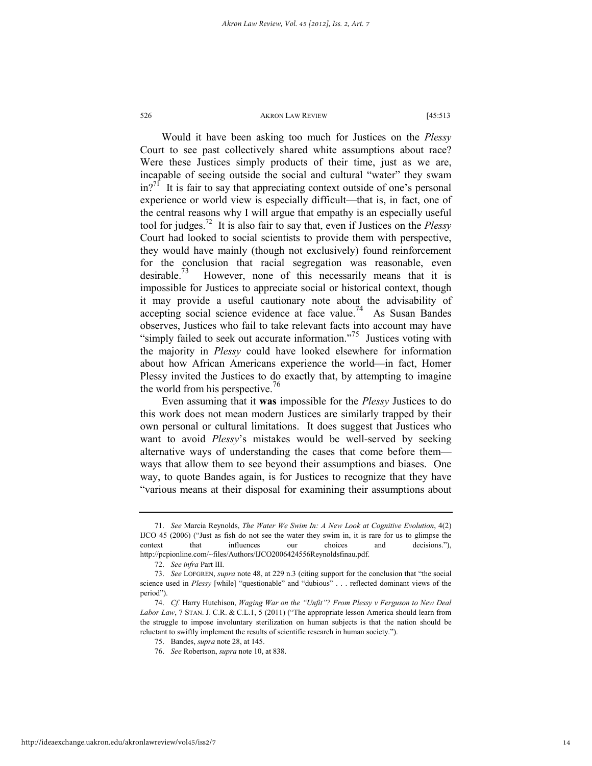Would it have been asking too much for Justices on the *Plessy* Court to see past collectively shared white assumptions about race? Were these Justices simply products of their time, just as we are, incapable of seeing outside the social and cultural "water" they swam  $in^{\gamma_1}$  It is fair to say that appreciating context outside of one's personal experience or world view is especially difficult—that is, in fact, one of the central reasons why I will argue that empathy is an especially useful tool for judges.72 It is also fair to say that, even if Justices on the *Plessy* Court had looked to social scientists to provide them with perspective, they would have mainly (though not exclusively) found reinforcement for the conclusion that racial segregation was reasonable, even desirable.<sup>73</sup> However, none of this necessarily means that it is impossible for Justices to appreciate social or historical context, though it may provide a useful cautionary note about the advisability of  $\alpha$  accepting social science evidence at face value.<sup>74</sup> As Susan Bandes observes, Justices who fail to take relevant facts into account may have "simply failed to seek out accurate information."<sup>75</sup> Justices voting with the majority in *Plessy* could have looked elsewhere for information about how African Americans experience the world—in fact, Homer Plessy invited the Justices to do exactly that, by attempting to imagine the world from his perspective.<sup>76</sup>

Even assuming that it **was** impossible for the *Plessy* Justices to do this work does not mean modern Justices are similarly trapped by their own personal or cultural limitations. It does suggest that Justices who want to avoid *Plessy*'s mistakes would be well-served by seeking alternative ways of understanding the cases that come before them ways that allow them to see beyond their assumptions and biases. One way, to quote Bandes again, is for Justices to recognize that they have "various means at their disposal for examining their assumptions about

 <sup>71.</sup> *See* Marcia Reynolds, *The Water We Swim In: A New Look at Cognitive Evolution*, 4(2) IJCO 45 (2006) ("Just as fish do not see the water they swim in, it is rare for us to glimpse the context that influences our choices and decisions."), http://pcpionline.com/~files/Authors/IJCO2006424556Reynoldsfinau.pdf.

 <sup>72.</sup> *See infra* Part III.

 <sup>73.</sup> *See* LOFGREN, *supra* note 48, at 229 n.3 (citing support for the conclusion that "the social science used in *Plessy* [while] "questionable" and "dubious" . . . reflected dominant views of the period").

 <sup>74.</sup> *Cf.* Harry Hutchison, *Waging War on the "Unfit"? From Plessy v Ferguson to New Deal Labor Law*, 7 STAN. J. C.R. & C.L.1, 5 (2011) ("The appropriate lesson America should learn from the struggle to impose involuntary sterilization on human subjects is that the nation should be reluctant to swiftly implement the results of scientific research in human society.").

 <sup>75.</sup> Bandes, *supra* note 28, at 145.

 <sup>76.</sup> *See* Robertson, *supra* note 10, at 838.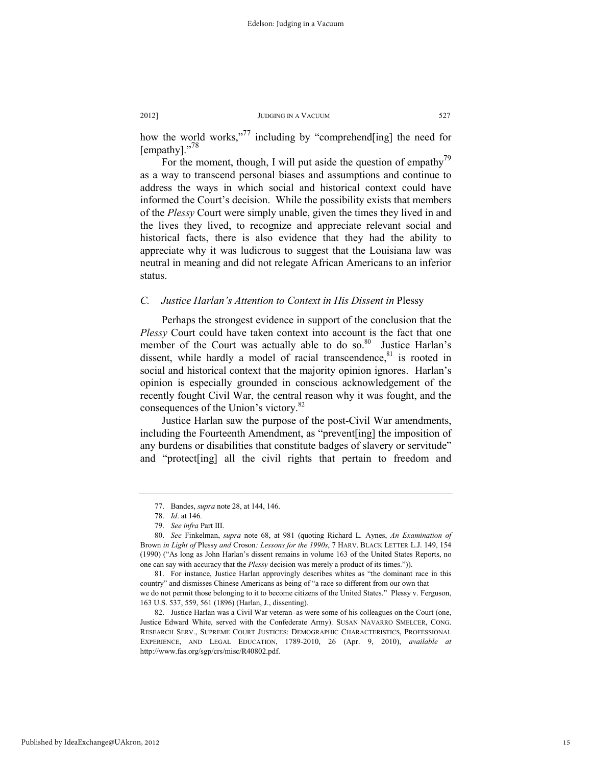how the world works,"<sup>77</sup> including by "comprehend[ing] the need for [empathy]."<sup>78</sup>

For the moment, though, I will put aside the question of empathy<sup> $\prime$ 9</sup> as a way to transcend personal biases and assumptions and continue to address the ways in which social and historical context could have informed the Court's decision. While the possibility exists that members of the *Plessy* Court were simply unable, given the times they lived in and the lives they lived, to recognize and appreciate relevant social and historical facts, there is also evidence that they had the ability to appreciate why it was ludicrous to suggest that the Louisiana law was neutral in meaning and did not relegate African Americans to an inferior status.

# *C. Justice Harlan's Attention to Context in His Dissent in* Plessy

Perhaps the strongest evidence in support of the conclusion that the *Plessy* Court could have taken context into account is the fact that one member of the Court was actually able to do so.<sup>80</sup> Justice Harlan's dissent, while hardly a model of racial transcendence, $81$  is rooted in social and historical context that the majority opinion ignores. Harlan's opinion is especially grounded in conscious acknowledgement of the recently fought Civil War, the central reason why it was fought, and the consequences of the Union's victory.<sup>82</sup>

Justice Harlan saw the purpose of the post-Civil War amendments, including the Fourteenth Amendment, as "prevent[ing] the imposition of any burdens or disabilities that constitute badges of slavery or servitude" and "protect[ing] all the civil rights that pertain to freedom and

 <sup>77.</sup> Bandes, *supra* note 28, at 144, 146.

 <sup>78.</sup> *Id*. at 146.

 <sup>79.</sup> *See infra* Part III.

 <sup>80.</sup> *See* Finkelman, *supra* note 68, at 981 (quoting Richard L. Aynes, *An Examination of*  Brown *in Light of* Plessy *and* Croson*: Lessons for the 1990s*, 7 HARV. BLACK LETTER L.J. 149, 154 (1990) ("As long as John Harlan's dissent remains in volume 163 of the United States Reports, no one can say with accuracy that the *Plessy* decision was merely a product of its times.")).

 <sup>81.</sup> For instance, Justice Harlan approvingly describes whites as "the dominant race in this country" and dismisses Chinese Americans as being of "a race so different from our own that we do not permit those belonging to it to become citizens of the United States." Plessy v. Ferguson,

<sup>163</sup> U.S. 537, 559, 561 (1896) (Harlan, J., dissenting).

 <sup>82.</sup> Justice Harlan was a Civil War veteran–as were some of his colleagues on the Court (one, Justice Edward White, served with the Confederate Army). SUSAN NAVARRO SMELCER, CONG. RESEARCH SERV., SUPREME COURT JUSTICES: DEMOGRAPHIC CHARACTERISTICS, PROFESSIONAL EXPERIENCE, AND LEGAL EDUCATION, 1789-2010, 26 (Apr. 9, 2010), *available at*  http://www.fas.org/sgp/crs/misc/R40802.pdf.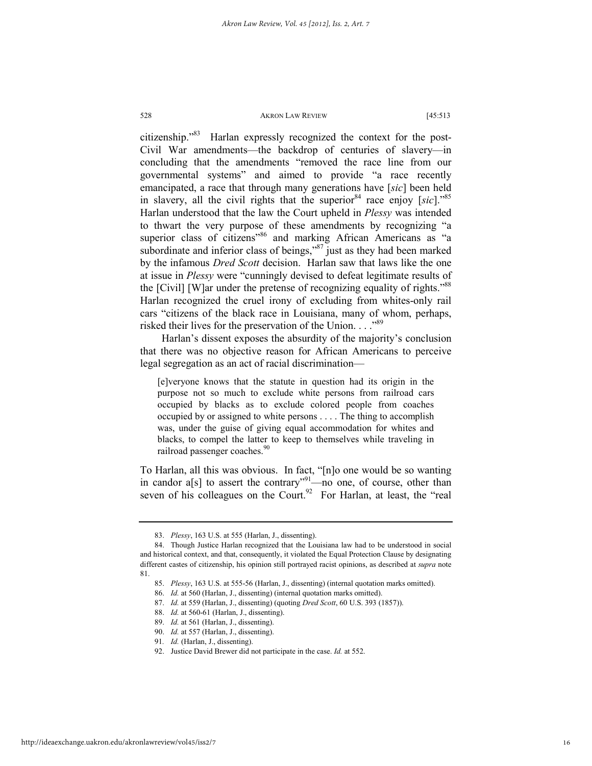citizenship."83 Harlan expressly recognized the context for the post-Civil War amendments—the backdrop of centuries of slavery—in concluding that the amendments "removed the race line from our governmental systems" and aimed to provide "a race recently emancipated, a race that through many generations have [*sic*] been held in slavery, all the civil rights that the superior<sup>84</sup> race enjoy [ $\text{sic}$ ]."<sup>85</sup> Harlan understood that the law the Court upheld in *Plessy* was intended to thwart the very purpose of these amendments by recognizing "a superior class of citizens"<sup>86</sup> and marking African Americans as "a subordinate and inferior class of beings,"<sup>87</sup> just as they had been marked by the infamous *Dred Scott* decision. Harlan saw that laws like the one at issue in *Plessy* were "cunningly devised to defeat legitimate results of the [Civil] [W]ar under the pretense of recognizing equality of rights."<sup>88</sup> Harlan recognized the cruel irony of excluding from whites-only rail cars "citizens of the black race in Louisiana, many of whom, perhaps, risked their lives for the preservation of the Union. . . . "89

Harlan's dissent exposes the absurdity of the majority's conclusion that there was no objective reason for African Americans to perceive legal segregation as an act of racial discrimination—

[e]veryone knows that the statute in question had its origin in the purpose not so much to exclude white persons from railroad cars occupied by blacks as to exclude colored people from coaches occupied by or assigned to white persons . . . . The thing to accomplish was, under the guise of giving equal accommodation for whites and blacks, to compel the latter to keep to themselves while traveling in railroad passenger coaches.<sup>90</sup>

To Harlan, all this was obvious. In fact, "[n]o one would be so wanting in candor a[s] to assert the contrary<sup>"91</sup>—no one, of course, other than seven of his colleagues on the Court.<sup>92</sup> For Harlan, at least, the "real

 <sup>83.</sup> *Plessy*, 163 U.S. at 555 (Harlan, J., dissenting).

 <sup>84.</sup> Though Justice Harlan recognized that the Louisiana law had to be understood in social and historical context, and that, consequently, it violated the Equal Protection Clause by designating different castes of citizenship, his opinion still portrayed racist opinions, as described at *supra* note 81.

 <sup>85.</sup> *Plessy*, 163 U.S. at 555-56 (Harlan, J., dissenting) (internal quotation marks omitted).

 <sup>86.</sup> *Id.* at 560 (Harlan, J., dissenting) (internal quotation marks omitted).

 <sup>87.</sup> *Id.* at 559 (Harlan, J., dissenting) (quoting *Dred Scott*, 60 U.S. 393 (1857)).

 <sup>88.</sup> *Id.* at 560-61 (Harlan, J., dissenting).

 <sup>89.</sup> *Id.* at 561 (Harlan, J., dissenting).

 <sup>90.</sup> *Id.* at 557 (Harlan, J., dissenting).

<sup>91</sup>*. Id.* (Harlan, J., dissenting).

 <sup>92.</sup> Justice David Brewer did not participate in the case. *Id.* at 552.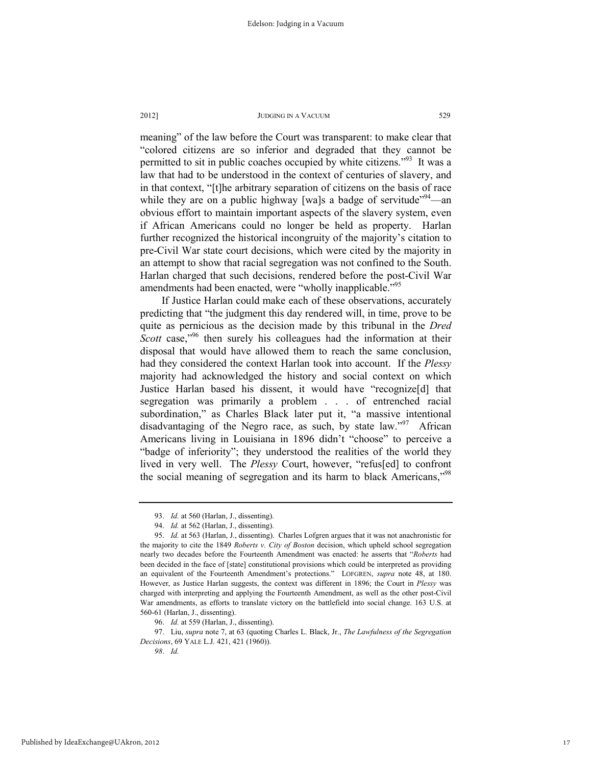meaning" of the law before the Court was transparent: to make clear that "colored citizens are so inferior and degraded that they cannot be permitted to sit in public coaches occupied by white citizens."<sup>93</sup> It was a law that had to be understood in the context of centuries of slavery, and in that context, "[t]he arbitrary separation of citizens on the basis of race while they are on a public highway [wa]s a badge of servitude<sup> $394$ </sup>—an obvious effort to maintain important aspects of the slavery system, even if African Americans could no longer be held as property. Harlan further recognized the historical incongruity of the majority's citation to pre-Civil War state court decisions, which were cited by the majority in an attempt to show that racial segregation was not confined to the South. Harlan charged that such decisions, rendered before the post-Civil War amendments had been enacted, were "wholly inapplicable."<sup>95</sup>

If Justice Harlan could make each of these observations, accurately predicting that "the judgment this day rendered will, in time, prove to be quite as pernicious as the decision made by this tribunal in the *Dred Scott* case,<sup>"96</sup> then surely his colleagues had the information at their disposal that would have allowed them to reach the same conclusion, had they considered the context Harlan took into account.If the *Plessy* majority had acknowledged the history and social context on which Justice Harlan based his dissent, it would have "recognize[d] that segregation was primarily a problem . . . of entrenched racial subordination," as Charles Black later put it, "a massive intentional disadvantaging of the Negro race, as such, by state law."<sup>97</sup> African Americans living in Louisiana in 1896 didn't "choose" to perceive a "badge of inferiority"; they understood the realities of the world they lived in very well. The *Plessy* Court, however, "refus[ed] to confront the social meaning of segregation and its harm to black Americans,"98

 <sup>93.</sup> *Id.* at 560 (Harlan, J., dissenting).

 <sup>94.</sup> *Id.* at 562 (Harlan, J., dissenting).

 <sup>95.</sup> *Id.* at 563 (Harlan, J., dissenting). Charles Lofgren argues that it was not anachronistic for the majority to cite the 1849 *Roberts v. City of Boston* decision, which upheld school segregation nearly two decades before the Fourteenth Amendment was enacted: he asserts that "*Roberts* had been decided in the face of [state] constitutional provisions which could be interpreted as providing an equivalent of the Fourteenth Amendment's protections." LOFGREN, *supra* note 48, at 180. However, as Justice Harlan suggests, the context was different in 1896; the Court in *Plessy* was charged with interpreting and applying the Fourteenth Amendment, as well as the other post-Civil War amendments, as efforts to translate victory on the battlefield into social change. 163 U.S. at 560-61 (Harlan, J., dissenting).

 <sup>96.</sup> *Id.* at 559 (Harlan, J., dissenting).

 <sup>97.</sup> Liu, *supra* note 7, at 63 (quoting Charles L. Black, Jr., *The Lawfulness of the Segregation Decisions*, 69 YALE L.J. 421, 421 (1960)).

*<sup>98</sup>*. *Id.*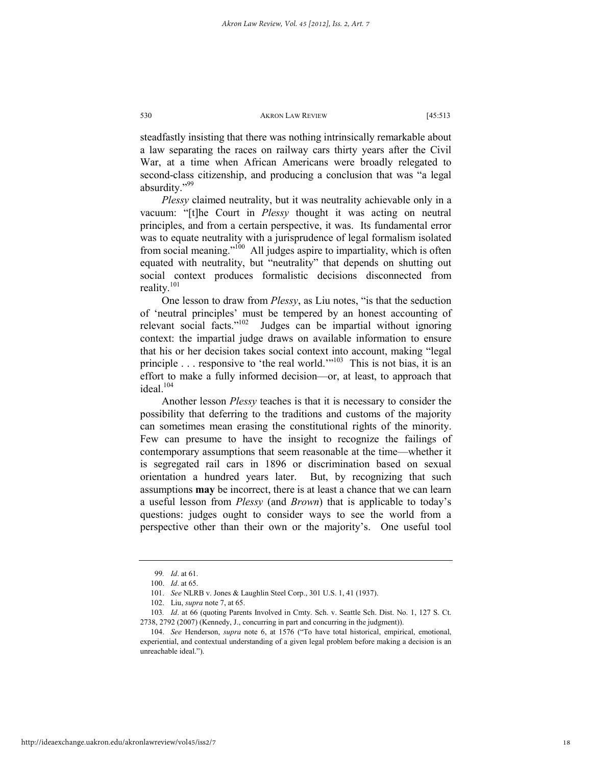steadfastly insisting that there was nothing intrinsically remarkable about a law separating the races on railway cars thirty years after the Civil War, at a time when African Americans were broadly relegated to second-class citizenship, and producing a conclusion that was "a legal absurdity."<sup>99</sup>

*Plessy* claimed neutrality, but it was neutrality achievable only in a vacuum: "[t]he Court in *Plessy* thought it was acting on neutral principles, and from a certain perspective, it was. Its fundamental error was to equate neutrality with a jurisprudence of legal formalism isolated from social meaning."<sup>100</sup> All judges aspire to impartiality, which is often equated with neutrality, but "neutrality" that depends on shutting out social context produces formalistic decisions disconnected from reality. $101$ 

One lesson to draw from *Plessy*, as Liu notes, "is that the seduction of 'neutral principles' must be tempered by an honest accounting of relevant social facts."<sup>102</sup> Judges can be impartial without ignoring context: the impartial judge draws on available information to ensure that his or her decision takes social context into account, making "legal principle . . . responsive to 'the real world.'"103 This is not bias, it is an effort to make a fully informed decision—or, at least, to approach that ideal.<sup>104</sup>

Another lesson *Plessy* teaches is that it is necessary to consider the possibility that deferring to the traditions and customs of the majority can sometimes mean erasing the constitutional rights of the minority. Few can presume to have the insight to recognize the failings of contemporary assumptions that seem reasonable at the time—whether it is segregated rail cars in 1896 or discrimination based on sexual orientation a hundred years later. But, by recognizing that such assumptions **may** be incorrect, there is at least a chance that we can learn a useful lesson from *Plessy* (and *Brown*) that is applicable to today's questions: judges ought to consider ways to see the world from a perspective other than their own or the majority's. One useful tool

<sup>99</sup>*. Id*. at 61.

 <sup>100.</sup> *Id*. at 65.

 <sup>101.</sup> *See* NLRB v. Jones & Laughlin Steel Corp., 301 U.S. 1, 41 (1937).

 <sup>102.</sup> Liu, *supra* note 7, at 65.

<sup>103</sup>*. Id*. at 66 (quoting Parents Involved in Cmty. Sch. v. Seattle Sch. Dist. No. 1, 127 S. Ct. 2738, 2792 (2007) (Kennedy, J., concurring in part and concurring in the judgment)).

 <sup>104.</sup> *See* Henderson, *supra* note 6, at 1576 ("To have total historical, empirical, emotional, experiential, and contextual understanding of a given legal problem before making a decision is an unreachable ideal.").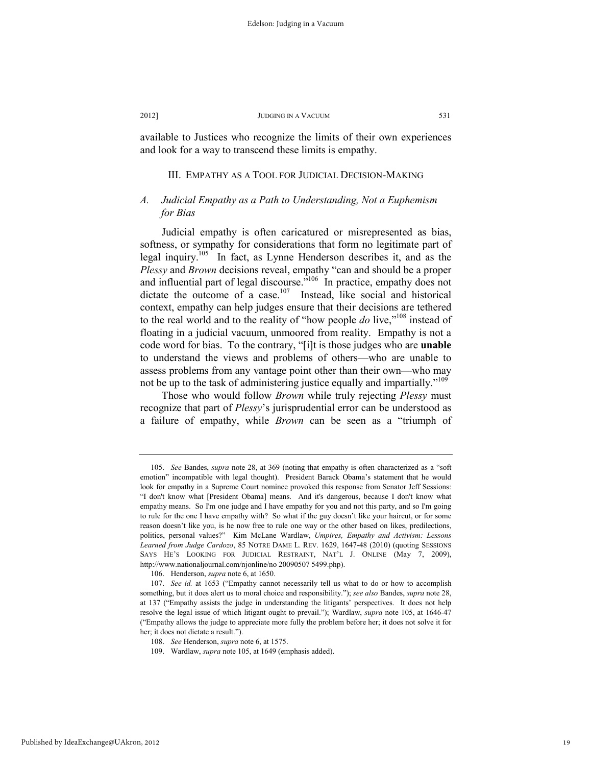available to Justices who recognize the limits of their own experiences and look for a way to transcend these limits is empathy.

#### III. EMPATHY AS A TOOL FOR JUDICIAL DECISION-MAKING

# *A. Judicial Empathy as a Path to Understanding, Not a Euphemism for Bias*

Judicial empathy is often caricatured or misrepresented as bias, softness, or sympathy for considerations that form no legitimate part of legal inquiry.105 In fact, as Lynne Henderson describes it, and as the *Plessy* and *Brown* decisions reveal, empathy "can and should be a proper and influential part of legal discourse."<sup>106</sup> In practice, empathy does not dictate the outcome of a case.<sup>107</sup> Instead, like social and historical context, empathy can help judges ensure that their decisions are tethered to the real world and to the reality of "how people *do* live,"108 instead of floating in a judicial vacuum, unmoored from reality. Empathy is not a code word for bias. To the contrary, "[i]t is those judges who are **unable** to understand the views and problems of others—who are unable to assess problems from any vantage point other than their own—who may not be up to the task of administering justice equally and impartially."<sup>109</sup>

Those who would follow *Brown* while truly rejecting *Plessy* must recognize that part of *Plessy*'s jurisprudential error can be understood as a failure of empathy, while *Brown* can be seen as a "triumph of

 <sup>105.</sup> *See* Bandes, *supra* note 28, at 369 (noting that empathy is often characterized as a "soft emotion" incompatible with legal thought). President Barack Obama's statement that he would look for empathy in a Supreme Court nominee provoked this response from Senator Jeff Sessions: "I don't know what [President Obama] means. And it's dangerous, because I don't know what empathy means. So I'm one judge and I have empathy for you and not this party, and so I'm going to rule for the one I have empathy with? So what if the guy doesn't like your haircut, or for some reason doesn't like you, is he now free to rule one way or the other based on likes, predilections, politics, personal values?" Kim McLane Wardlaw, *Umpires, Empathy and Activism: Lessons Learned from Judge Cardozo*, 85 NOTRE DAME L. REV. 1629, 1647-48 (2010) (quoting SESSIONS SAYS HE'S LOOKING FOR JUDICIAL RESTRAINT, NAT'L J. ONLINE (May 7, 2009), http://www.nationaljournal.com/njonline/no 20090507 5499.php).

 <sup>106.</sup> Henderson, *supra* note 6, at 1650.

 <sup>107.</sup> *See id.* at 1653 ("Empathy cannot necessarily tell us what to do or how to accomplish something, but it does alert us to moral choice and responsibility."); *see also* Bandes, *supra* note 28, at 137 ("Empathy assists the judge in understanding the litigants' perspectives. It does not help resolve the legal issue of which litigant ought to prevail."); Wardlaw, *supra* note 105, at 1646-47 ("Empathy allows the judge to appreciate more fully the problem before her; it does not solve it for her; it does not dictate a result.").

 <sup>108.</sup> *See* Henderson, *supra* note 6, at 1575.

 <sup>109.</sup> Wardlaw, *supra* note 105, at 1649 (emphasis added).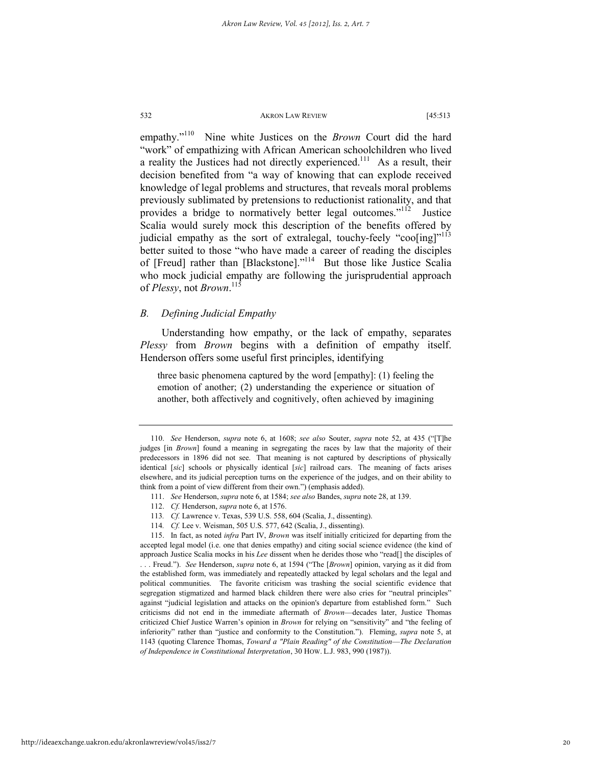empathy."110 Nine white Justices on the *Brown* Court did the hard "work" of empathizing with African American schoolchildren who lived a reality the Justices had not directly experienced.<sup>111</sup> As a result, their decision benefited from "a way of knowing that can explode received knowledge of legal problems and structures, that reveals moral problems previously sublimated by pretensions to reductionist rationality, and that provides a bridge to normatively better legal outcomes."<sup>112</sup> Justice Scalia would surely mock this description of the benefits offered by judicial empathy as the sort of extralegal, touchy-feely "coo[ing]"<sup>113</sup> better suited to those "who have made a career of reading the disciples of [Freud] rather than [Blackstone]."114 But those like Justice Scalia who mock judicial empathy are following the jurisprudential approach of *Plessy*, not *Brown*. 115

# *B. Defining Judicial Empathy*

Understanding how empathy, or the lack of empathy, separates *Plessy* from *Brown* begins with a definition of empathy itself. Henderson offers some useful first principles, identifying

three basic phenomena captured by the word [empathy]: (1) feeling the emotion of another; (2) understanding the experience or situation of another, both affectively and cognitively, often achieved by imagining

 <sup>110.</sup> *See* Henderson, *supra* note 6, at 1608; *see also* Souter, *supra* note 52, at 435 ("[T]he judges [in *Brown*] found a meaning in segregating the races by law that the majority of their predecessors in 1896 did not see. That meaning is not captured by descriptions of physically identical [*sic*] schools or physically identical [*sic*] railroad cars. The meaning of facts arises elsewhere, and its judicial perception turns on the experience of the judges, and on their ability to think from a point of view different from their own.") (emphasis added).

 <sup>111.</sup> *See* Henderson, *supra* note 6, at 1584; *see also* Bandes, *supra* note 28, at 139.

 <sup>112.</sup> *Cf.* Henderson, *supra* note 6, at 1576.

<sup>113</sup>*. Cf.* Lawrence v. Texas, 539 U.S. 558, 604 (Scalia, J., dissenting).

<sup>114</sup>*. Cf.* Lee v. Weisman, 505 U.S. 577, 642 (Scalia, J., dissenting).

 <sup>115.</sup> In fact, as noted *infra* Part IV, *Brown* was itself initially criticized for departing from the accepted legal model (i.e. one that denies empathy) and citing social science evidence (the kind of approach Justice Scalia mocks in his *Lee* dissent when he derides those who "read[] the disciples of . . . Freud."). *See* Henderson, *supra* note 6, at 1594 ("The [*Brown*] opinion, varying as it did from the established form, was immediately and repeatedly attacked by legal scholars and the legal and political communities. The favorite criticism was trashing the social scientific evidence that segregation stigmatized and harmed black children there were also cries for "neutral principles" against "judicial legislation and attacks on the opinion's departure from established form." Such criticisms did not end in the immediate aftermath of *Brown*—decades later, Justice Thomas criticized Chief Justice Warren's opinion in *Brown* for relying on "sensitivity" and "the feeling of inferiority" rather than "justice and conformity to the Constitution."). Fleming, *supra* note 5, at 1143 (quoting Clarence Thomas, *Toward a "Plain Reading" of the Constitution*—*The Declaration of Independence in Constitutional Interpretation*, 30 HOW. L.J. 983, 990 (1987)).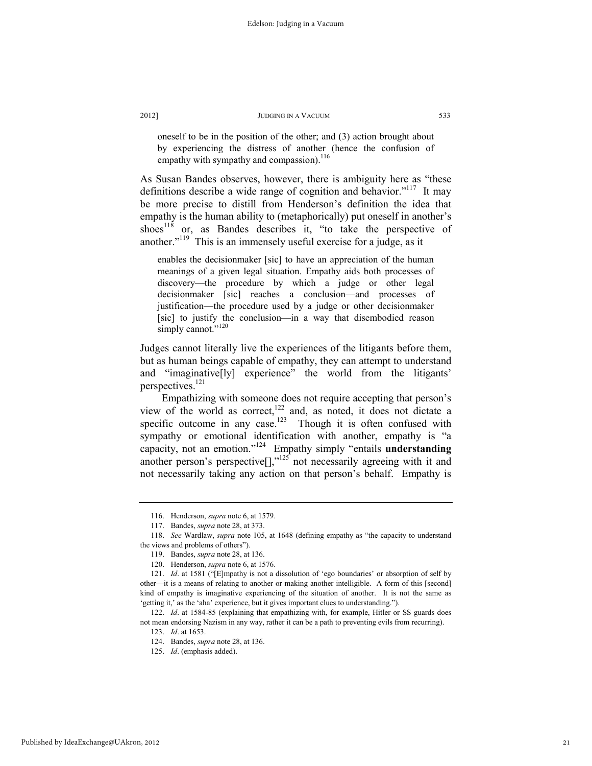oneself to be in the position of the other; and (3) action brought about by experiencing the distress of another (hence the confusion of empathy with sympathy and compassion).<sup>116</sup>

As Susan Bandes observes, however, there is ambiguity here as "these definitions describe a wide range of cognition and behavior."<sup>117</sup> It may be more precise to distill from Henderson's definition the idea that empathy is the human ability to (metaphorically) put oneself in another's shoes<sup>118</sup> or, as Bandes describes it, "to take the perspective of another."<sup>119</sup> This is an immensely useful exercise for a judge, as it

enables the decisionmaker [sic] to have an appreciation of the human meanings of a given legal situation. Empathy aids both processes of discovery—the procedure by which a judge or other legal decisionmaker [sic] reaches a conclusion—and processes of justification—the procedure used by a judge or other decisionmaker [sic] to justify the conclusion—in a way that disembodied reason simply cannot."<sup>120</sup>

Judges cannot literally live the experiences of the litigants before them, but as human beings capable of empathy, they can attempt to understand and "imaginative[ly] experience" the world from the litigants' perspectives.<sup>121</sup>

Empathizing with someone does not require accepting that person's view of the world as correct,<sup>122</sup> and, as noted, it does not dictate a specific outcome in any case.<sup>123</sup> Though it is often confused with sympathy or emotional identification with another, empathy is "a capacity, not an emotion."124 Empathy simply "entails **understanding** another person's perspective $\left[\right]$ ," $^{125}$  not necessarily agreeing with it and not necessarily taking any action on that person's behalf. Empathy is

Published by IdeaExchange@UAkron, 2012

 <sup>116.</sup> Henderson, *supra* note 6, at 1579.

 <sup>117.</sup> Bandes, *supra* note 28, at 373.

 <sup>118.</sup> *See* Wardlaw, *supra* note 105, at 1648 (defining empathy as "the capacity to understand the views and problems of others").

 <sup>119.</sup> Bandes, *supra* note 28, at 136.

 <sup>120.</sup> Henderson, *supra* note 6, at 1576.

 <sup>121.</sup> *Id*. at 1581 ("[E]mpathy is not a dissolution of 'ego boundaries' or absorption of self by other—it is a means of relating to another or making another intelligible. A form of this [second] kind of empathy is imaginative experiencing of the situation of another. It is not the same as 'getting it,' as the 'aha' experience, but it gives important clues to understanding.").

 <sup>122.</sup> *Id*. at 1584-85 (explaining that empathizing with, for example, Hitler or SS guards does not mean endorsing Nazism in any way, rather it can be a path to preventing evils from recurring).

 <sup>123.</sup> *Id*. at 1653.

 <sup>124.</sup> Bandes, *supra* note 28, at 136.

 <sup>125.</sup> *Id*. (emphasis added).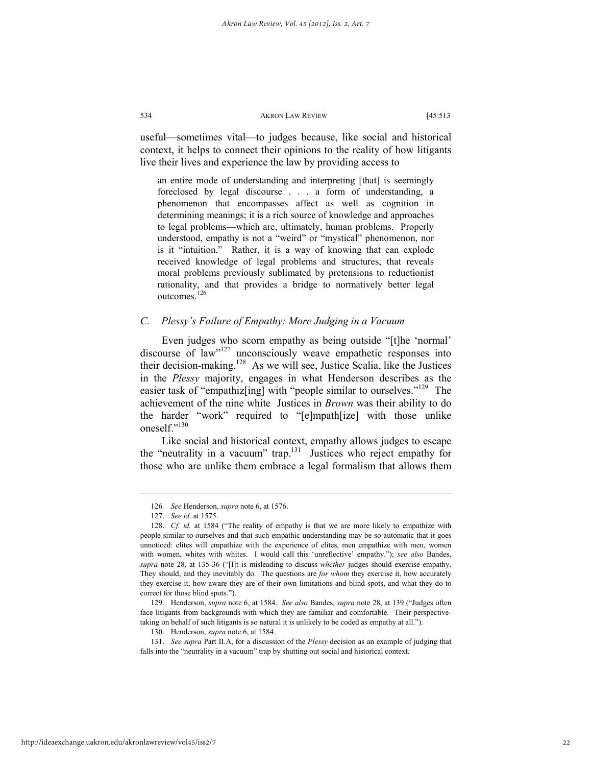useful—sometimes vital—to judges because, like social and historical context, it helps to connect their opinions to the reality of how litigants live their lives and experience the law by providing access to

an entire mode of understanding and interpreting [that] is seemingly foreclosed by legal discourse . . . a form of understanding, a phenomenon that encompasses affect as well as cognition in determining meanings; it is a rich source of knowledge and approaches to legal problems—which are, ultimately, human problems. Properly understood, empathy is not a "weird" or "mystical" phenomenon, nor is it "intuition." Rather, it is a way of knowing that can explode received knowledge of legal problems and structures, that reveals moral problems previously sublimated by pretensions to reductionist rationality, and that provides a bridge to normatively better legal outcomes.<sup>126</sup>

# *C. Plessy's Failure of Empathy: More Judging in a Vacuum*

Even judges who scorn empathy as being outside "[t]he 'normal' discourse of  $\alpha$ <sup>127</sup> unconsciously weave empathetic responses into their decision-making.128 As we will see, Justice Scalia, like the Justices in the *Plessy* majority, engages in what Henderson describes as the easier task of "empathiz<sup>[ing]</sup> with "people similar to ourselves."<sup>129</sup> The achievement of the nine white Justices in *Brown* was their ability to do the harder "work" required to "[e]mpath[ize] with those unlike oneself."130

Like social and historical context, empathy allows judges to escape the "neutrality in a vacuum" trap. $131$  Justices who reject empathy for those who are unlike them embrace a legal formalism that allows them

 129. Henderson, *supra* note 6, at 1584. *See also* Bandes, *supra* note 28, at 139 ("Judges often face litigants from backgrounds with which they are familiar and comfortable. Their perspectivetaking on behalf of such litigants is so natural it is unlikely to be coded as empathy at all.").

<sup>126</sup>*. See* Henderson, *supra* note 6, at 1576.

 <sup>127.</sup> *See id*. at 1575.

 <sup>128.</sup> *Cf. id.* at 1584 ("The reality of empathy is that we are more likely to empathize with people similar to ourselves and that such empathic understanding may be so automatic that it goes unnoticed: elites will empathize with the experience of elites, men empathize with men, women with women, whites with whites. I would call this 'unreflective' empathy."); *see also* Bandes, *supra* note 28, at 135-36 ("[I]t is misleading to discuss *whether* judges should exercise empathy. They should, and they inevitably do. The questions are *for whom* they exercise it, how accurately they exercise it, how aware they are of their own limitations and blind spots, and what they do to correct for those blind spots.").

 <sup>130.</sup> Henderson, *supra* note 6, at 1584.

 <sup>131.</sup> *See supra* Part II.A, for a discussion of the *Plessy* decision as an example of judging that falls into the "neutrality in a vacuum" trap by shutting out social and historical context.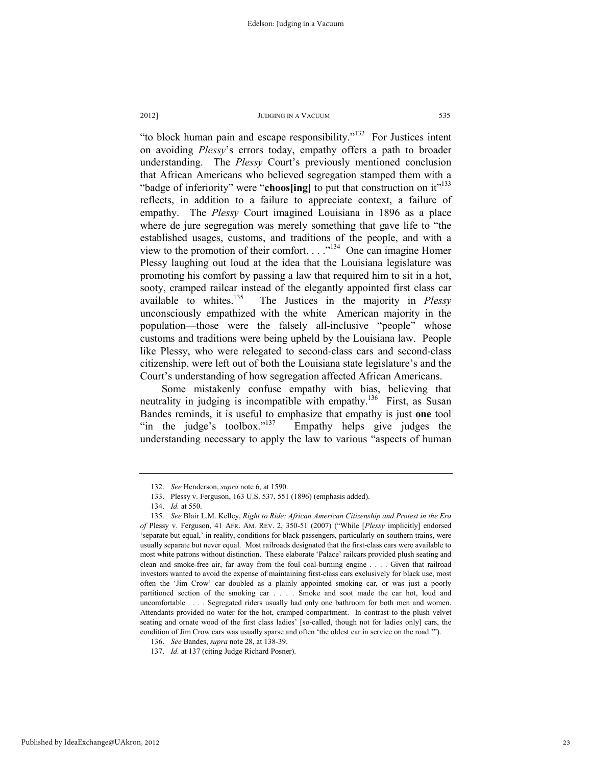"to block human pain and escape responsibility."132 For Justices intent on avoiding *Plessy*'s errors today, empathy offers a path to broader understanding. The *Plessy* Court's previously mentioned conclusion that African Americans who believed segregation stamped them with a "badge of inferiority" were "**choos[ing]** to put that construction on it"<sup>133</sup> reflects, in addition to a failure to appreciate context, a failure of empathy. The *Plessy* Court imagined Louisiana in 1896 as a place where de jure segregation was merely something that gave life to "the established usages, customs, and traditions of the people, and with a view to the promotion of their comfort. . . ."134 One can imagine Homer Plessy laughing out loud at the idea that the Louisiana legislature was promoting his comfort by passing a law that required him to sit in a hot, sooty, cramped railcar instead of the elegantly appointed first class car available to whites.135 The Justices in the majority in *Plessy* unconsciously empathized with the white American majority in the population—those were the falsely all-inclusive "people" whose customs and traditions were being upheld by the Louisiana law. People like Plessy, who were relegated to second-class cars and second-class citizenship, were left out of both the Louisiana state legislature's and the Court's understanding of how segregation affected African Americans.

Some mistakenly confuse empathy with bias, believing that neutrality in judging is incompatible with empathy.<sup>136</sup> First, as Susan Bandes reminds, it is useful to emphasize that empathy is just **one** tool "in the judge's toolbox."<sup>137</sup> Empathy helps give judges the understanding necessary to apply the law to various "aspects of human

 <sup>132.</sup> *See* Henderson, *supra* note 6, at 1590.

 <sup>133.</sup> Plessy v. Ferguson, 163 U.S. 537, 551 (1896) (emphasis added).

 <sup>134.</sup> *Id.* at 550.

 <sup>135.</sup> *See* Blair L.M. Kelley, *Right to Ride: African American Citizenship and Protest in the Era of* Plessy v. Ferguson, 41 AFR. AM. REV. 2, 350-51 (2007) ("While [*Plessy* implicitly] endorsed 'separate but equal,' in reality, conditions for black passengers, particularly on southern trains, were usually separate but never equal. Most railroads designated that the first-class cars were available to most white patrons without distinction. These elaborate 'Palace' railcars provided plush seating and clean and smoke-free air, far away from the foul coal-burning engine . . . . Given that railroad investors wanted to avoid the expense of maintaining first-class cars exclusively for black use, most often the 'Jim Crow' car doubled as a plainly appointed smoking car, or was just a poorly partitioned section of the smoking car . . . . Smoke and soot made the car hot, loud and uncomfortable . . . . Segregated riders usually had only one bathroom for both men and women. Attendants provided no water for the hot, cramped compartment. In contrast to the plush velvet seating and ornate wood of the first class ladies' [so-called, though not for ladies only] cars, the condition of Jim Crow cars was usually sparse and often 'the oldest car in service on the road.'").

 <sup>136.</sup> *See* Bandes, *supra* note 28, at 138-39.

 <sup>137.</sup> *Id.* at 137 (citing Judge Richard Posner).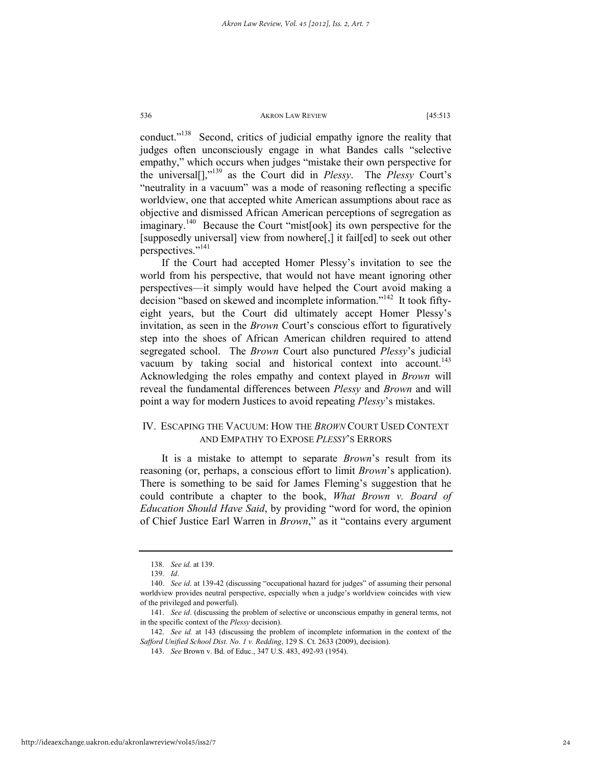conduct."138 Second, critics of judicial empathy ignore the reality that judges often unconsciously engage in what Bandes calls "selective empathy," which occurs when judges "mistake their own perspective for the universal[],"139 as the Court did in *Plessy*. The *Plessy* Court's "neutrality in a vacuum" was a mode of reasoning reflecting a specific worldview, one that accepted white American assumptions about race as objective and dismissed African American perceptions of segregation as imaginary.<sup>140</sup> Because the Court "mist[ook] its own perspective for the [supposedly universal] view from nowhere[,] it fail[ed] to seek out other perspectives."141

If the Court had accepted Homer Plessy's invitation to see the world from his perspective, that would not have meant ignoring other perspectives—it simply would have helped the Court avoid making a decision "based on skewed and incomplete information."<sup>142</sup> It took fiftyeight years, but the Court did ultimately accept Homer Plessy's invitation, as seen in the *Brown* Court's conscious effort to figuratively step into the shoes of African American children required to attend segregated school. The *Brown* Court also punctured *Plessy*'s judicial vacuum by taking social and historical context into account.<sup>143</sup> Acknowledging the roles empathy and context played in *Brown* will reveal the fundamental differences between *Plessy* and *Brown* and will point a way for modern Justices to avoid repeating *Plessy*'s mistakes.

# IV. ESCAPING THE VACUUM: HOW THE *BROWN* COURT USED CONTEXT AND EMPATHY TO EXPOSE *PLESSY*'S ERRORS

It is a mistake to attempt to separate *Brown*'s result from its reasoning (or, perhaps, a conscious effort to limit *Brown*'s application). There is something to be said for James Fleming's suggestion that he could contribute a chapter to the book, *What Brown v. Board of Education Should Have Said*, by providing "word for word, the opinion of Chief Justice Earl Warren in *Brown*," as it "contains every argument

 <sup>138.</sup> *See id.* at 139.

 <sup>139.</sup> *Id*.

 <sup>140.</sup> *See id*. at 139-42 (discussing "occupational hazard for judges" of assuming their personal worldview provides neutral perspective, especially when a judge's worldview coincides with view of the privileged and powerful).

 <sup>141.</sup> *See id*. (discussing the problem of selective or unconscious empathy in general terms, not in the specific context of the *Plessy* decision).

 <sup>142.</sup> *See id.* at 143 (discussing the problem of incomplete information in the context of the *Safford Unified School Dist. No. 1 v. Redding*, 129 S. Ct. 2633 (2009), decision).

 <sup>143.</sup> *See* Brown v. Bd. of Educ., 347 U.S. 483, 492-93 (1954).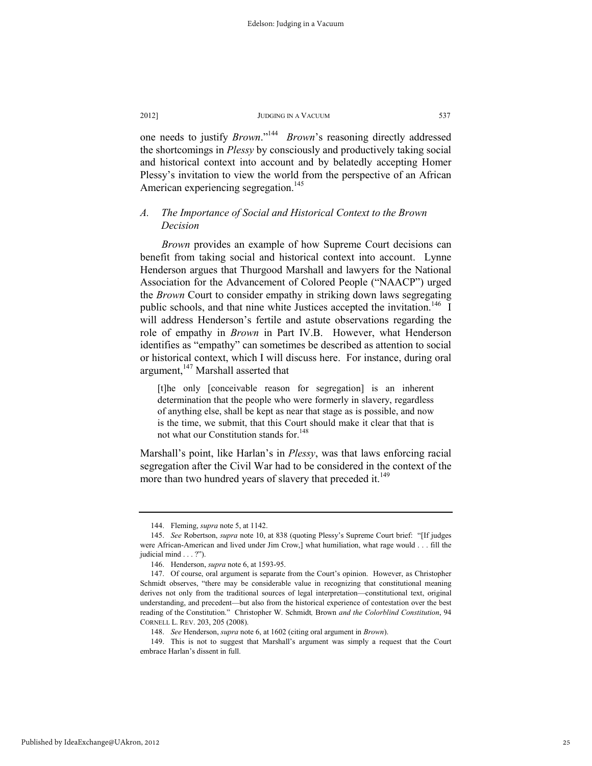one needs to justify *Brown*."144 *Brown*'s reasoning directly addressed the shortcomings in *Plessy* by consciously and productively taking social and historical context into account and by belatedly accepting Homer Plessy's invitation to view the world from the perspective of an African American experiencing segregation.<sup>145</sup>

# *A. The Importance of Social and Historical Context to the Brown Decision*

*Brown* provides an example of how Supreme Court decisions can benefit from taking social and historical context into account. Lynne Henderson argues that Thurgood Marshall and lawyers for the National Association for the Advancement of Colored People ("NAACP") urged the *Brown* Court to consider empathy in striking down laws segregating public schools, and that nine white Justices accepted the invitation.<sup>146</sup> I will address Henderson's fertile and astute observations regarding the role of empathy in *Brown* in Part IV.B. However, what Henderson identifies as "empathy" can sometimes be described as attention to social or historical context, which I will discuss here. For instance, during oral argument,<sup>147</sup> Marshall asserted that

[t]he only [conceivable reason for segregation] is an inherent determination that the people who were formerly in slavery, regardless of anything else, shall be kept as near that stage as is possible, and now is the time, we submit, that this Court should make it clear that that is not what our Constitution stands for.<sup>148</sup>

Marshall's point, like Harlan's in *Plessy*, was that laws enforcing racial segregation after the Civil War had to be considered in the context of the more than two hundred years of slavery that preceded it.<sup>149</sup>

 <sup>144.</sup> Fleming, *supra* note 5, at 1142.

 <sup>145.</sup> *See* Robertson, *supra* note 10, at 838 (quoting Plessy's Supreme Court brief: "[If judges were African-American and lived under Jim Crow,] what humiliation, what rage would . . . fill the judicial mind . . . ?").

 <sup>146.</sup> Henderson, *supra* note 6, at 1593-95.

 <sup>147.</sup> Of course, oral argument is separate from the Court's opinion. However, as Christopher Schmidt observes, "there may be considerable value in recognizing that constitutional meaning derives not only from the traditional sources of legal interpretation—constitutional text, original understanding, and precedent—but also from the historical experience of contestation over the best reading of the Constitution." Christopher W. Schmidt*,* Brown *and the Colorblind Constitution*, 94 CORNELL L. REV. 203, 205 (2008).

 <sup>148.</sup> *See* Henderson, *supra* note 6, at 1602 (citing oral argument in *Brown*).

 <sup>149.</sup> This is not to suggest that Marshall's argument was simply a request that the Court embrace Harlan's dissent in full.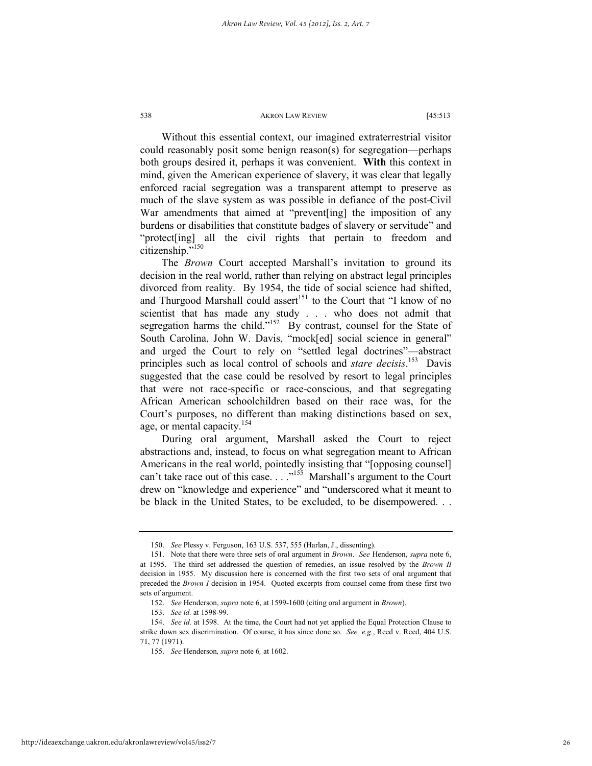Without this essential context, our imagined extraterrestrial visitor could reasonably posit some benign reason(s) for segregation—perhaps both groups desired it, perhaps it was convenient. **With** this context in mind, given the American experience of slavery, it was clear that legally enforced racial segregation was a transparent attempt to preserve as much of the slave system as was possible in defiance of the post-Civil War amendments that aimed at "prevent[ing] the imposition of any burdens or disabilities that constitute badges of slavery or servitude" and "protect[ing] all the civil rights that pertain to freedom and citizenship."150

The *Brown* Court accepted Marshall's invitation to ground its decision in the real world, rather than relying on abstract legal principles divorced from reality. By 1954, the tide of social science had shifted, and Thurgood Marshall could assert<sup>151</sup> to the Court that "I know of no scientist that has made any study . . . who does not admit that segregation harms the child."<sup>152</sup> By contrast, counsel for the State of South Carolina, John W. Davis, "mock[ed] social science in general" and urged the Court to rely on "settled legal doctrines"—abstract principles such as local control of schools and *stare decisis*. 153 Davis suggested that the case could be resolved by resort to legal principles that were not race-specific or race-conscious, and that segregating African American schoolchildren based on their race was, for the Court's purposes, no different than making distinctions based on sex, age, or mental capacity.<sup>154</sup>

During oral argument, Marshall asked the Court to reject abstractions and, instead, to focus on what segregation meant to African Americans in the real world, pointedly insisting that "[opposing counsel] can't take race out of this case.  $\ldots$ <sup>155</sup> Marshall's argument to the Court drew on "knowledge and experience" and "underscored what it meant to be black in the United States, to be excluded, to be disempowered. . .

 <sup>150.</sup> *See* Plessy v. Ferguson, 163 U.S. 537, 555 (Harlan, J., dissenting).

 <sup>151.</sup> Note that there were three sets of oral argument in *Brown*. *See* Henderson, *supra* note 6, at 1595. The third set addressed the question of remedies, an issue resolved by the *Brown II* decision in 1955. My discussion here is concerned with the first two sets of oral argument that preceded the *Brown I* decision in 1954. Quoted excerpts from counsel come from these first two sets of argument.

 <sup>152.</sup> *See* Henderson, *supra* note 6, at 1599-1600 (citing oral argument in *Brown*).

 <sup>153.</sup> *See id.* at 1598-99.

 <sup>154.</sup> *See id.* at 1598. At the time, the Court had not yet applied the Equal Protection Clause to strike down sex discrimination. Of course, it has since done so. *See, e.g.*, Reed v. Reed, 404 U.S. 71, 77 (1971).

 <sup>155.</sup> *See* Henderson*, supra* note 6*,* at 1602.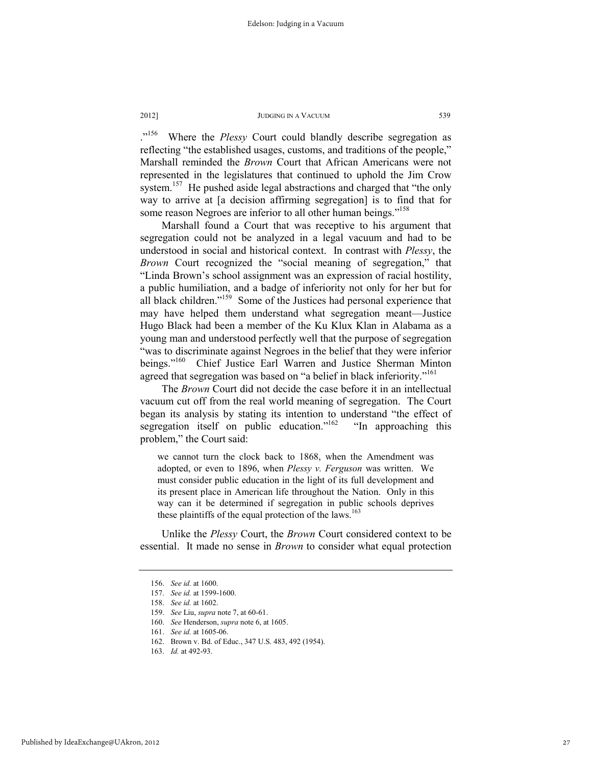.<sup>"156</sup> Where the *Plessy* Court could blandly describe segregation as reflecting "the established usages, customs, and traditions of the people," Marshall reminded the *Brown* Court that African Americans were not represented in the legislatures that continued to uphold the Jim Crow system.<sup>157</sup> He pushed aside legal abstractions and charged that "the only way to arrive at [a decision affirming segregation] is to find that for some reason Negroes are inferior to all other human beings."<sup>158</sup>

Marshall found a Court that was receptive to his argument that segregation could not be analyzed in a legal vacuum and had to be understood in social and historical context. In contrast with *Plessy*, the *Brown* Court recognized the "social meaning of segregation," that "Linda Brown's school assignment was an expression of racial hostility, a public humiliation, and a badge of inferiority not only for her but for all black children."159 Some of the Justices had personal experience that may have helped them understand what segregation meant—Justice Hugo Black had been a member of the Ku Klux Klan in Alabama as a young man and understood perfectly well that the purpose of segregation "was to discriminate against Negroes in the belief that they were inferior<br>beings."<sup>160</sup> Chief Justice Earl Warren and Justice Sherman Minton Chief Justice Earl Warren and Justice Sherman Minton agreed that segregation was based on "a belief in black inferiority."<sup>161</sup>

The *Brown* Court did not decide the case before it in an intellectual vacuum cut off from the real world meaning of segregation. The Court began its analysis by stating its intention to understand "the effect of segregation itself on public education."<sup>162</sup> "In approaching this problem," the Court said:

we cannot turn the clock back to 1868, when the Amendment was adopted, or even to 1896, when *Plessy v. Ferguson* was written. We must consider public education in the light of its full development and its present place in American life throughout the Nation. Only in this way can it be determined if segregation in public schools deprives these plaintiffs of the equal protection of the laws.<sup>163</sup>

Unlike the *Plessy* Court, the *Brown* Court considered context to be essential. It made no sense in *Brown* to consider what equal protection

 <sup>156.</sup> *See id.* at 1600.

 <sup>157.</sup> *See id.* at 1599-1600.

 <sup>158.</sup> *See id.* at 1602.

 <sup>159.</sup> *See* Liu, *supra* note 7, at 60-61.

 <sup>160.</sup> *See* Henderson, *supra* note 6, at 1605.

 <sup>161.</sup> *See id.* at 1605-06.

 <sup>162.</sup> Brown v. Bd. of Educ., 347 U.S. 483, 492 (1954).

 <sup>163.</sup> *Id.* at 492-93.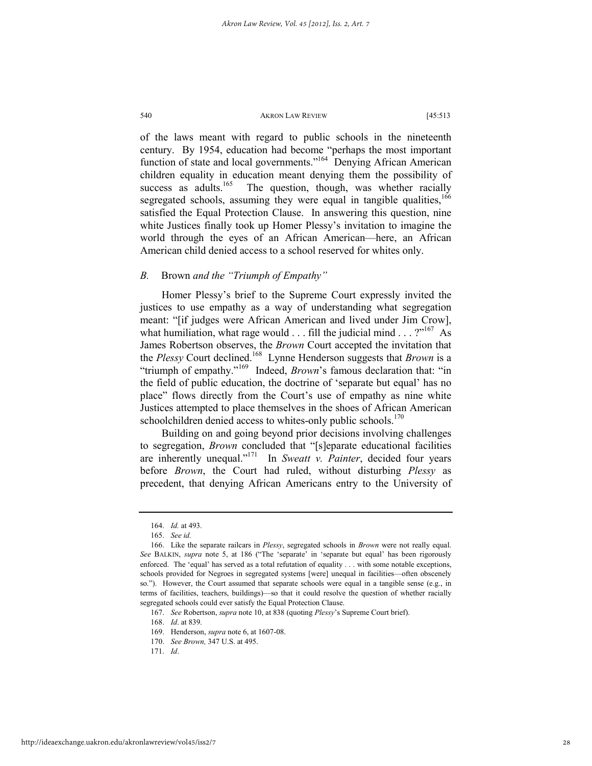of the laws meant with regard to public schools in the nineteenth century. By 1954, education had become "perhaps the most important function of state and local governments."164 Denying African American children equality in education meant denying them the possibility of success as adults.<sup>165</sup> The question, though, was whether racially segregated schools, assuming they were equal in tangible qualities,<sup>166</sup> satisfied the Equal Protection Clause. In answering this question, nine white Justices finally took up Homer Plessy's invitation to imagine the world through the eyes of an African American—here, an African American child denied access to a school reserved for whites only.

# *B.* Brown *and the "Triumph of Empathy"*

Homer Plessy's brief to the Supreme Court expressly invited the justices to use empathy as a way of understanding what segregation meant: "[if judges were African American and lived under Jim Crow], what humiliation, what rage would  $\dots$  fill the judicial mind  $\dots$  ?"<sup>167</sup> As James Robertson observes, the *Brown* Court accepted the invitation that the *Plessy* Court declined.168 Lynne Henderson suggests that *Brown* is a "triumph of empathy."169 Indeed, *Brown*'s famous declaration that: "in the field of public education, the doctrine of 'separate but equal' has no place" flows directly from the Court's use of empathy as nine white Justices attempted to place themselves in the shoes of African American schoolchildren denied access to whites-only public schools.<sup>170</sup>

Building on and going beyond prior decisions involving challenges to segregation, *Brown* concluded that "[s]eparate educational facilities are inherently unequal."171 In *Sweatt v. Painter*, decided four years before *Brown*, the Court had ruled, without disturbing *Plessy* as precedent, that denying African Americans entry to the University of

 <sup>164.</sup> *Id.* at 493.

 <sup>165.</sup> *See id.*

 <sup>166.</sup> Like the separate railcars in *Plessy*, segregated schools in *Brown* were not really equal. *See* BALKIN, *supra* note 5, at 186 ("The 'separate' in 'separate but equal' has been rigorously enforced. The 'equal' has served as a total refutation of equality . . . with some notable exceptions, schools provided for Negroes in segregated systems [were] unequal in facilities—often obscenely so."). However, the Court assumed that separate schools were equal in a tangible sense (e.g., in terms of facilities, teachers, buildings)—so that it could resolve the question of whether racially segregated schools could ever satisfy the Equal Protection Clause.

 <sup>167.</sup> *See* Robertson, *supra* note 10, at 838 (quoting *Plessy*'s Supreme Court brief).

 <sup>168.</sup> *Id*. at 839.

 <sup>169.</sup> Henderson, *supra* note 6, at 1607-08.

 <sup>170.</sup> *See Brown,* 347 U.S. at 495.

 <sup>171.</sup> *Id*.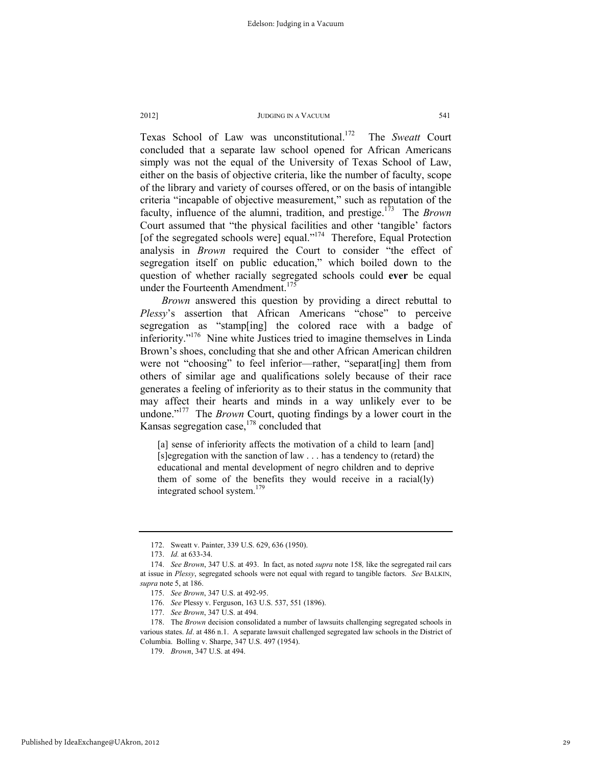Texas School of Law was unconstitutional.<sup>172</sup> The Sweatt Court concluded that a separate law school opened for African Americans simply was not the equal of the University of Texas School of Law, either on the basis of objective criteria, like the number of faculty, scope of the library and variety of courses offered, or on the basis of intangible criteria "incapable of objective measurement," such as reputation of the faculty, influence of the alumni, tradition, and prestige.173 The *Brown* Court assumed that "the physical facilities and other 'tangible' factors [of the segregated schools were] equal."<sup>174</sup> Therefore, Equal Protection analysis in *Brown* required the Court to consider "the effect of segregation itself on public education," which boiled down to the question of whether racially segregated schools could **ever** be equal under the Fourteenth Amendment.<sup>175</sup>

*Brown* answered this question by providing a direct rebuttal to *Plessy*'s assertion that African Americans "chose" to perceive segregation as "stamp[ing] the colored race with a badge of inferiority."<sup>176</sup> Nine white Justices tried to imagine themselves in Linda Brown's shoes, concluding that she and other African American children were not "choosing" to feel inferior—rather, "separat[ing] them from others of similar age and qualifications solely because of their race generates a feeling of inferiority as to their status in the community that may affect their hearts and minds in a way unlikely ever to be undone."177 The *Brown* Court, quoting findings by a lower court in the Kansas segregation case, $178$  concluded that

[a] sense of inferiority affects the motivation of a child to learn [and] [s]egregation with the sanction of law . . . has a tendency to (retard) the educational and mental development of negro children and to deprive them of some of the benefits they would receive in a racial(ly) integrated school system.<sup>179</sup>

 <sup>172.</sup> Sweatt v. Painter, 339 U.S. 629, 636 (1950).

 <sup>173.</sup> *Id.* at 633-34.

 <sup>174.</sup> *See Brown*, 347 U.S. at 493. In fact, as noted *supra* note 158*,* like the segregated rail cars at issue in *Plessy*, segregated schools were not equal with regard to tangible factors. *See* BALKIN, *supra* note 5, at 186.

 <sup>175.</sup> *See Brown*, 347 U.S. at 492-95.

 <sup>176.</sup> *See* Plessy v. Ferguson, 163 U.S. 537, 551 (1896).

 <sup>177.</sup> *See Brown*, 347 U.S. at 494.

 <sup>178.</sup> The *Brown* decision consolidated a number of lawsuits challenging segregated schools in various states. *Id*. at 486 n.1. A separate lawsuit challenged segregated law schools in the District of Columbia. Bolling v. Sharpe, 347 U.S. 497 (1954).

 <sup>179.</sup> *Brown*, 347 U.S. at 494.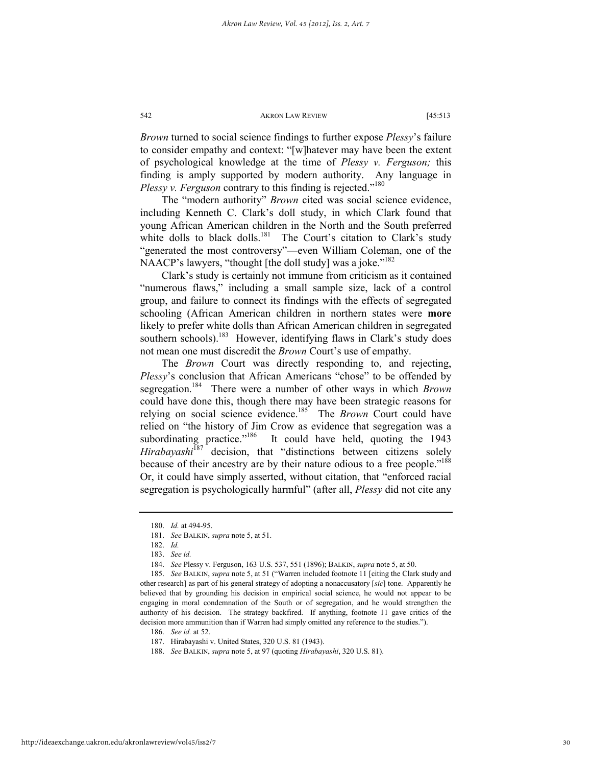*Brown* turned to social science findings to further expose *Plessy*'s failure to consider empathy and context: "[w]hatever may have been the extent of psychological knowledge at the time of *Plessy v. Ferguson;* this finding is amply supported by modern authority. Any language in *Plessy v. Ferguson* contrary to this finding is rejected."<sup>180</sup>

The "modern authority" *Brown* cited was social science evidence, including Kenneth C. Clark's doll study, in which Clark found that young African American children in the North and the South preferred white dolls to black dolls.<sup>181</sup> The Court's citation to Clark's study "generated the most controversy"—even William Coleman, one of the NAACP's lawyers, "thought [the doll study] was a joke."<sup>182</sup>

Clark's study is certainly not immune from criticism as it contained "numerous flaws," including a small sample size, lack of a control group, and failure to connect its findings with the effects of segregated schooling (African American children in northern states were **more** likely to prefer white dolls than African American children in segregated southern schools).<sup>183</sup> However, identifying flaws in Clark's study does not mean one must discredit the *Brown* Court's use of empathy.

The *Brown* Court was directly responding to, and rejecting, *Plessy*'s conclusion that African Americans "chose" to be offended by segregation.184 There were a number of other ways in which *Brown* could have done this, though there may have been strategic reasons for relying on social science evidence.<sup>185</sup> The *Brown* Court could have relied on "the history of Jim Crow as evidence that segregation was a subordinating practice."<sup>186</sup> It could have held, quoting the 1943 *Hirabayashi*<sup>187</sup> decision, that "distinctions between citizens solely because of their ancestry are by their nature odious to a free people."<sup>188</sup> Or, it could have simply asserted, without citation, that "enforced racial segregation is psychologically harmful" (after all, *Plessy* did not cite any

 <sup>180.</sup> *Id.* at 494-95.

 <sup>181.</sup> *See* BALKIN, *supra* note 5, at 51.

 <sup>182.</sup> *Id.*

 <sup>183.</sup> *See id.*

 <sup>184.</sup> *See* Plessy v. Ferguson, 163 U.S. 537, 551 (1896); BALKIN, *supra* note 5, at 50.

 <sup>185.</sup> *See* BALKIN, *supra* note 5, at 51 ("Warren included footnote 11 [citing the Clark study and other research] as part of his general strategy of adopting a nonaccusatory [*sic*] tone. Apparently he believed that by grounding his decision in empirical social science, he would not appear to be engaging in moral condemnation of the South or of segregation, and he would strengthen the authority of his decision. The strategy backfired. If anything, footnote 11 gave critics of the decision more ammunition than if Warren had simply omitted any reference to the studies.").

 <sup>186.</sup> *See id.* at 52.

 <sup>187.</sup> Hirabayashi v. United States, 320 U.S. 81 (1943).

 <sup>188.</sup> *See* BALKIN, *supra* note 5, at 97 (quoting *Hirabayashi*, 320 U.S. 81).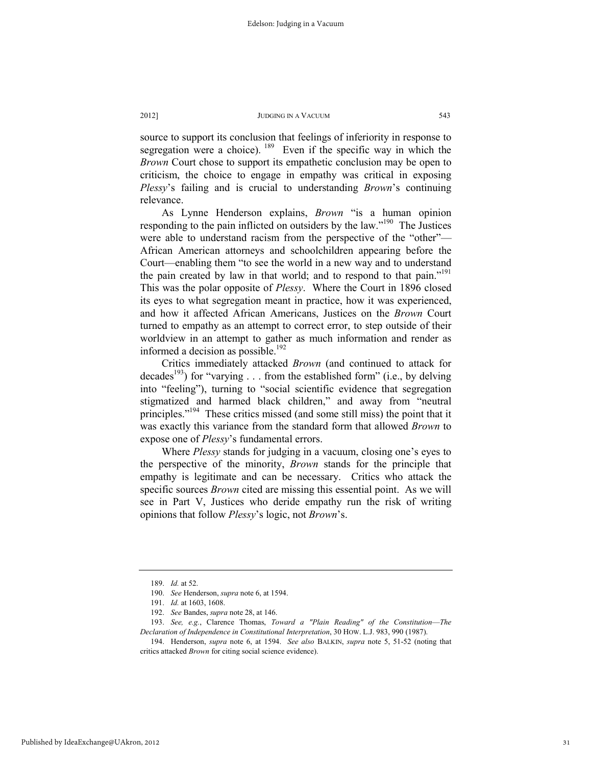source to support its conclusion that feelings of inferiority in response to segregation were a choice).  $189$  Even if the specific way in which the *Brown* Court chose to support its empathetic conclusion may be open to criticism, the choice to engage in empathy was critical in exposing *Plessy*'s failing and is crucial to understanding *Brown*'s continuing relevance.

As Lynne Henderson explains, *Brown* "is a human opinion responding to the pain inflicted on outsiders by the law."<sup>190</sup> The Justices were able to understand racism from the perspective of the "other"— African American attorneys and schoolchildren appearing before the Court—enabling them "to see the world in a new way and to understand the pain created by law in that world; and to respond to that pain."<sup>191</sup> This was the polar opposite of *Plessy*. Where the Court in 1896 closed its eyes to what segregation meant in practice, how it was experienced, and how it affected African Americans, Justices on the *Brown* Court turned to empathy as an attempt to correct error, to step outside of their worldview in an attempt to gather as much information and render as informed a decision as possible.<sup>192</sup>

Critics immediately attacked *Brown* (and continued to attack for decades<sup>193</sup>) for "varying . . . from the established form" (i.e., by delving into "feeling"), turning to "social scientific evidence that segregation stigmatized and harmed black children," and away from "neutral principles."<sup>194</sup> These critics missed (and some still miss) the point that it was exactly this variance from the standard form that allowed *Brown* to expose one of *Plessy*'s fundamental errors.

Where *Plessy* stands for judging in a vacuum, closing one's eyes to the perspective of the minority, *Brown* stands for the principle that empathy is legitimate and can be necessary. Critics who attack the specific sources *Brown* cited are missing this essential point. As we will see in Part V, Justices who deride empathy run the risk of writing opinions that follow *Plessy*'s logic, not *Brown*'s.

 <sup>189.</sup> *Id.* at 52.

 <sup>190.</sup> *See* Henderson, *supra* note 6, at 1594.

 <sup>191.</sup> *Id.* at 1603, 1608.

 <sup>192.</sup> *See* Bandes, *supra* note 28, at 146.

 <sup>193.</sup> *See, e.g.*, Clarence Thomas, *Toward a "Plain Reading" of the Constitution*—*The Declaration of Independence in Constitutional Interpretation*, 30 HOW. L.J. 983, 990 (1987).

 <sup>194.</sup> Henderson, *supra* note 6, at 1594. *See also* BALKIN, *supra* note 5, 51-52 (noting that critics attacked *Brown* for citing social science evidence).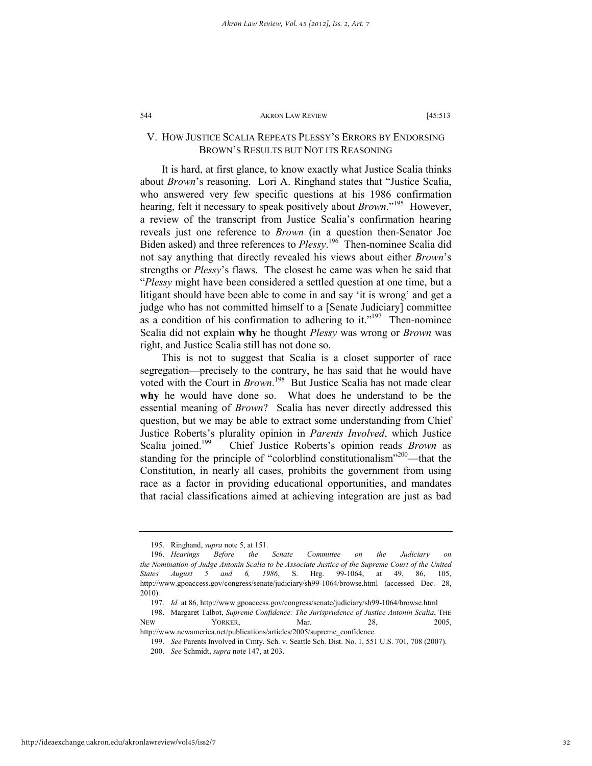# V. HOW JUSTICE SCALIA REPEATS PLESSY'S ERRORS BY ENDORSING BROWN'S RESULTS BUT NOT ITS REASONING

It is hard, at first glance, to know exactly what Justice Scalia thinks about *Brown*'s reasoning. Lori A. Ringhand states that "Justice Scalia, who answered very few specific questions at his 1986 confirmation hearing, felt it necessary to speak positively about *Brown*."195 However, a review of the transcript from Justice Scalia's confirmation hearing reveals just one reference to *Brown* (in a question then-Senator Joe Biden asked) and three references to *Plessy*.<sup>196</sup> Then-nominee Scalia did not say anything that directly revealed his views about either *Brown*'s strengths or *Plessy*'s flaws. The closest he came was when he said that "*Plessy* might have been considered a settled question at one time, but a litigant should have been able to come in and say 'it is wrong' and get a judge who has not committed himself to a [Senate Judiciary] committee as a condition of his confirmation to adhering to it."<sup>197</sup> Then-nominee Scalia did not explain **why** he thought *Plessy* was wrong or *Brown* was right, and Justice Scalia still has not done so.

This is not to suggest that Scalia is a closet supporter of race segregation—precisely to the contrary, he has said that he would have voted with the Court in *Brown*.<sup>198</sup> But Justice Scalia has not made clear **why** he would have done so. What does he understand to be the essential meaning of *Brown*? Scalia has never directly addressed this question, but we may be able to extract some understanding from Chief Justice Roberts's plurality opinion in *Parents Involved*, which Justice Scalia joined.<sup>199</sup> Chief Justice Roberts's opinion reads *Brown* as standing for the principle of "colorblind constitutionalism"<sup>200</sup>—that the Constitution, in nearly all cases, prohibits the government from using race as a factor in providing educational opportunities, and mandates that racial classifications aimed at achieving integration are just as bad

 <sup>195.</sup> Ringhand, *supra* note 5, at 151.

 <sup>196.</sup> *Hearings Before the Senate Committee on the Judiciary on the Nomination of Judge Antonin Scalia to be Associate Justice of the Supreme Court of the United States August 5 and 6, 1986*, S. Hrg. 99-1064, at 49, 86, 105, http://www.gpoaccess.gov/congress/senate/judiciary/sh99-1064/browse.html (accessed Dec. 28, 2010).

 <sup>197.</sup> *Id.* at 86, http://www.gpoaccess.gov/congress/senate/judiciary/sh99-1064/browse.html

 <sup>198.</sup> Margaret Talbot, *Supreme Confidence: The Jurisprudence of Justice Antonin Scalia*, THE NEW YORKER, Mar. 28, 2005, http://www.newamerica.net/publications/articles/2005/supreme\_confidence.

 <sup>199.</sup> *See* Parents Involved in Cmty. Sch. v. Seattle Sch. Dist. No. 1, 551 U.S. 701, 708 (2007).

 <sup>200.</sup> *See* Schmidt, *supra* note 147, at 203.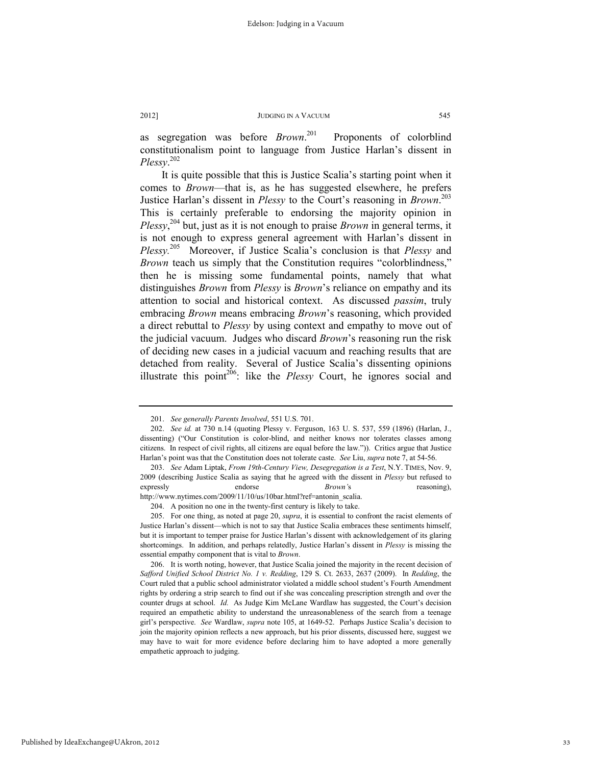as segregation was before *Brown*. Proponents of colorblind constitutionalism point to language from Justice Harlan's dissent in *Plessy*. 202

It is quite possible that this is Justice Scalia's starting point when it comes to *Brown*—that is, as he has suggested elsewhere, he prefers Justice Harlan's dissent in *Plessy* to the Court's reasoning in *Brown*. 203 This is certainly preferable to endorsing the majority opinion in *Plessy*, <sup>204</sup> but, just as it is not enough to praise *Brown* in general terms, it is not enough to express general agreement with Harlan's dissent in *Plessy.*205 Moreover, if Justice Scalia's conclusion is that *Plessy* and *Brown* teach us simply that the Constitution requires "colorblindness," then he is missing some fundamental points, namely that what distinguishes *Brown* from *Plessy* is *Brown*'s reliance on empathy and its attention to social and historical context. As discussed *passim*, truly embracing *Brown* means embracing *Brown*'s reasoning, which provided a direct rebuttal to *Plessy* by using context and empathy to move out of the judicial vacuum. Judges who discard *Brown*'s reasoning run the risk of deciding new cases in a judicial vacuum and reaching results that are detached from reality. Several of Justice Scalia's dissenting opinions illustrate this point<sup>206</sup>: like the *Plessy* Court, he ignores social and

 <sup>201.</sup> *See generally Parents Involved*, 551 U.S. 701.

 <sup>202.</sup> *See id.* at 730 n.14 (quoting Plessy v. Ferguson, 163 U. S. 537, 559 (1896) (Harlan, J., dissenting) ("Our Constitution is color-blind, and neither knows nor tolerates classes among citizens. In respect of civil rights, all citizens are equal before the law.")). Critics argue that Justice Harlan's point was that the Constitution does not tolerate caste. *See* Liu, *supra* note 7, at 54-56.

 <sup>203.</sup> *See* Adam Liptak, *From 19th-Century View, Desegregation is a Test*, N.Y. TIMES, Nov. 9, 2009 (describing Justice Scalia as saying that he agreed with the dissent in *Plessy* but refused to expressly endorse *Brown'*s reasoning), http://www.nytimes.com/2009/11/10/us/10bar.html?ref=antonin\_scalia.

 <sup>204.</sup> A position no one in the twenty-first century is likely to take.

 <sup>205.</sup> For one thing, as noted at page 20, *supra*, it is essential to confront the racist elements of Justice Harlan's dissent—which is not to say that Justice Scalia embraces these sentiments himself, but it is important to temper praise for Justice Harlan's dissent with acknowledgement of its glaring shortcomings. In addition, and perhaps relatedly, Justice Harlan's dissent in *Plessy* is missing the essential empathy component that is vital to *Brown*.

 <sup>206.</sup> It is worth noting, however, that Justice Scalia joined the majority in the recent decision of *Safford Unified School District No. 1 v. Redding*, 129 S. Ct. 2633, 2637 (2009). In *Redding*, the Court ruled that a public school administrator violated a middle school student's Fourth Amendment rights by ordering a strip search to find out if she was concealing prescription strength and over the counter drugs at school. *Id.* As Judge Kim McLane Wardlaw has suggested, the Court's decision required an empathetic ability to understand the unreasonableness of the search from a teenage girl's perspective. *See* Wardlaw, *supra* note 105, at 1649-52. Perhaps Justice Scalia's decision to join the majority opinion reflects a new approach, but his prior dissents, discussed here, suggest we may have to wait for more evidence before declaring him to have adopted a more generally empathetic approach to judging.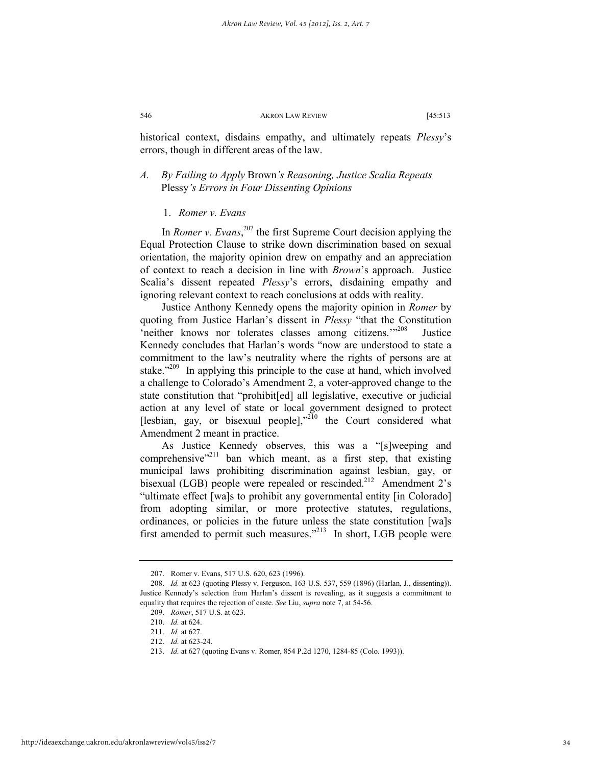historical context, disdains empathy, and ultimately repeats *Plessy*'s errors, though in different areas of the law.

# *A. By Failing to Apply* Brown*'s Reasoning, Justice Scalia Repeats*  Plessy*'s Errors in Four Dissenting Opinions*

# 1. *Romer v. Evans*

In *Romer v. Evans*, 207 the first Supreme Court decision applying the Equal Protection Clause to strike down discrimination based on sexual orientation, the majority opinion drew on empathy and an appreciation of context to reach a decision in line with *Brown*'s approach. Justice Scalia's dissent repeated *Plessy*'s errors, disdaining empathy and ignoring relevant context to reach conclusions at odds with reality.

Justice Anthony Kennedy opens the majority opinion in *Romer* by quoting from Justice Harlan's dissent in *Plessy* "that the Constitution 'neither knows nor tolerates classes among citizens.'"<sup>208</sup> Justice Kennedy concludes that Harlan's words "now are understood to state a commitment to the law's neutrality where the rights of persons are at stake." $209$  In applying this principle to the case at hand, which involved a challenge to Colorado's Amendment 2, a voter-approved change to the state constitution that "prohibit[ed] all legislative, executive or judicial action at any level of state or local government designed to protect [lesbian, gay, or bisexual people],"<sup>210</sup> the Court considered what Amendment 2 meant in practice.

As Justice Kennedy observes, this was a "[s]weeping and comprehensive"<sup>211</sup> ban which meant, as a first step, that existing municipal laws prohibiting discrimination against lesbian, gay, or bisexual (LGB) people were repealed or rescinded.<sup>212</sup> Amendment 2's "ultimate effect [wa]s to prohibit any governmental entity [in Colorado] from adopting similar, or more protective statutes, regulations, ordinances, or policies in the future unless the state constitution [wa]s first amended to permit such measures."213 In short, LGB people were

 <sup>207.</sup> Romer v. Evans, 517 U.S. 620, 623 (1996).

 <sup>208.</sup> *Id.* at 623 (quoting Plessy v. Ferguson, 163 U.S. 537, 559 (1896) (Harlan, J., dissenting)). Justice Kennedy's selection from Harlan's dissent is revealing, as it suggests a commitment to equality that requires the rejection of caste. *See* Liu, *supra* note 7, at 54-56.

 <sup>209.</sup> *Romer*, 517 U.S. at 623.

 <sup>210.</sup> *Id.* at 624.

 <sup>211.</sup> *Id.* at 627.

 <sup>212.</sup> *Id.* at 623-24.

 <sup>213.</sup> *Id.* at 627 (quoting Evans v. Romer, 854 P.2d 1270, 1284-85 (Colo. 1993)).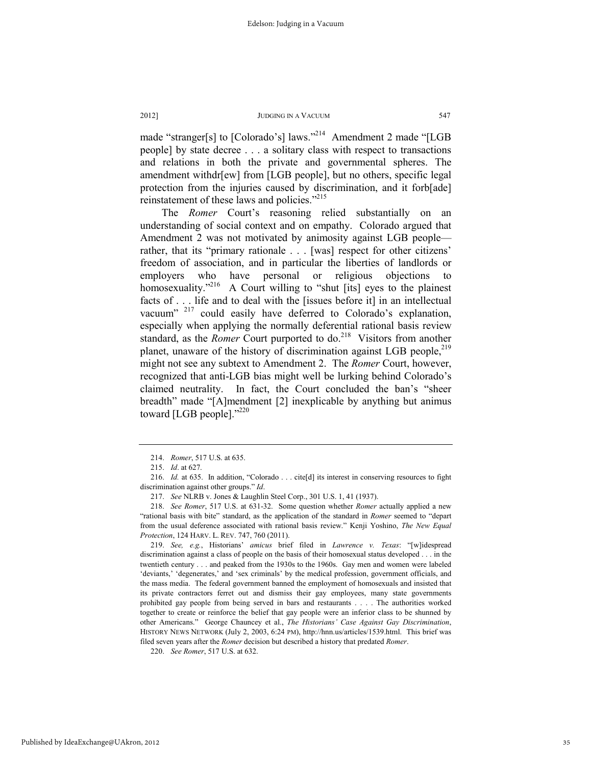made "stranger[s] to [Colorado's] laws."<sup>214</sup> Amendment 2 made "[LGB people] by state decree . . . a solitary class with respect to transactions and relations in both the private and governmental spheres. The amendment withdr[ew] from [LGB people], but no others, specific legal protection from the injuries caused by discrimination, and it forb[ade] reinstatement of these laws and policies."<sup>215</sup>

The *Romer* Court's reasoning relied substantially on an understanding of social context and on empathy. Colorado argued that Amendment 2 was not motivated by animosity against LGB people rather, that its "primary rationale . . . [was] respect for other citizens' freedom of association, and in particular the liberties of landlords or employers who have personal or religious objections to homosexuality."<sup>216</sup> A Court willing to "shut [its] eyes to the plainest facts of . . . life and to deal with the [issues before it] in an intellectual vacuum" <sup>217</sup> could easily have deferred to Colorado's explanation, especially when applying the normally deferential rational basis review standard, as the *Romer* Court purported to do.<sup>218</sup> Visitors from another planet, unaware of the history of discrimination against LGB people,<sup>219</sup> might not see any subtext to Amendment 2. The *Romer* Court, however, recognized that anti-LGB bias might well be lurking behind Colorado's claimed neutrality. In fact, the Court concluded the ban's "sheer breadth" made "[A]mendment [2] inexplicable by anything but animus toward [LGB people]. $"^{220}$ 

 <sup>214.</sup> *Romer*, 517 U.S. at 635.

 <sup>215.</sup> *Id*. at 627.

 <sup>216.</sup> *Id.* at 635. In addition, "Colorado . . . cite[d] its interest in conserving resources to fight discrimination against other groups." *Id*.

 <sup>217.</sup> *See* NLRB v. Jones & Laughlin Steel Corp., 301 U.S. 1, 41 (1937).

 <sup>218.</sup> *See Romer*, 517 U.S. at 631-32. Some question whether *Romer* actually applied a new "rational basis with bite" standard, as the application of the standard in *Romer* seemed to "depart from the usual deference associated with rational basis review." Kenji Yoshino, *The New Equal Protection*, 124 HARV. L. REV. 747, 760 (2011).

 <sup>219.</sup> *See, e.g.*, Historians' *amicus* brief filed in *Lawrence v. Texas*: "[w]idespread discrimination against a class of people on the basis of their homosexual status developed . . . in the twentieth century . . . and peaked from the 1930s to the 1960s. Gay men and women were labeled 'deviants,' 'degenerates,' and 'sex criminals' by the medical profession, government officials, and the mass media. The federal government banned the employment of homosexuals and insisted that its private contractors ferret out and dismiss their gay employees, many state governments prohibited gay people from being served in bars and restaurants . . . . The authorities worked together to create or reinforce the belief that gay people were an inferior class to be shunned by other Americans." George Chauncey et al., *The Historians' Case Against Gay Discrimination*, HISTORY NEWS NETWORK (July 2, 2003, 6:24 PM), http://hnn.us/articles/1539.html. This brief was filed seven years after the *Romer* decision but described a history that predated *Romer*.

 <sup>220.</sup> *See Romer*, 517 U.S. at 632.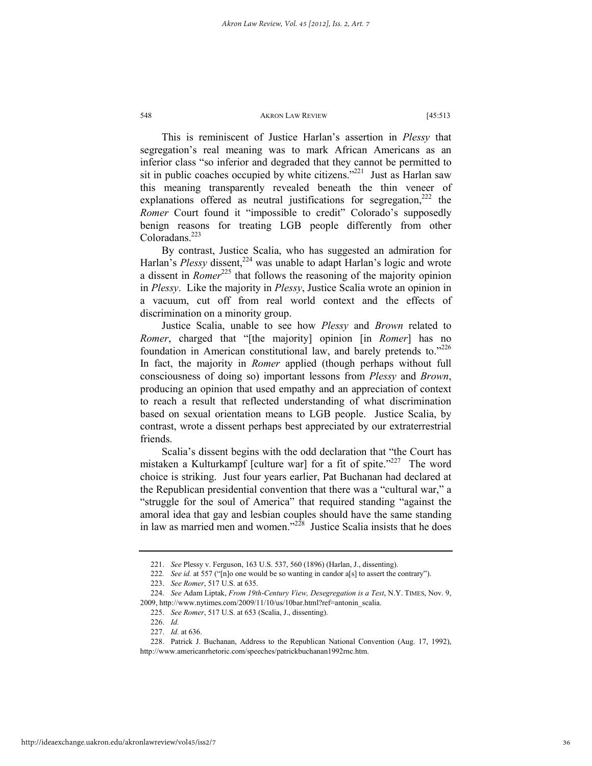This is reminiscent of Justice Harlan's assertion in *Plessy* that segregation's real meaning was to mark African Americans as an inferior class "so inferior and degraded that they cannot be permitted to sit in public coaches occupied by white citizens."<sup>221</sup> Just as Harlan saw this meaning transparently revealed beneath the thin veneer of explanations offered as neutral justifications for segregation, $222$  the *Romer* Court found it "impossible to credit" Colorado's supposedly benign reasons for treating LGB people differently from other Coloradans.<sup>223</sup>

By contrast, Justice Scalia, who has suggested an admiration for Harlan's *Plessy* dissent.<sup>224</sup> was unable to adapt Harlan's logic and wrote a dissent in *Romer*<sup>225</sup> that follows the reasoning of the majority opinion in *Plessy*. Like the majority in *Plessy*, Justice Scalia wrote an opinion in a vacuum, cut off from real world context and the effects of discrimination on a minority group.

Justice Scalia, unable to see how *Plessy* and *Brown* related to *Romer*, charged that "[the majority] opinion [in *Romer*] has no foundation in American constitutional law, and barely pretends to."226 In fact, the majority in *Romer* applied (though perhaps without full consciousness of doing so) important lessons from *Plessy* and *Brown*, producing an opinion that used empathy and an appreciation of context to reach a result that reflected understanding of what discrimination based on sexual orientation means to LGB people. Justice Scalia, by contrast, wrote a dissent perhaps best appreciated by our extraterrestrial friends.

Scalia's dissent begins with the odd declaration that "the Court has mistaken a Kulturkampf [culture war] for a fit of spite."<sup>227</sup> The word choice is striking. Just four years earlier, Pat Buchanan had declared at the Republican presidential convention that there was a "cultural war," a "struggle for the soul of America" that required standing "against the amoral idea that gay and lesbian couples should have the same standing in law as married men and women."<sup>228</sup> Justice Scalia insists that he does

 <sup>221.</sup> *See* Plessy v. Ferguson, 163 U.S. 537, 560 (1896) (Harlan, J., dissenting).

<sup>222</sup>*. See id.* at 557 ("[n]o one would be so wanting in candor a[s] to assert the contrary").

 <sup>223.</sup> *See Romer*, 517 U.S. at 635.

 <sup>224.</sup> *See* Adam Liptak, *From 19th-Century View, Desegregation is a Test*, N.Y. TIMES, Nov. 9, 2009, http://www.nytimes.com/2009/11/10/us/10bar.html?ref=antonin\_scalia.

 <sup>225.</sup> *See Romer*, 517 U.S. at 653 (Scalia, J., dissenting).

 <sup>226.</sup> *Id.*

 <sup>227.</sup> *Id.* at 636.

 <sup>228.</sup> Patrick J. Buchanan, Address to the Republican National Convention (Aug. 17, 1992), http://www.americanrhetoric.com/speeches/patrickbuchanan1992rnc.htm.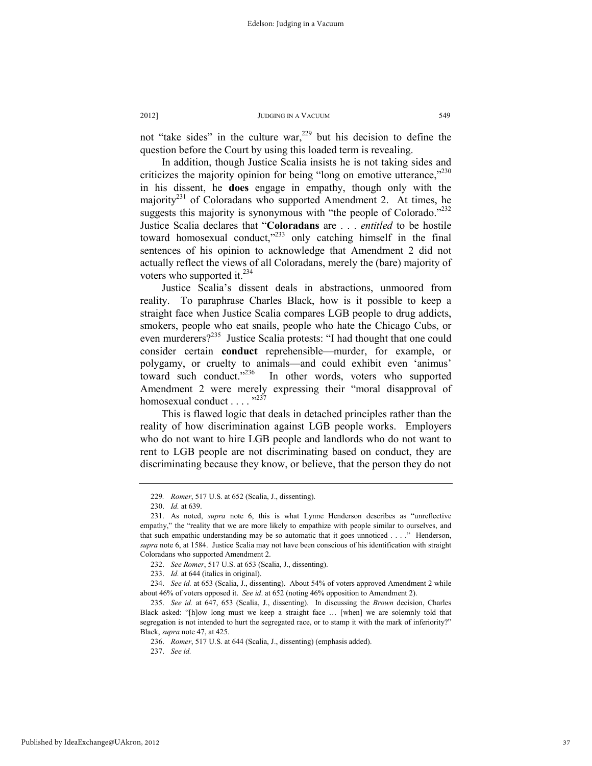not "take sides" in the culture war,  $229$  but his decision to define the question before the Court by using this loaded term is revealing.

In addition, though Justice Scalia insists he is not taking sides and criticizes the majority opinion for being "long on emotive utterance," $230$ in his dissent, he **does** engage in empathy, though only with the majority<sup>231</sup> of Coloradans who supported Amendment 2. At times, he suggests this majority is synonymous with "the people of Colorado."<sup>232</sup> Justice Scalia declares that "**Coloradans** are . . . *entitled* to be hostile toward homosexual conduct,"<sup>233</sup> only catching himself in the final sentences of his opinion to acknowledge that Amendment 2 did not actually reflect the views of all Coloradans, merely the (bare) majority of voters who supported it. $^{234}$ 

Justice Scalia's dissent deals in abstractions, unmoored from reality. To paraphrase Charles Black, how is it possible to keep a straight face when Justice Scalia compares LGB people to drug addicts, smokers, people who eat snails, people who hate the Chicago Cubs, or even murderers?<sup>235</sup> Justice Scalia protests: "I had thought that one could consider certain **conduct** reprehensible—murder, for example, or polygamy, or cruelty to animals—and could exhibit even 'animus' toward such conduct."<sup>236</sup> In other words, voters who supported Amendment 2 were merely expressing their "moral disapproval of homosexual conduct . . . . "<sup>237</sup>

This is flawed logic that deals in detached principles rather than the reality of how discrimination against LGB people works. Employers who do not want to hire LGB people and landlords who do not want to rent to LGB people are not discriminating based on conduct, they are discriminating because they know, or believe, that the person they do not

<sup>229</sup>*. Romer*, 517 U.S. at 652 (Scalia, J., dissenting).

 <sup>230.</sup> *Id.* at 639.

 <sup>231.</sup> As noted, *supra* note 6, this is what Lynne Henderson describes as "unreflective empathy," the "reality that we are more likely to empathize with people similar to ourselves, and that such empathic understanding may be so automatic that it goes unnoticed . . . ." Henderson, *supra* note 6, at 1584. Justice Scalia may not have been conscious of his identification with straight Coloradans who supported Amendment 2.

 <sup>232.</sup> *See Romer*, 517 U.S. at 653 (Scalia, J., dissenting).

 <sup>233.</sup> *Id.* at 644 (italics in original).

 <sup>234.</sup> *See id.* at 653 (Scalia, J., dissenting). About 54% of voters approved Amendment 2 while about 46% of voters opposed it. *See id*. at 652 (noting 46% opposition to Amendment 2).

 <sup>235.</sup> *See id.* at 647, 653 (Scalia, J., dissenting). In discussing the *Brown* decision, Charles Black asked: "[h]ow long must we keep a straight face … [when] we are solemnly told that segregation is not intended to hurt the segregated race, or to stamp it with the mark of inferiority?" Black, *supra* note 47, at 425.

 <sup>236.</sup> *Romer*, 517 U.S. at 644 (Scalia, J., dissenting) (emphasis added).

 <sup>237.</sup> *See id.*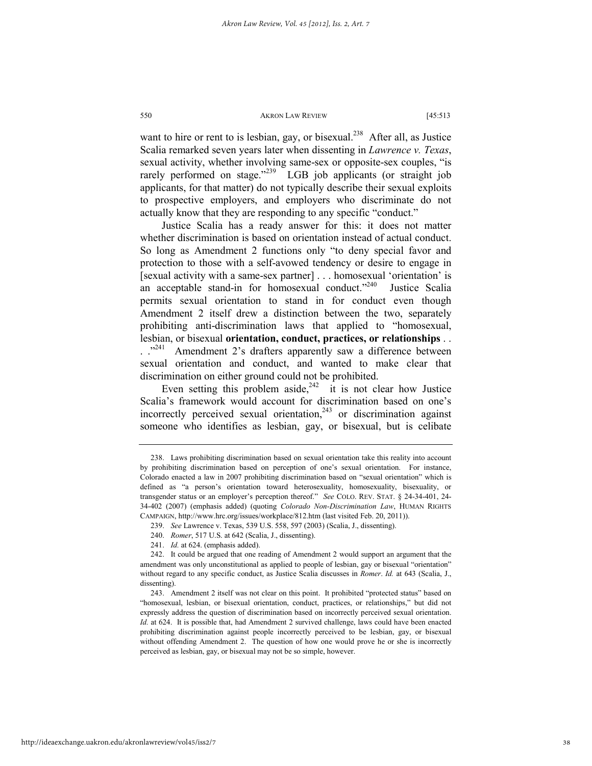want to hire or rent to is lesbian, gay, or bisexual.<sup>238</sup> After all, as Justice Scalia remarked seven years later when dissenting in *Lawrence v. Texas*, sexual activity, whether involving same-sex or opposite-sex couples, "is rarely performed on stage."<sup>239</sup> LGB job applicants (or straight job applicants, for that matter) do not typically describe their sexual exploits to prospective employers, and employers who discriminate do not actually know that they are responding to any specific "conduct."

Justice Scalia has a ready answer for this: it does not matter whether discrimination is based on orientation instead of actual conduct. So long as Amendment 2 functions only "to deny special favor and protection to those with a self-avowed tendency or desire to engage in [sexual activity with a same-sex partner] . . . homosexual 'orientation' is an acceptable stand-in for homosexual conduct."<sup>240</sup> Justice Scalia permits sexual orientation to stand in for conduct even though Amendment 2 itself drew a distinction between the two, separately prohibiting anti-discrimination laws that applied to "homosexual, lesbian, or bisexual **orientation, conduct, practices, or relationships** . . . ."<sup>241</sup> Amendment 2's drafters apparently saw a difference between sexual orientation and conduct, and wanted to make clear that discrimination on either ground could not be prohibited.

Even setting this problem aside,  $242$  it is not clear how Justice Scalia's framework would account for discrimination based on one's incorrectly perceived sexual orientation, $243$  or discrimination against someone who identifies as lesbian, gay, or bisexual, but is celibate

 <sup>238.</sup> Laws prohibiting discrimination based on sexual orientation take this reality into account by prohibiting discrimination based on perception of one's sexual orientation. For instance, Colorado enacted a law in 2007 prohibiting discrimination based on "sexual orientation" which is defined as "a person's orientation toward heterosexuality, homosexuality, bisexuality, or transgender status or an employer's perception thereof." *See* COLO. REV. STAT. § 24-34-401, 24- 34-402 (2007) (emphasis added) (quoting *Colorado Non-Discrimination Law*, HUMAN RIGHTS CAMPAIGN, http://www.hrc.org/issues/workplace/812.htm (last visited Feb. 20, 2011)).

 <sup>239.</sup> *See* Lawrence v. Texas, 539 U.S. 558, 597 (2003) (Scalia, J., dissenting).

 <sup>240.</sup> *Romer*, 517 U.S. at 642 (Scalia, J., dissenting).

 <sup>241.</sup> *Id.* at 624. (emphasis added).

 <sup>242.</sup> It could be argued that one reading of Amendment 2 would support an argument that the amendment was only unconstitutional as applied to people of lesbian, gay or bisexual "orientation" without regard to any specific conduct, as Justice Scalia discusses in *Romer*. *Id.* at 643 (Scalia, J., dissenting).

 <sup>243.</sup> Amendment 2 itself was not clear on this point. It prohibited "protected status" based on "homosexual, lesbian, or bisexual orientation, conduct, practices, or relationships," but did not expressly address the question of discrimination based on incorrectly perceived sexual orientation. *Id.* at 624. It is possible that, had Amendment 2 survived challenge, laws could have been enacted prohibiting discrimination against people incorrectly perceived to be lesbian, gay, or bisexual without offending Amendment 2. The question of how one would prove he or she is incorrectly perceived as lesbian, gay, or bisexual may not be so simple, however.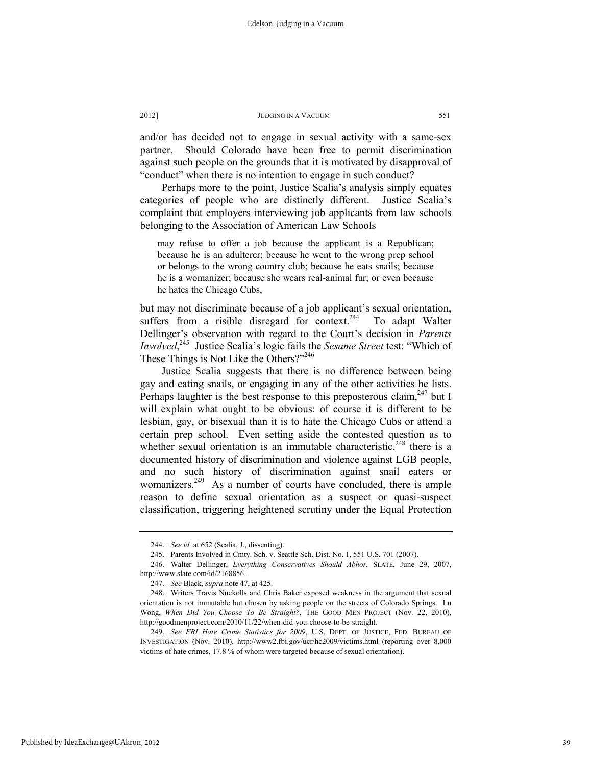and/or has decided not to engage in sexual activity with a same-sex partner. Should Colorado have been free to permit discrimination against such people on the grounds that it is motivated by disapproval of "conduct" when there is no intention to engage in such conduct?

Perhaps more to the point, Justice Scalia's analysis simply equates categories of people who are distinctly different. Justice Scalia's complaint that employers interviewing job applicants from law schools belonging to the Association of American Law Schools

may refuse to offer a job because the applicant is a Republican; because he is an adulterer; because he went to the wrong prep school or belongs to the wrong country club; because he eats snails; because he is a womanizer; because she wears real-animal fur; or even because he hates the Chicago Cubs,

but may not discriminate because of a job applicant's sexual orientation, suffers from a risible disregard for context.<sup>244</sup> To adapt Walter Dellinger's observation with regard to the Court's decision in *Parents Involved*, 245 Justice Scalia's logic fails the *Sesame Street* test: "Which of These Things is Not Like the Others?"<sup>246</sup>

Justice Scalia suggests that there is no difference between being gay and eating snails, or engaging in any of the other activities he lists. Perhaps laughter is the best response to this preposterous claim,  $247$  but I will explain what ought to be obvious: of course it is different to be lesbian, gay, or bisexual than it is to hate the Chicago Cubs or attend a certain prep school. Even setting aside the contested question as to whether sexual orientation is an immutable characteristic,  $248$  there is a documented history of discrimination and violence against LGB people, and no such history of discrimination against snail eaters or womanizers.<sup>249</sup> As a number of courts have concluded, there is ample reason to define sexual orientation as a suspect or quasi-suspect classification, triggering heightened scrutiny under the Equal Protection

 <sup>244.</sup> *See id.* at 652 (Scalia, J., dissenting).

 <sup>245.</sup> Parents Involved in Cmty. Sch. v. Seattle Sch. Dist. No. 1, 551 U.S. 701 (2007).

 <sup>246.</sup> Walter Dellinger, *Everything Conservatives Should Abhor*, SLATE, June 29, 2007, http://www.slate.com/id/2168856.

 <sup>247.</sup> *See* Black, *supra* note 47, at 425.

 <sup>248.</sup> Writers Travis Nuckolls and Chris Baker exposed weakness in the argument that sexual orientation is not immutable but chosen by asking people on the streets of Colorado Springs. Lu Wong, *When Did You Choose To Be Straight?*, THE GOOD MEN PROJECT (Nov. 22, 2010), http://goodmenproject.com/2010/11/22/when-did-you-choose-to-be-straight.

 <sup>249.</sup> *See FBI Hate Crime Statistics for 2009*, U.S. DEPT. OF JUSTICE, FED. BUREAU OF INVESTIGATION (Nov. 2010), http://www2.fbi.gov/ucr/hc2009/victims.html (reporting over 8,000 victims of hate crimes, 17.8 % of whom were targeted because of sexual orientation).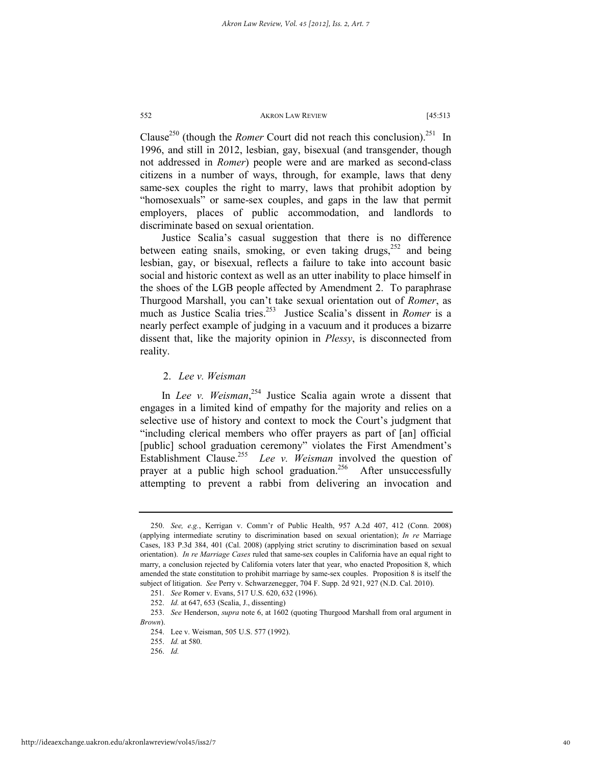Clause<sup>250</sup> (though the *Romer* Court did not reach this conclusion).<sup>251</sup> In 1996, and still in 2012, lesbian, gay, bisexual (and transgender, though not addressed in *Romer*) people were and are marked as second-class citizens in a number of ways, through, for example, laws that deny same-sex couples the right to marry, laws that prohibit adoption by "homosexuals" or same-sex couples, and gaps in the law that permit employers, places of public accommodation, and landlords to discriminate based on sexual orientation.

Justice Scalia's casual suggestion that there is no difference between eating snails, smoking, or even taking drugs, $252$  and being lesbian, gay, or bisexual, reflects a failure to take into account basic social and historic context as well as an utter inability to place himself in the shoes of the LGB people affected by Amendment 2. To paraphrase Thurgood Marshall, you can't take sexual orientation out of *Romer*, as much as Justice Scalia tries.253 Justice Scalia's dissent in *Romer* is a nearly perfect example of judging in a vacuum and it produces a bizarre dissent that, like the majority opinion in *Plessy*, is disconnected from reality.

2. *Lee v. Weisman*

In *Lee v. Weisman*, 254 Justice Scalia again wrote a dissent that engages in a limited kind of empathy for the majority and relies on a selective use of history and context to mock the Court's judgment that "including clerical members who offer prayers as part of [an] official [public] school graduation ceremony" violates the First Amendment's Establishment Clause.255 *Lee v. Weisman* involved the question of prayer at a public high school graduation.<sup>256</sup> After unsuccessfully attempting to prevent a rabbi from delivering an invocation and

 <sup>250.</sup> *See, e.g.*, Kerrigan v. Comm'r of Public Health, 957 A.2d 407, 412 (Conn. 2008) (applying intermediate scrutiny to discrimination based on sexual orientation); *In re* Marriage Cases, 183 P.3d 384, 401 (Cal. 2008) (applying strict scrutiny to discrimination based on sexual orientation). *In re Marriage Cases* ruled that same-sex couples in California have an equal right to marry, a conclusion rejected by California voters later that year, who enacted Proposition 8, which amended the state constitution to prohibit marriage by same-sex couples. Proposition 8 is itself the subject of litigation. *See* Perry v. Schwarzenegger, 704 F. Supp. 2d 921, 927 (N.D. Cal. 2010).

 <sup>251.</sup> *See* Romer v. Evans, 517 U.S. 620, 632 (1996).

 <sup>252.</sup> *Id.* at 647, 653 (Scalia, J., dissenting)

 <sup>253.</sup> *See* Henderson, *supra* note 6, at 1602 (quoting Thurgood Marshall from oral argument in *Brown*).

 <sup>254.</sup> Lee v. Weisman, 505 U.S. 577 (1992).

 <sup>255.</sup> *Id.* at 580.

 <sup>256.</sup> *Id.*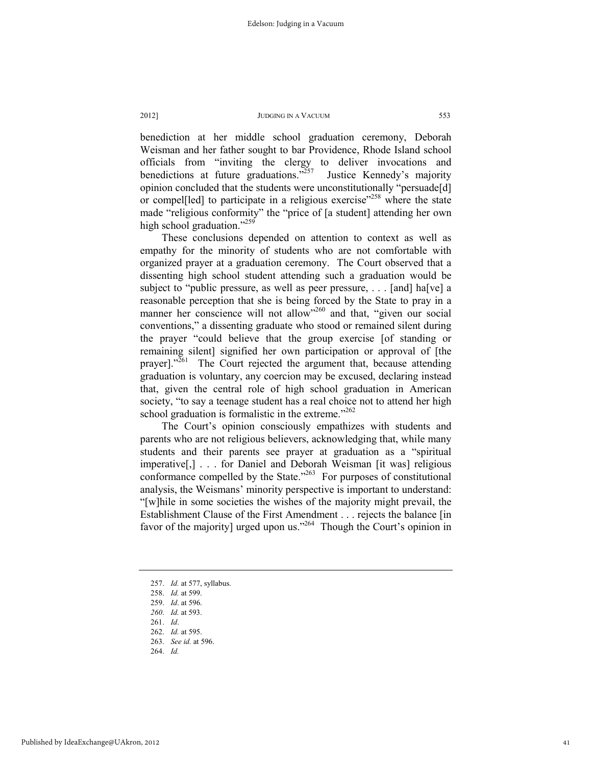benediction at her middle school graduation ceremony, Deborah Weisman and her father sought to bar Providence, Rhode Island school officials from "inviting the clergy to deliver invocations and benedictions at future graduations."<sup>257</sup> Justice Kennedy's majority opinion concluded that the students were unconstitutionally "persuade[d] or compel<sup>[led]</sup> to participate in a religious exercise<sup>"258</sup> where the state made "religious conformity" the "price of [a student] attending her own high school graduation."<sup>259</sup>

These conclusions depended on attention to context as well as empathy for the minority of students who are not comfortable with organized prayer at a graduation ceremony. The Court observed that a dissenting high school student attending such a graduation would be subject to "public pressure, as well as peer pressure, . . . [and] ha[ve] a reasonable perception that she is being forced by the State to pray in a manner her conscience will not allow<sup>"260</sup> and that, "given our social conventions," a dissenting graduate who stood or remained silent during the prayer "could believe that the group exercise [of standing or remaining silent] signified her own participation or approval of [the prayer]."<sup>261</sup> The Court rejected the argument that, because attending graduation is voluntary, any coercion may be excused, declaring instead that, given the central role of high school graduation in American society, "to say a teenage student has a real choice not to attend her high school graduation is formalistic in the extreme."<sup>262</sup>

The Court's opinion consciously empathizes with students and parents who are not religious believers, acknowledging that, while many students and their parents see prayer at graduation as a "spiritual imperative[,] . . . for Daniel and Deborah Weisman [it was] religious conformance compelled by the State. $263$  For purposes of constitutional analysis, the Weismans' minority perspective is important to understand: "[w]hile in some societies the wishes of the majority might prevail, the Establishment Clause of the First Amendment . . . rejects the balance [in favor of the majority] urged upon us."264 Though the Court's opinion in

- 257. *Id.* at 577, syllabus.
- 258. *Id.* at 599.
- 259. *Id*. at 596.
- *260*. *Id.* at 593.
- 261. *Id*.
- 262. *Id.* at 595.
- 263. *See id.* at 596.
- 264. *Id.*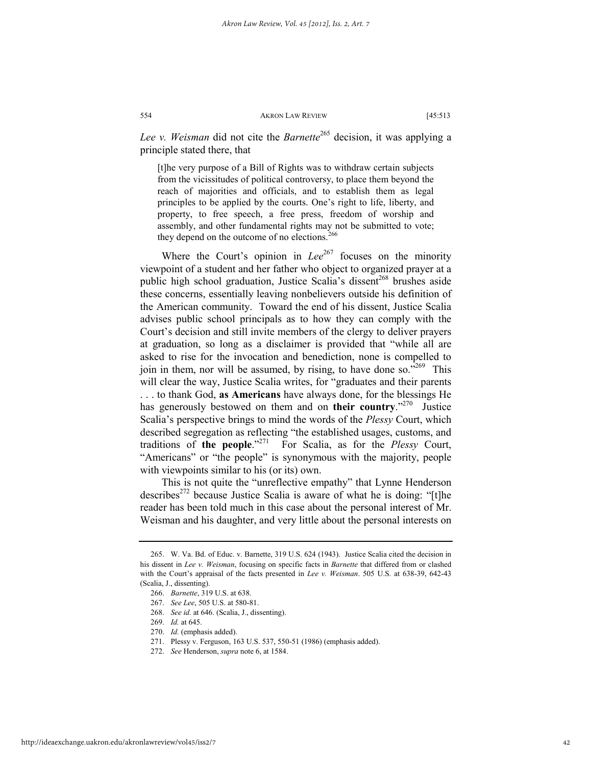*Lee v. Weisman* did not cite the *Barnette*<sup>265</sup> decision, it was applying a principle stated there, that

[t]he very purpose of a Bill of Rights was to withdraw certain subjects from the vicissitudes of political controversy, to place them beyond the reach of majorities and officials, and to establish them as legal principles to be applied by the courts. One's right to life, liberty, and property, to free speech, a free press, freedom of worship and assembly, and other fundamental rights may not be submitted to vote; they depend on the outcome of no elections.<sup>266</sup>

Where the Court's opinion in *Lee*<sup>267</sup> focuses on the minority viewpoint of a student and her father who object to organized prayer at a public high school graduation, Justice Scalia's dissent<sup>268</sup> brushes aside these concerns, essentially leaving nonbelievers outside his definition of the American community. Toward the end of his dissent, Justice Scalia advises public school principals as to how they can comply with the Court's decision and still invite members of the clergy to deliver prayers at graduation, so long as a disclaimer is provided that "while all are asked to rise for the invocation and benediction, none is compelled to join in them, nor will be assumed, by rising, to have done so." $269$  This will clear the way, Justice Scalia writes, for "graduates and their parents . . . to thank God, **as Americans** have always done, for the blessings He has generously bestowed on them and on **their country**."<sup>270</sup> Justice Scalia's perspective brings to mind the words of the *Plessy* Court, which described segregation as reflecting "the established usages, customs, and traditions of **the people**."271 For Scalia, as for the *Plessy* Court, "Americans" or "the people" is synonymous with the majority, people with viewpoints similar to his (or its) own.

This is not quite the "unreflective empathy" that Lynne Henderson describes<sup>272</sup> because Justice Scalia is aware of what he is doing: "[t]he reader has been told much in this case about the personal interest of Mr. Weisman and his daughter, and very little about the personal interests on

 <sup>265.</sup> W. Va. Bd. of Educ. v. Barnette, 319 U.S. 624 (1943). Justice Scalia cited the decision in his dissent in *Lee v. Weisman*, focusing on specific facts in *Barnette* that differed from or clashed with the Court's appraisal of the facts presented in *Lee v. Weisman*. 505 U.S. at 638-39, 642-43 (Scalia, J., dissenting).

 <sup>266.</sup> *Barnette*, 319 U.S. at 638.

 <sup>267.</sup> *See Lee*, 505 U.S. at 580-81.

 <sup>268.</sup> *See id.* at 646. (Scalia, J., dissenting).

 <sup>269.</sup> *Id.* at 645.

 <sup>270.</sup> *Id.* (emphasis added).

 <sup>271.</sup> Plessy v. Ferguson, 163 U.S. 537, 550-51 (1986) (emphasis added).

 <sup>272.</sup> *See* Henderson, *supra* note 6, at 1584.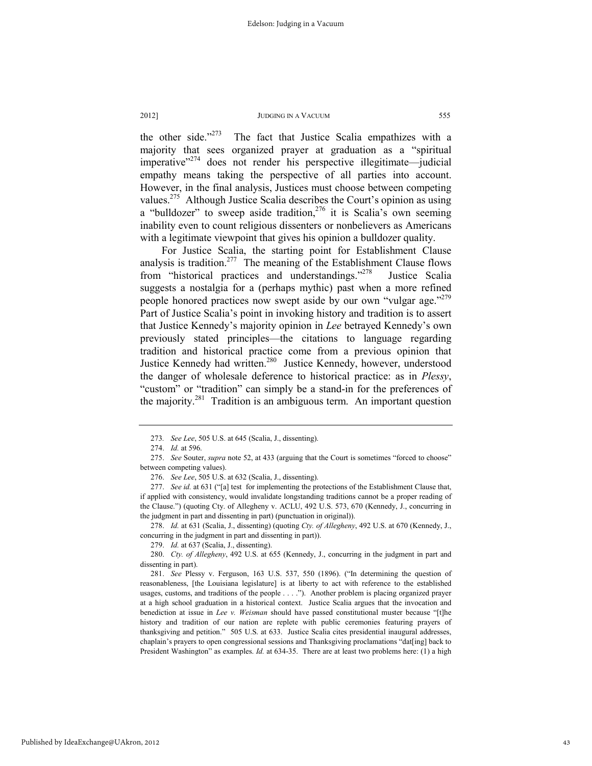the other side."<sup>273</sup> The fact that Justice Scalia empathizes with a majority that sees organized prayer at graduation as a "spiritual imperative $1274}$  does not render his perspective illegitimate—judicial empathy means taking the perspective of all parties into account. However, in the final analysis, Justices must choose between competing values.<sup>275</sup> Although Justice Scalia describes the Court's opinion as using a "bulldozer" to sweep aside tradition,<sup>276</sup> it is Scalia's own seeming inability even to count religious dissenters or nonbelievers as Americans with a legitimate viewpoint that gives his opinion a bulldozer quality.

For Justice Scalia, the starting point for Establishment Clause analysis is tradition.<sup>277</sup> The meaning of the Establishment Clause flows from "historical practices and understandings."278 Justice Scalia suggests a nostalgia for a (perhaps mythic) past when a more refined people honored practices now swept aside by our own "vulgar age."<sup>279</sup> Part of Justice Scalia's point in invoking history and tradition is to assert that Justice Kennedy's majority opinion in *Lee* betrayed Kennedy's own previously stated principles—the citations to language regarding tradition and historical practice come from a previous opinion that Justice Kennedy had written.<sup>280</sup> Justice Kennedy, however, understood the danger of wholesale deference to historical practice: as in *Plessy*, "custom" or "tradition" can simply be a stand-in for the preferences of the majority.<sup>281</sup> Tradition is an ambiguous term. An important question

<sup>273</sup>*. See Lee*, 505 U.S. at 645 (Scalia, J., dissenting).

 <sup>274.</sup> *Id.* at 596.

 <sup>275.</sup> *See* Souter, *supra* note 52, at 433 (arguing that the Court is sometimes "forced to choose" between competing values).

 <sup>276.</sup> *See Lee*, 505 U.S. at 632 (Scalia, J., dissenting).

 <sup>277.</sup> *See id.* at 631 ("[a] test for implementing the protections of the Establishment Clause that, if applied with consistency, would invalidate longstanding traditions cannot be a proper reading of the Clause.") (quoting Cty. of Allegheny v. ACLU, 492 U.S. 573, 670 (Kennedy, J., concurring in the judgment in part and dissenting in part) (punctuation in original)).

 <sup>278.</sup> *Id.* at 631 (Scalia, J., dissenting) (quoting *Cty. of Allegheny*, 492 U.S. at 670 (Kennedy, J., concurring in the judgment in part and dissenting in part)).

 <sup>279.</sup> *Id.* at 637 (Scalia, J., dissenting).

 <sup>280.</sup> *Cty. of Allegheny*, 492 U.S. at 655 (Kennedy, J., concurring in the judgment in part and dissenting in part).

 <sup>281.</sup> *See* Plessy v. Ferguson, 163 U.S. 537, 550 (1896). ("In determining the question of reasonableness, [the Louisiana legislature] is at liberty to act with reference to the established usages, customs, and traditions of the people . . . ."). Another problem is placing organized prayer at a high school graduation in a historical context. Justice Scalia argues that the invocation and benediction at issue in *Lee v. Weisman* should have passed constitutional muster because "[t]he history and tradition of our nation are replete with public ceremonies featuring prayers of thanksgiving and petition." 505 U.S. at 633. Justice Scalia cites presidential inaugural addresses, chaplain's prayers to open congressional sessions and Thanksgiving proclamations "dat[ing] back to President Washington" as examples. *Id.* at 634-35. There are at least two problems here: (1) a high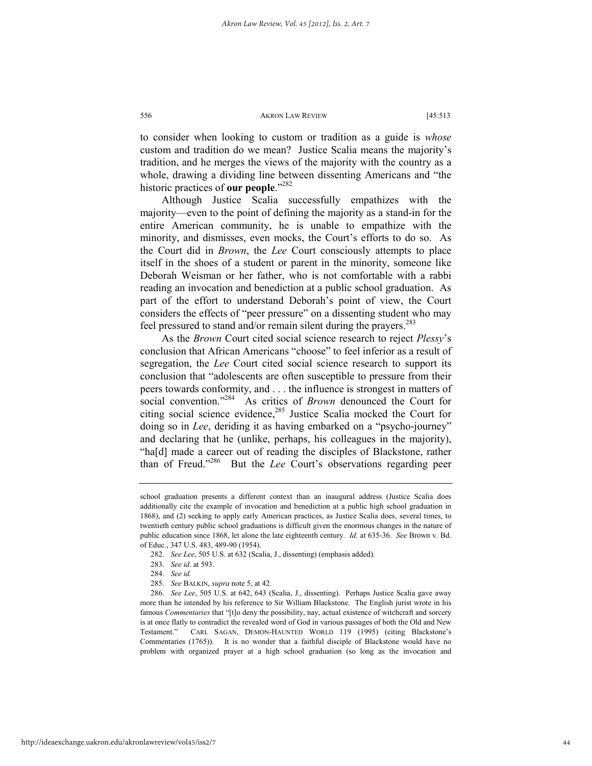to consider when looking to custom or tradition as a guide is *whose* custom and tradition do we mean? Justice Scalia means the majority's tradition, and he merges the views of the majority with the country as a whole, drawing a dividing line between dissenting Americans and "the historic practices of **our people**."282

Although Justice Scalia successfully empathizes with the majority—even to the point of defining the majority as a stand-in for the entire American community, he is unable to empathize with the minority, and dismisses, even mocks, the Court's efforts to do so. As the Court did in *Brown*, the *Lee* Court consciously attempts to place itself in the shoes of a student or parent in the minority, someone like Deborah Weisman or her father, who is not comfortable with a rabbi reading an invocation and benediction at a public school graduation. As part of the effort to understand Deborah's point of view, the Court considers the effects of "peer pressure" on a dissenting student who may feel pressured to stand and/or remain silent during the prayers.<sup>283</sup>

As the *Brown* Court cited social science research to reject *Plessy*'s conclusion that African Americans "choose" to feel inferior as a result of segregation, the *Lee* Court cited social science research to support its conclusion that "adolescents are often susceptible to pressure from their peers towards conformity, and . . . the influence is strongest in matters of social convention."<sup>284</sup> As critics of *Brown* denounced the Court for citing social science evidence,<sup>285</sup> Justice Scalia mocked the Court for doing so in *Lee*, deriding it as having embarked on a "psycho-journey" and declaring that he (unlike, perhaps, his colleagues in the majority), "ha[d] made a career out of reading the disciples of Blackstone, rather than of Freud."286 But the *Lee* Court's observations regarding peer

school graduation presents a different context than an inaugural address (Justice Scalia does additionally cite the example of invocation and benediction at a public high school graduation in 1868), and (2) seeking to apply early American practices, as Justice Scalia does, several times, to twentieth century public school graduations is difficult given the enormous changes in the nature of public education since 1868, let alone the late eighteenth century. *Id.* at 635-36. *See* Brown v. Bd. of Educ., 347 U.S. 483, 489-90 (1954).

 <sup>282.</sup> *See Lee*, 505 U.S. at 632 (Scalia, J., dissenting) (emphasis added).

 <sup>283.</sup> *See id.* at 593.

 <sup>284.</sup> *See id.*

 <sup>285.</sup> *See* BALKIN, *supra* note 5, at 42.

 <sup>286.</sup> *See Lee*, 505 U.S. at 642, 643 (Scalia, J., dissenting). Perhaps Justice Scalia gave away more than he intended by his reference to Sir William Blackstone. The English jurist wrote in his famous *Commentaries* that "[t]o deny the possibility, nay, actual existence of witchcraft and sorcery is at once flatly to contradict the revealed word of God in various passages of both the Old and New Testament." CARL SAGAN, DEMON-HAUNTED WORLD 119 (1995) (citing Blackstone's Commentaries (1765)). It is no wonder that a faithful disciple of Blackstone would have no problem with organized prayer at a high school graduation (so long as the invocation and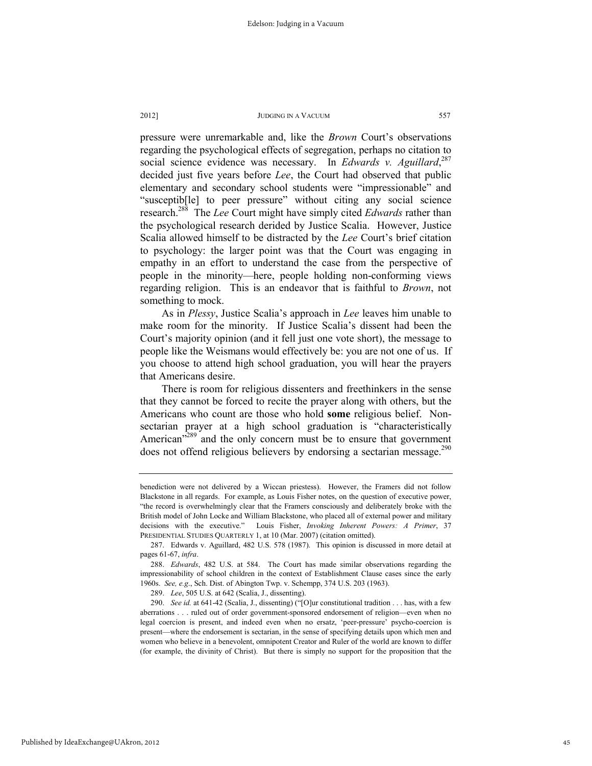pressure were unremarkable and, like the *Brown* Court's observations regarding the psychological effects of segregation, perhaps no citation to social science evidence was necessary. In *Edwards v. Aguillard*, 287 decided just five years before *Lee*, the Court had observed that public elementary and secondary school students were "impressionable" and "susceptib[le] to peer pressure" without citing any social science research.288 The *Lee* Court might have simply cited *Edwards* rather than the psychological research derided by Justice Scalia. However, Justice Scalia allowed himself to be distracted by the *Lee* Court's brief citation to psychology: the larger point was that the Court was engaging in empathy in an effort to understand the case from the perspective of people in the minority—here, people holding non-conforming views regarding religion. This is an endeavor that is faithful to *Brown*, not something to mock.

As in *Plessy*, Justice Scalia's approach in *Lee* leaves him unable to make room for the minority. If Justice Scalia's dissent had been the Court's majority opinion (and it fell just one vote short), the message to people like the Weismans would effectively be: you are not one of us. If you choose to attend high school graduation, you will hear the prayers that Americans desire.

There is room for religious dissenters and freethinkers in the sense that they cannot be forced to recite the prayer along with others, but the Americans who count are those who hold **some** religious belief. Nonsectarian prayer at a high school graduation is "characteristically American<sup>2289</sup> and the only concern must be to ensure that government does not offend religious believers by endorsing a sectarian message.<sup>290</sup>

benediction were not delivered by a Wiccan priestess). However, the Framers did not follow Blackstone in all regards. For example, as Louis Fisher notes, on the question of executive power, "the record is overwhelmingly clear that the Framers consciously and deliberately broke with the British model of John Locke and William Blackstone, who placed all of external power and military decisions with the executive." Louis Fisher, *Invoking Inherent Powers: A Primer*, 37 PRESIDENTIAL STUDIES QUARTERLY 1, at 10 (Mar. 2007) (citation omitted).

 <sup>287.</sup> Edwards v. Aguillard, 482 U.S. 578 (1987). This opinion is discussed in more detail at pages 61-67, *infra*.

 <sup>288.</sup> *Edwards*, 482 U.S. at 584. The Court has made similar observations regarding the impressionability of school children in the context of Establishment Clause cases since the early 1960s. *See, e.g*., Sch. Dist. of Abington Twp. v. Schempp, 374 U.S. 203 (1963).

 <sup>289.</sup> *Lee*, 505 U.S. at 642 (Scalia, J., dissenting).

 <sup>290.</sup> *See id.* at 641-42 (Scalia, J., dissenting) ("[O]ur constitutional tradition . . . has, with a few aberrations . . . ruled out of order government-sponsored endorsement of religion—even when no legal coercion is present, and indeed even when no ersatz, 'peer-pressure' psycho-coercion is present—where the endorsement is sectarian, in the sense of specifying details upon which men and women who believe in a benevolent, omnipotent Creator and Ruler of the world are known to differ (for example, the divinity of Christ). But there is simply no support for the proposition that the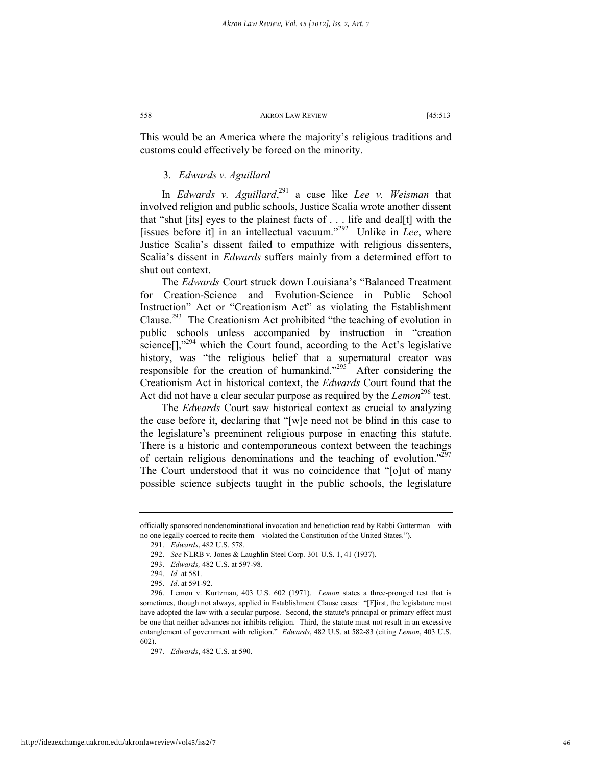This would be an America where the majority's religious traditions and customs could effectively be forced on the minority.

# 3. *Edwards v. Aguillard*

In *Edwards v. Aguillard*, <sup>291</sup> a case like *Lee v. Weisman* that involved religion and public schools, Justice Scalia wrote another dissent that "shut [its] eyes to the plainest facts of . . . life and deal[t] with the [issues before it] in an intellectual vacuum."292 Unlike in *Lee*, where Justice Scalia's dissent failed to empathize with religious dissenters, Scalia's dissent in *Edwards* suffers mainly from a determined effort to shut out context.

The *Edwards* Court struck down Louisiana's "Balanced Treatment for Creation-Science and Evolution-Science in Public School Instruction" Act or "Creationism Act" as violating the Establishment Clause.293 The Creationism Act prohibited "the teaching of evolution in public schools unless accompanied by instruction in "creation science<sup>[]</sup>,"<sup>294</sup> which the Court found, according to the Act's legislative history, was "the religious belief that a supernatural creator was responsible for the creation of humankind."<sup>295</sup> After considering the Creationism Act in historical context, the *Edwards* Court found that the Act did not have a clear secular purpose as required by the *Lemon*<sup>296</sup> test.

The *Edwards* Court saw historical context as crucial to analyzing the case before it, declaring that "[w]e need not be blind in this case to the legislature's preeminent religious purpose in enacting this statute. There is a historic and contemporaneous context between the teachings of certain religious denominations and the teaching of evolution."297 The Court understood that it was no coincidence that "[o]ut of many possible science subjects taught in the public schools, the legislature

officially sponsored nondenominational invocation and benediction read by Rabbi Gutterman—with no one legally coerced to recite them—violated the Constitution of the United States.").

 <sup>291.</sup> *Edwards*, 482 U.S. 578.

 <sup>292.</sup> *See* NLRB v. Jones & Laughlin Steel Corp*.* 301 U.S. 1, 41 (1937).

 <sup>293.</sup> *Edwards,* 482 U.S. at 597-98.

 <sup>294.</sup> *Id.* at 581.

 <sup>295.</sup> *Id*. at 591-92.

 <sup>296.</sup> Lemon v. Kurtzman, 403 U.S. 602 (1971). *Lemon* states a three-pronged test that is sometimes, though not always, applied in Establishment Clause cases: "[F]irst, the legislature must have adopted the law with a secular purpose. Second, the statute's principal or primary effect must be one that neither advances nor inhibits religion. Third, the statute must not result in an excessive entanglement of government with religion." *Edwards*, 482 U.S. at 582-83 (citing *Lemon*, 403 U.S. 602).

 <sup>297.</sup> *Edwards*, 482 U.S. at 590.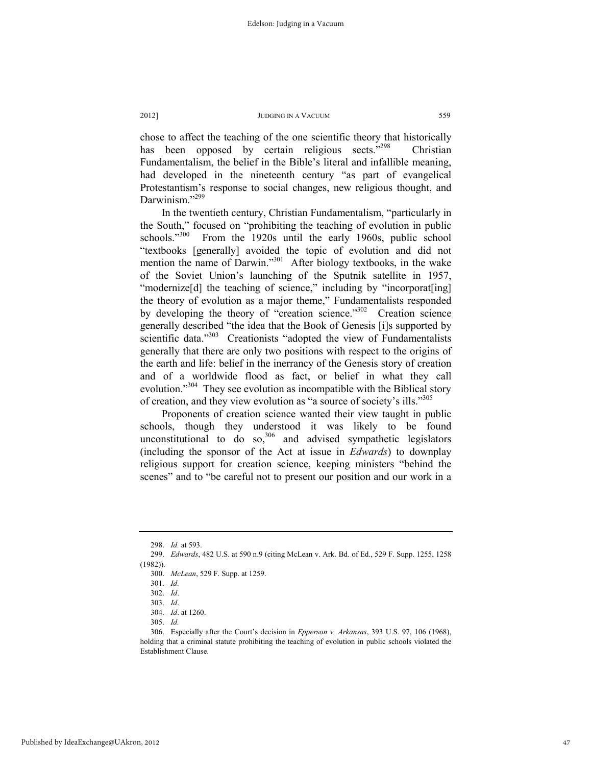chose to affect the teaching of the one scientific theory that historically has been opposed by certain religious sects."<sup>298</sup> Christian Fundamentalism, the belief in the Bible's literal and infallible meaning, had developed in the nineteenth century "as part of evangelical Protestantism's response to social changes, new religious thought, and Darwinism."<sup>299</sup>

In the twentieth century, Christian Fundamentalism, "particularly in the South," focused on "prohibiting the teaching of evolution in public schools."<sup>300</sup> From the 1920s until the early 1960s, public school "textbooks [generally] avoided the topic of evolution and did not mention the name of Darwin."<sup>301</sup> After biology textbooks, in the wake of the Soviet Union's launching of the Sputnik satellite in 1957, "modernize<sup>[d]</sup> the teaching of science," including by "incorporat<sup>[ing]</sup> the theory of evolution as a major theme," Fundamentalists responded by developing the theory of "creation science."<sup>302</sup> Creation science generally described "the idea that the Book of Genesis [i]s supported by scientific data."<sup>303</sup> Creationists "adopted the view of Fundamentalists generally that there are only two positions with respect to the origins of the earth and life: belief in the inerrancy of the Genesis story of creation and of a worldwide flood as fact, or belief in what they call evolution."<sup>304</sup> They see evolution as incompatible with the Biblical story of creation, and they view evolution as "a source of society's ills."305

Proponents of creation science wanted their view taught in public schools, though they understood it was likely to be found unconstitutional to do so, $306$  and advised sympathetic legislators (including the sponsor of the Act at issue in *Edwards*) to downplay religious support for creation science, keeping ministers "behind the scenes" and to "be careful not to present our position and our work in a

 <sup>298.</sup> *Id.* at 593.

 <sup>299.</sup> *Edwards*, 482 U.S. at 590 n.9 (citing McLean v. Ark. Bd. of Ed., 529 F. Supp. 1255, 1258 (1982)).

 <sup>300.</sup> *McLean*, 529 F. Supp. at 1259.

 <sup>301.</sup> *Id.*

 <sup>302.</sup> *Id*.

 <sup>303.</sup> *Id*.

 <sup>304.</sup> *Id*. at 1260.

 <sup>305.</sup> *Id.*

 <sup>306.</sup> Especially after the Court's decision in *Epperson v. Arkansas*, 393 U.S. 97, 106 (1968), holding that a criminal statute prohibiting the teaching of evolution in public schools violated the Establishment Clause.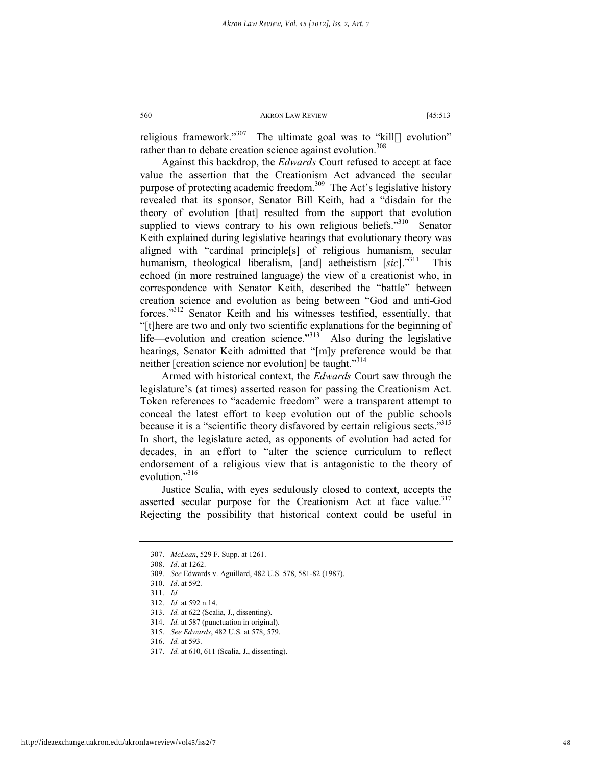religious framework."<sup>307</sup> The ultimate goal was to "kill[] evolution" rather than to debate creation science against evolution.<sup>308</sup>

Against this backdrop, the *Edwards* Court refused to accept at face value the assertion that the Creationism Act advanced the secular purpose of protecting academic freedom.<sup>309</sup> The Act's legislative history revealed that its sponsor, Senator Bill Keith, had a "disdain for the theory of evolution [that] resulted from the support that evolution supplied to views contrary to his own religious beliefs."<sup>310</sup> Senator Keith explained during legislative hearings that evolutionary theory was aligned with "cardinal principle[s] of religious humanism, secular humanism, theological liberalism, [and] aetheistism [sic]."<sup>311</sup> This echoed (in more restrained language) the view of a creationist who, in correspondence with Senator Keith, described the "battle" between creation science and evolution as being between "God and anti-God forces."312 Senator Keith and his witnesses testified, essentially, that "[t]here are two and only two scientific explanations for the beginning of life—evolution and creation science. $^{3313}$  Also during the legislative hearings, Senator Keith admitted that "[m]y preference would be that neither [creation science nor evolution] be taught."314

Armed with historical context, the *Edwards* Court saw through the legislature's (at times) asserted reason for passing the Creationism Act. Token references to "academic freedom" were a transparent attempt to conceal the latest effort to keep evolution out of the public schools because it is a "scientific theory disfavored by certain religious sects."<sup>315</sup> In short, the legislature acted, as opponents of evolution had acted for decades, in an effort to "alter the science curriculum to reflect endorsement of a religious view that is antagonistic to the theory of evolution."<sup>316</sup>

Justice Scalia, with eyes sedulously closed to context, accepts the asserted secular purpose for the Creationism Act at face value.<sup>317</sup> Rejecting the possibility that historical context could be useful in

 <sup>307.</sup> *McLean*, 529 F. Supp. at 1261.

 <sup>308.</sup> *Id*. at 1262.

 <sup>309.</sup> *See* Edwards v. Aguillard, 482 U.S. 578, 581-82 (1987).

 <sup>310.</sup> *Id*. at 592.

 <sup>311.</sup> *Id.*

 <sup>312.</sup> *Id.* at 592 n.14.

 <sup>313.</sup> *Id.* at 622 (Scalia, J., dissenting).

 <sup>314.</sup> *Id.* at 587 (punctuation in original).

 <sup>315.</sup> *See Edwards*, 482 U.S. at 578, 579.

 <sup>316.</sup> *Id.* at 593.

 <sup>317.</sup> *Id.* at 610, 611 (Scalia, J., dissenting).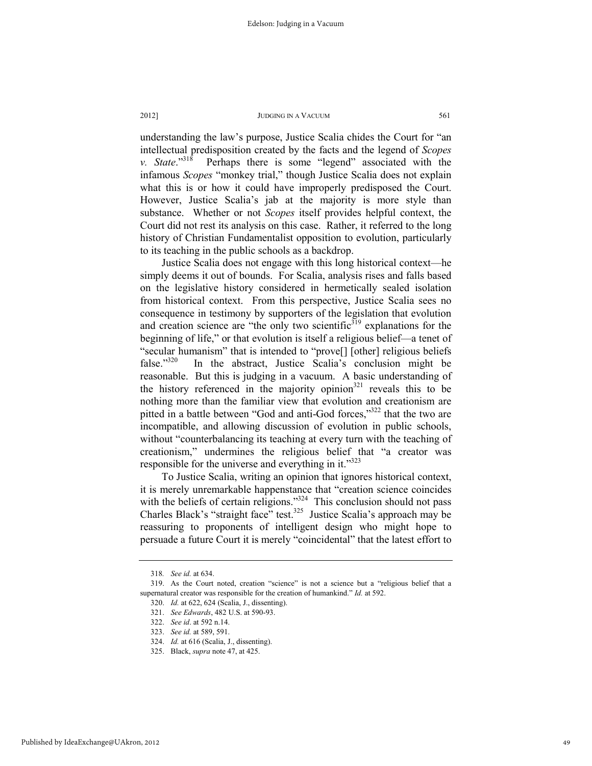understanding the law's purpose, Justice Scalia chides the Court for "an intellectual predisposition created by the facts and the legend of *Scopes*  Perhaps there is some "legend" associated with the infamous *Scopes* "monkey trial," though Justice Scalia does not explain what this is or how it could have improperly predisposed the Court. However, Justice Scalia's jab at the majority is more style than substance. Whether or not *Scopes* itself provides helpful context, the Court did not rest its analysis on this case. Rather, it referred to the long history of Christian Fundamentalist opposition to evolution, particularly to its teaching in the public schools as a backdrop.

Justice Scalia does not engage with this long historical context—he simply deems it out of bounds. For Scalia, analysis rises and falls based on the legislative history considered in hermetically sealed isolation from historical context. From this perspective, Justice Scalia sees no consequence in testimony by supporters of the legislation that evolution and creation science are "the only two scientific $3^{19}$  explanations for the beginning of life," or that evolution is itself a religious belief—a tenet of "secular humanism" that is intended to "prove[] [other] religious beliefs false."<sup>320</sup> In the abstract, Justice Scalia's conclusion might be In the abstract, Justice Scalia's conclusion might be reasonable. But this is judging in a vacuum. A basic understanding of the history referenced in the majority opinion<sup>321</sup> reveals this to be nothing more than the familiar view that evolution and creationism are pitted in a battle between "God and anti-God forces,"<sup>322</sup> that the two are incompatible, and allowing discussion of evolution in public schools, without "counterbalancing its teaching at every turn with the teaching of creationism," undermines the religious belief that "a creator was responsible for the universe and everything in it."<sup>323</sup>

To Justice Scalia, writing an opinion that ignores historical context, it is merely unremarkable happenstance that "creation science coincides with the beliefs of certain religions."<sup>324</sup> This conclusion should not pass Charles Black's "straight face" test.<sup>325</sup> Justice Scalia's approach may be reassuring to proponents of intelligent design who might hope to persuade a future Court it is merely "coincidental" that the latest effort to

<sup>318</sup>*. See id.* at 634.

 <sup>319.</sup> As the Court noted, creation "science" is not a science but a "religious belief that a supernatural creator was responsible for the creation of humankind." *Id.* at 592.

 <sup>320.</sup> *Id.* at 622, 624 (Scalia, J., dissenting).

 <sup>321.</sup> *See Edwards*, 482 U.S. at 590-93.

 <sup>322.</sup> *See id*. at 592 n.14.

 <sup>323.</sup> *See id.* at 589, 591.

 <sup>324.</sup> *Id.* at 616 (Scalia, J., dissenting).

 <sup>325.</sup> Black, *supra* note 47, at 425.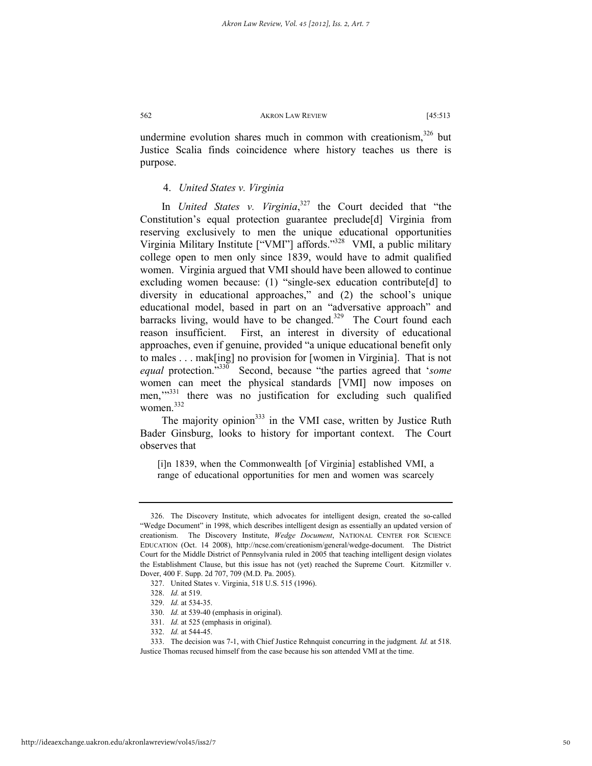undermine evolution shares much in common with creationism,  $326$  but Justice Scalia finds coincidence where history teaches us there is purpose.

# 4. *United States v. Virginia*

In *United States v. Virginia*, 327 the Court decided that "the Constitution's equal protection guarantee preclude[d] Virginia from reserving exclusively to men the unique educational opportunities Virginia Military Institute ["VMI"] affords."328 VMI, a public military college open to men only since 1839, would have to admit qualified women. Virginia argued that VMI should have been allowed to continue excluding women because: (1) "single-sex education contribute[d] to diversity in educational approaches," and (2) the school's unique educational model, based in part on an "adversative approach" and barracks living, would have to be changed.<sup>329</sup> The Court found each reason insufficient. First, an interest in diversity of educational approaches, even if genuine, provided "a unique educational benefit only to males . . . mak[ing] no provision for [women in Virginia]. That is not *equal* protection."330 Second, because "the parties agreed that '*some* women can meet the physical standards [VMI] now imposes on men."<sup>331</sup> there was no justification for excluding such qualified women.<sup>332</sup>

The majority opinion<sup>333</sup> in the VMI case, written by Justice Ruth Bader Ginsburg, looks to history for important context. The Court observes that

[i]n 1839, when the Commonwealth [of Virginia] established VMI, a range of educational opportunities for men and women was scarcely

 <sup>326.</sup> The Discovery Institute, which advocates for intelligent design, created the so-called "Wedge Document" in 1998, which describes intelligent design as essentially an updated version of creationism. The Discovery Institute, *Wedge Document*, NATIONAL CENTER FOR SCIENCE EDUCATION (Oct. 14 2008), http://ncse.com/creationism/general/wedge-document. The District Court for the Middle District of Pennsylvania ruled in 2005 that teaching intelligent design violates the Establishment Clause, but this issue has not (yet) reached the Supreme Court. Kitzmiller v. Dover, 400 F. Supp. 2d 707, 709 (M.D. Pa. 2005).

 <sup>327.</sup> United States v. Virginia, 518 U.S. 515 (1996).

 <sup>328.</sup> *Id.* at 519.

 <sup>329.</sup> *Id.* at 534-35.

 <sup>330.</sup> *Id.* at 539-40 (emphasis in original).

 <sup>331.</sup> *Id.* at 525 (emphasis in original).

 <sup>332.</sup> *Id.* at 544-45.

 <sup>333.</sup> The decision was 7-1, with Chief Justice Rehnquist concurring in the judgment*. Id.* at 518. Justice Thomas recused himself from the case because his son attended VMI at the time.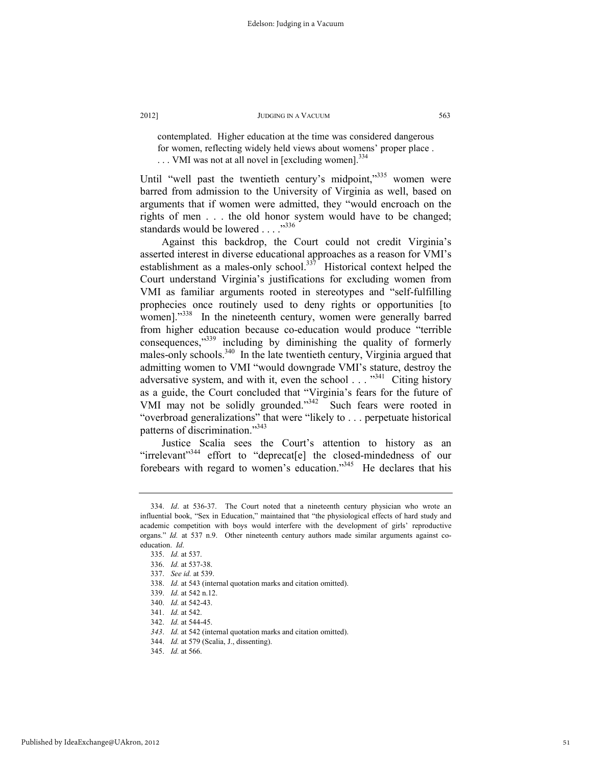contemplated. Higher education at the time was considered dangerous for women, reflecting widely held views about womens' proper place . ... VMI was not at all novel in [excluding women].<sup>334</sup>

Until "well past the twentieth century's midpoint,"<sup>335</sup> women were barred from admission to the University of Virginia as well, based on arguments that if women were admitted, they "would encroach on the rights of men . . . the old honor system would have to be changed; standards would be lowered . . . . "336

Against this backdrop, the Court could not credit Virginia's asserted interest in diverse educational approaches as a reason for VMI's establishment as a males-only school.<sup>337</sup> Historical context helped the Court understand Virginia's justifications for excluding women from VMI as familiar arguments rooted in stereotypes and "self-fulfilling prophecies once routinely used to deny rights or opportunities [to women]."<sup>338</sup> In the nineteenth century, women were generally barred from higher education because co-education would produce "terrible consequences,"339 including by diminishing the quality of formerly males-only schools.<sup>340</sup> In the late twentieth century, Virginia argued that admitting women to VMI "would downgrade VMI's stature, destroy the adversative system, and with it, even the school . . . "<sup>341</sup> Citing history as a guide, the Court concluded that "Virginia's fears for the future of VMI may not be solidly grounded."342 Such fears were rooted in "overbroad generalizations" that were "likely to . . . perpetuate historical patterns of discrimination."343

Justice Scalia sees the Court's attention to history as an "irrelevant"<sup>344</sup> effort to "deprecat[e] the closed-mindedness of our forebears with regard to women's education."345 He declares that his

 <sup>334.</sup> *Id*. at 536-37. The Court noted that a nineteenth century physician who wrote an influential book, "Sex in Education," maintained that "the physiological effects of hard study and academic competition with boys would interfere with the development of girls' reproductive organs." *Id.* at 537 n.9. Other nineteenth century authors made similar arguments against coeducation. *Id*.

 <sup>335.</sup> *Id.* at 537.

 <sup>336.</sup> *Id.* at 537-38.

 <sup>337.</sup> *See id.* at 539.

 <sup>338.</sup> *Id.* at 543 (internal quotation marks and citation omitted).

 <sup>339.</sup> *Id.* at 542 n.12.

 <sup>340.</sup> *Id.* at 542-43.

 <sup>341.</sup> *Id.* at 542.

 <sup>342.</sup> *Id.* at 544-45.

*<sup>343</sup>*. *Id.* at 542 (internal quotation marks and citation omitted).

 <sup>344.</sup> *Id.* at 579 (Scalia, J., dissenting).

 <sup>345.</sup> *Id.* at 566.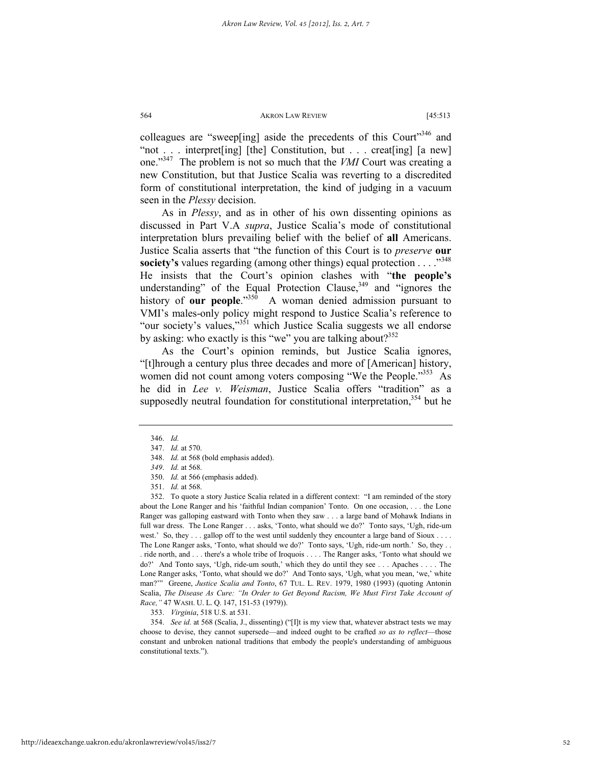colleagues are "sweep[ing] aside the precedents of this Court<sup> $346$ </sup> and "not . . . interpret[ing] [the] Constitution, but . . . creat[ing] [a new] one."347 The problem is not so much that the *VMI* Court was creating a new Constitution, but that Justice Scalia was reverting to a discredited form of constitutional interpretation, the kind of judging in a vacuum seen in the *Plessy* decision.

As in *Plessy*, and as in other of his own dissenting opinions as discussed in Part V.A *supra*, Justice Scalia's mode of constitutional interpretation blurs prevailing belief with the belief of **all** Americans. Justice Scalia asserts that "the function of this Court is to *preserve* **our society's** values regarding (among other things) equal protection . . . .<sup>348</sup> He insists that the Court's opinion clashes with "**the people's** understanding" of the Equal Protection Clause,<sup>349</sup> and "ignores the history of **our people**."<sup>350</sup> A woman denied admission pursuant to VMI's males-only policy might respond to Justice Scalia's reference to "our society's values,"<sup>351</sup> which Justice Scalia suggests we all endorse by asking: who exactly is this "we" you are talking about? $352$ 

As the Court's opinion reminds, but Justice Scalia ignores, "[t]hrough a century plus three decades and more of [American] history, women did not count among voters composing "We the People."<sup>353</sup> As he did in *Lee v. Weisman*, Justice Scalia offers "tradition" as a supposedly neutral foundation for constitutional interpretation,<sup>354</sup> but he

 352. To quote a story Justice Scalia related in a different context: "I am reminded of the story about the Lone Ranger and his 'faithful Indian companion' Tonto. On one occasion, . . . the Lone Ranger was galloping eastward with Tonto when they saw . . . a large band of Mohawk Indians in full war dress. The Lone Ranger . . . asks, 'Tonto, what should we do?' Tonto says, 'Ugh, ride-um west.' So, they . . . gallop off to the west until suddenly they encounter a large band of Sioux . . . . The Lone Ranger asks, 'Tonto, what should we do?' Tonto says, 'Ugh, ride-um north.' So, they ... . ride north, and . . . there's a whole tribe of Iroquois . . . . The Ranger asks, 'Tonto what should we do?' And Tonto says, 'Ugh, ride-um south,' which they do until they see . . . Apaches . . . . The Lone Ranger asks, 'Tonto, what should we do?' And Tonto says, 'Ugh, what you mean, 'we,' white man?'" Greene, *Justice Scalia and Tonto*, 67 TUL. L. REV. 1979, 1980 (1993) (quoting Antonin Scalia, *The Disease As Cure: "In Order to Get Beyond Racism, We Must First Take Account of Race,"* 47 WASH. U. L. Q. 147, 151-53 (1979)).

353. *Virginia*, 518 U.S. at 531.

 354. *See id.* at 568 (Scalia, J., dissenting) ("[I]t is my view that, whatever abstract tests we may choose to devise, they cannot supersede—and indeed ought to be crafted *so as to reflect*—those constant and unbroken national traditions that embody the people's understanding of ambiguous constitutional texts.").

 <sup>346.</sup> *Id.*

 <sup>347.</sup> *Id.* at 570.

 <sup>348.</sup> *Id.* at 568 (bold emphasis added).

*<sup>349</sup>*. *Id.* at 568.

 <sup>350.</sup> *Id.* at 566 (emphasis added).

 <sup>351.</sup> *Id.* at 568.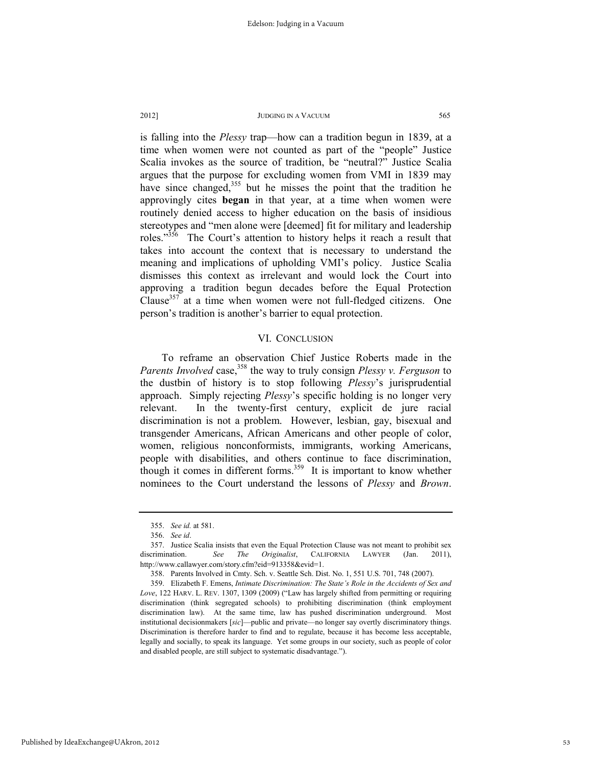is falling into the *Plessy* trap—how can a tradition begun in 1839, at a time when women were not counted as part of the "people" Justice Scalia invokes as the source of tradition, be "neutral?" Justice Scalia argues that the purpose for excluding women from VMI in 1839 may have since changed,<sup>355</sup> but he misses the point that the tradition he approvingly cites **began** in that year, at a time when women were routinely denied access to higher education on the basis of insidious stereotypes and "men alone were [deemed] fit for military and leadership roles."356 The Court's attention to history helps it reach a result that takes into account the context that is necessary to understand the meaning and implications of upholding VMI's policy. Justice Scalia dismisses this context as irrelevant and would lock the Court into approving a tradition begun decades before the Equal Protection Clause<sup>357</sup> at a time when women were not full-fledged citizens. One person's tradition is another's barrier to equal protection.

## VI. CONCLUSION

To reframe an observation Chief Justice Roberts made in the *Parents Involved* case,<sup>358</sup> the way to truly consign *Plessy v. Ferguson* to the dustbin of history is to stop following *Plessy*'s jurisprudential approach. Simply rejecting *Plessy*'s specific holding is no longer very relevant. In the twenty-first century, explicit de jure racial discrimination is not a problem. However, lesbian, gay, bisexual and transgender Americans, African Americans and other people of color, women, religious nonconformists, immigrants, working Americans, people with disabilities, and others continue to face discrimination, though it comes in different forms.<sup>359</sup> It is important to know whether nominees to the Court understand the lessons of *Plessy* and *Brown*.

 <sup>355.</sup> *See id.* at 581.

 <sup>356.</sup> *See id*.

 <sup>357.</sup> Justice Scalia insists that even the Equal Protection Clause was not meant to prohibit sex discrimination. *See The Originalist*, CALIFORNIA LAWYER (Jan. 2011), http://www.callawyer.com/story.cfm?eid=913358&evid=1.

 <sup>358.</sup> Parents Involved in Cmty. Sch. v. Seattle Sch. Dist. No. 1, 551 U.S. 701, 748 (2007).

 <sup>359.</sup> Elizabeth F. Emens, *Intimate Discrimination: The State's Role in the Accidents of Sex and Love*, 122 HARV. L. REV. 1307, 1309 (2009) ("Law has largely shifted from permitting or requiring discrimination (think segregated schools) to prohibiting discrimination (think employment discrimination law). At the same time, law has pushed discrimination underground. Most institutional decisionmakers [*sic*]—public and private—no longer say overtly discriminatory things. Discrimination is therefore harder to find and to regulate, because it has become less acceptable, legally and socially, to speak its language. Yet some groups in our society, such as people of color and disabled people, are still subject to systematic disadvantage.").